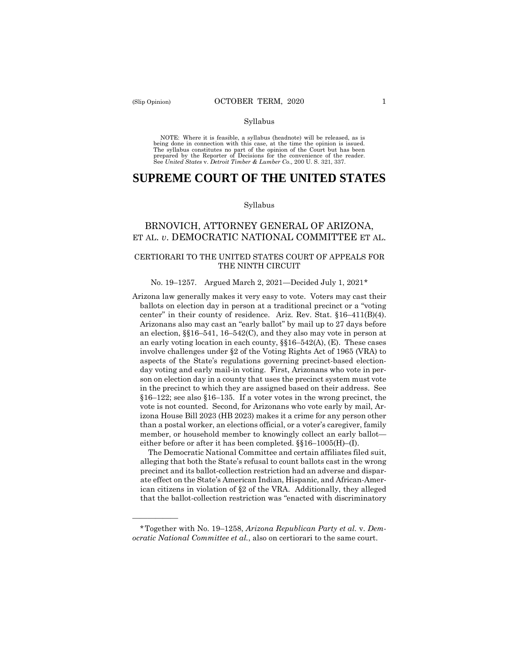——————

#### Syllabus

NOTE: Where it is feasible, a syllabus (headnote) will be released, as is being done in connection with this case, at the time the opinion is issued. The syllabus constitutes no part of the opinion of the Court but has been<br>prepared by the Reporter of Decisions for the convenience of the reader.<br>See United States v. Detroit Timber & Lumber Co., 200 U.S. 321, 337.

# **SUPREME COURT OF THE UNITED STATES**

#### Syllabus

# BRNOVICH, ATTORNEY GENERAL OF ARIZONA, ET AL. *v*. DEMOCRATIC NATIONAL COMMITTEE ET AL.

# CERTIORARI TO THE UNITED STATES COURT OF APPEALS FOR THE NINTH CIRCUIT

#### No. 19–1257. Argued March 2, 2021—Decided July 1, 2021[\\*](#page-0-0)

Arizona law generally makes it very easy to vote. Voters may cast their ballots on election day in person at a traditional precinct or a "voting center" in their county of residence. Ariz. Rev. Stat. §16–411(B)(4). Arizonans also may cast an "early ballot" by mail up to 27 days before an election, §§16–541, 16–542(C), and they also may vote in person at an early voting location in each county,  $\S$  $16-542(A)$ , (E). These cases involve challenges under §2 of the Voting Rights Act of 1965 (VRA) to aspects of the State's regulations governing precinct-based electionday voting and early mail-in voting. First, Arizonans who vote in person on election day in a county that uses the precinct system must vote in the precinct to which they are assigned based on their address. See §16–122; see also §16–135. If a voter votes in the wrong precinct, the vote is not counted. Second, for Arizonans who vote early by mail, Arizona House Bill 2023 (HB 2023) makes it a crime for any person other than a postal worker, an elections official, or a voter's caregiver, family member, or household member to knowingly collect an early ballot either before or after it has been completed. §§16–1005(H)–(I).

 The Democratic National Committee and certain affiliates filed suit, alleging that both the State's refusal to count ballots cast in the wrong precinct and its ballot-collection restriction had an adverse and disparate effect on the State's American Indian, Hispanic, and African-American citizens in violation of §2 of the VRA. Additionally, they alleged that the ballot-collection restriction was "enacted with discriminatory

<span id="page-0-0"></span><sup>\*</sup>Together with No. 19–1258, *Arizona Republican Party et al.* v. *Democratic National Committee et al.*, also on certiorari to the same court.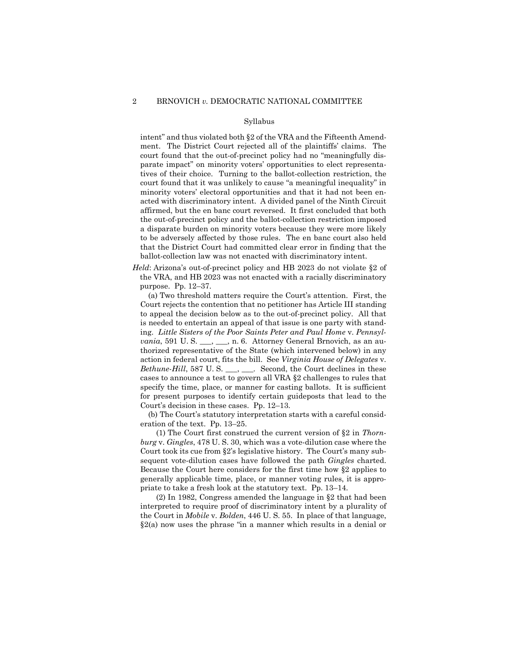intent" and thus violated both §2 of the VRA and the Fifteenth Amendment. The District Court rejected all of the plaintiffs' claims. The court found that the out-of-precinct policy had no "meaningfully disparate impact" on minority voters' opportunities to elect representatives of their choice. Turning to the ballot-collection restriction, the court found that it was unlikely to cause "a meaningful inequality" in minority voters' electoral opportunities and that it had not been enacted with discriminatory intent. A divided panel of the Ninth Circuit affirmed, but the en banc court reversed. It first concluded that both the out-of-precinct policy and the ballot-collection restriction imposed a disparate burden on minority voters because they were more likely to be adversely affected by those rules. The en banc court also held that the District Court had committed clear error in finding that the ballot-collection law was not enacted with discriminatory intent.

*Held*: Arizona's out-of-precinct policy and HB 2023 do not violate §2 of the VRA, and HB 2023 was not enacted with a racially discriminatory purpose. Pp. 12–37.

 (a) Two threshold matters require the Court's attention. First, the Court rejects the contention that no petitioner has Article III standing to appeal the decision below as to the out-of-precinct policy. All that is needed to entertain an appeal of that issue is one party with standing. *Little Sisters of the Poor Saints Peter and Paul Home* v. *Pennsylvania*, 591 U.S. \_\_\_, \_\_, n. 6. Attorney General Brnovich, as an authorized representative of the State (which intervened below) in any action in federal court, fits the bill. See *Virginia House of Delegates* v. *Bethune-Hill*, 587 U.S. \_\_\_, \_\_\_. Second, the Court declines in these cases to announce a test to govern all VRA §2 challenges to rules that specify the time, place, or manner for casting ballots. It is sufficient for present purposes to identify certain guideposts that lead to the Court's decision in these cases. Pp. 12–13.

 (b) The Court's statutory interpretation starts with a careful consideration of the text. Pp. 13–25.

 (1) The Court first construed the current version of §2 in *Thornburg* v. *Gingles*, 478 U. S. 30, which was a vote-dilution case where the Court took its cue from §2's legislative history. The Court's many subsequent vote-dilution cases have followed the path *Gingles* charted. Because the Court here considers for the first time how §2 applies to generally applicable time, place, or manner voting rules, it is appropriate to take a fresh look at the statutory text. Pp. 13–14.

 (2) In 1982, Congress amended the language in §2 that had been interpreted to require proof of discriminatory intent by a plurality of the Court in *Mobile* v. *Bolden*, 446 U. S. 55. In place of that language,  $\S 2(a)$  now uses the phrase "in a manner which results in a denial or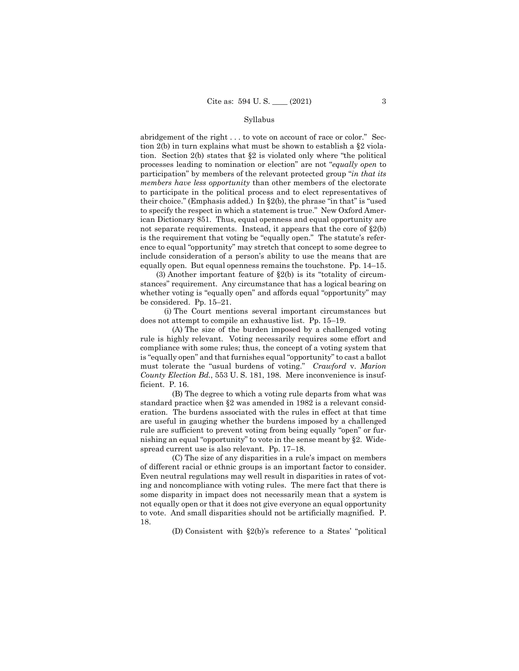abridgement of the right . . . to vote on account of race or color." Section 2(b) in turn explains what must be shown to establish a §2 violation. Section 2(b) states that §2 is violated only where "the political processes leading to nomination or election" are not "*equally open* to participation" by members of the relevant protected group "*in that its members have less opportunity* than other members of the electorate to participate in the political process and to elect representatives of their choice." (Emphasis added.) In §2(b), the phrase "in that" is "used to specify the respect in which a statement is true." New Oxford American Dictionary 851. Thus, equal openness and equal opportunity are not separate requirements. Instead, it appears that the core of  $\S2(b)$ is the requirement that voting be "equally open." The statute's reference to equal "opportunity" may stretch that concept to some degree to include consideration of a person's ability to use the means that are equally open. But equal openness remains the touchstone. Pp. 14–15.

(3) Another important feature of  $\S2(b)$  is its "totality of circumstances" requirement. Any circumstance that has a logical bearing on whether voting is "equally open" and affords equal "opportunity" may be considered. Pp. 15–21.

 (i) The Court mentions several important circumstances but does not attempt to compile an exhaustive list. Pp. 15–19.

 (A) The size of the burden imposed by a challenged voting rule is highly relevant. Voting necessarily requires some effort and compliance with some rules; thus, the concept of a voting system that is "equally open" and that furnishes equal "opportunity" to cast a ballot must tolerate the "usual burdens of voting." *Crawford* v. *Marion County Election Bd.*, 553 U. S. 181, 198. Mere inconvenience is insufficient. P. 16.

 (B) The degree to which a voting rule departs from what was standard practice when §2 was amended in 1982 is a relevant consideration. The burdens associated with the rules in effect at that time are useful in gauging whether the burdens imposed by a challenged rule are sufficient to prevent voting from being equally "open" or furnishing an equal "opportunity" to vote in the sense meant by §2. Widespread current use is also relevant. Pp. 17–18.

 (C) The size of any disparities in a rule's impact on members of different racial or ethnic groups is an important factor to consider. Even neutral regulations may well result in disparities in rates of voting and noncompliance with voting rules. The mere fact that there is some disparity in impact does not necessarily mean that a system is not equally open or that it does not give everyone an equal opportunity to vote. And small disparities should not be artificially magnified. P. 18.

(D) Consistent with §2(b)'s reference to a States' "political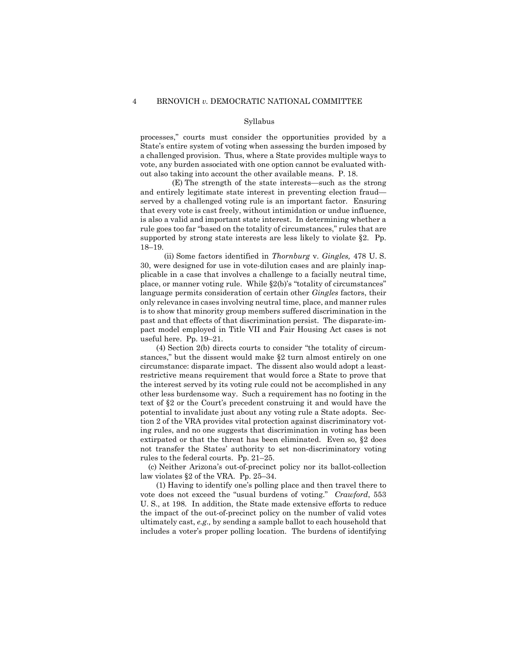processes," courts must consider the opportunities provided by a State's entire system of voting when assessing the burden imposed by a challenged provision. Thus, where a State provides multiple ways to vote, any burden associated with one option cannot be evaluated without also taking into account the other available means. P. 18.

 (E) The strength of the state interests—such as the strong and entirely legitimate state interest in preventing election fraud served by a challenged voting rule is an important factor. Ensuring that every vote is cast freely, without intimidation or undue influence, is also a valid and important state interest. In determining whether a rule goes too far "based on the totality of circumstances," rules that are supported by strong state interests are less likely to violate §2. Pp. 18–19.

 (ii) Some factors identified in *Thornburg* v. *Gingles,* 478 U. S. 30, were designed for use in vote-dilution cases and are plainly inapplicable in a case that involves a challenge to a facially neutral time, place, or manner voting rule. While §2(b)'s "totality of circumstances" language permits consideration of certain other *Gingles* factors, their only relevance in cases involving neutral time, place, and manner rules is to show that minority group members suffered discrimination in the past and that effects of that discrimination persist. The disparate-impact model employed in Title VII and Fair Housing Act cases is not useful here. Pp. 19–21.

 (4) Section 2(b) directs courts to consider "the totality of circumstances," but the dissent would make §2 turn almost entirely on one circumstance: disparate impact. The dissent also would adopt a leastrestrictive means requirement that would force a State to prove that the interest served by its voting rule could not be accomplished in any other less burdensome way. Such a requirement has no footing in the text of §2 or the Court's precedent construing it and would have the potential to invalidate just about any voting rule a State adopts. Section 2 of the VRA provides vital protection against discriminatory voting rules, and no one suggests that discrimination in voting has been extirpated or that the threat has been eliminated. Even so, §2 does not transfer the States' authority to set non-discriminatory voting rules to the federal courts. Pp. 21–25.

(c) Neither Arizona's out-of-precinct policy nor its ballot-collection law violates §2 of the VRA. Pp. 25–34.

 (1) Having to identify one's polling place and then travel there to vote does not exceed the "usual burdens of voting." *Crawford*, 553 U. S., at 198. In addition, the State made extensive efforts to reduce the impact of the out-of-precinct policy on the number of valid votes ultimately cast, *e.g.,* by sending a sample ballot to each household that includes a voter's proper polling location. The burdens of identifying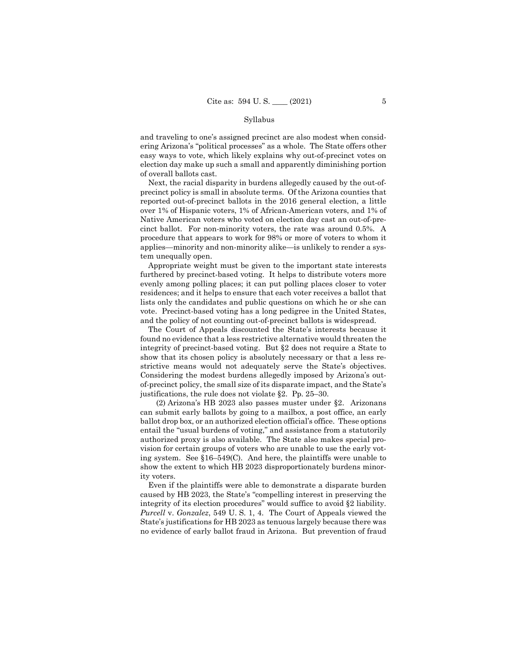and traveling to one's assigned precinct are also modest when considering Arizona's "political processes" as a whole. The State offers other easy ways to vote, which likely explains why out-of-precinct votes on election day make up such a small and apparently diminishing portion of overall ballots cast.

Next, the racial disparity in burdens allegedly caused by the out-ofprecinct policy is small in absolute terms. Of the Arizona counties that reported out-of-precinct ballots in the 2016 general election, a little over 1% of Hispanic voters, 1% of African-American voters, and 1% of Native American voters who voted on election day cast an out-of-precinct ballot. For non-minority voters, the rate was around 0.5%. A procedure that appears to work for 98% or more of voters to whom it applies—minority and non-minority alike—is unlikely to render a system unequally open.

Appropriate weight must be given to the important state interests furthered by precinct-based voting. It helps to distribute voters more evenly among polling places; it can put polling places closer to voter residences; and it helps to ensure that each voter receives a ballot that lists only the candidates and public questions on which he or she can vote. Precinct-based voting has a long pedigree in the United States, and the policy of not counting out-of-precinct ballots is widespread.

The Court of Appeals discounted the State's interests because it found no evidence that a less restrictive alternative would threaten the integrity of precinct-based voting. But §2 does not require a State to show that its chosen policy is absolutely necessary or that a less restrictive means would not adequately serve the State's objectives. Considering the modest burdens allegedly imposed by Arizona's outof-precinct policy, the small size of its disparate impact, and the State's justifications, the rule does not violate §2. Pp. 25–30.

 (2) Arizona's HB 2023 also passes muster under §2. Arizonans can submit early ballots by going to a mailbox, a post office, an early ballot drop box, or an authorized election official's office. These options entail the "usual burdens of voting," and assistance from a statutorily authorized proxy is also available. The State also makes special provision for certain groups of voters who are unable to use the early voting system. See §16–549(C). And here, the plaintiffs were unable to show the extent to which HB 2023 disproportionately burdens minority voters.

Even if the plaintiffs were able to demonstrate a disparate burden caused by HB 2023, the State's "compelling interest in preserving the integrity of its election procedures" would suffice to avoid §2 liability. *Purcell* v. *Gonzalez*, 549 U. S. 1, 4. The Court of Appeals viewed the State's justifications for HB 2023 as tenuous largely because there was no evidence of early ballot fraud in Arizona. But prevention of fraud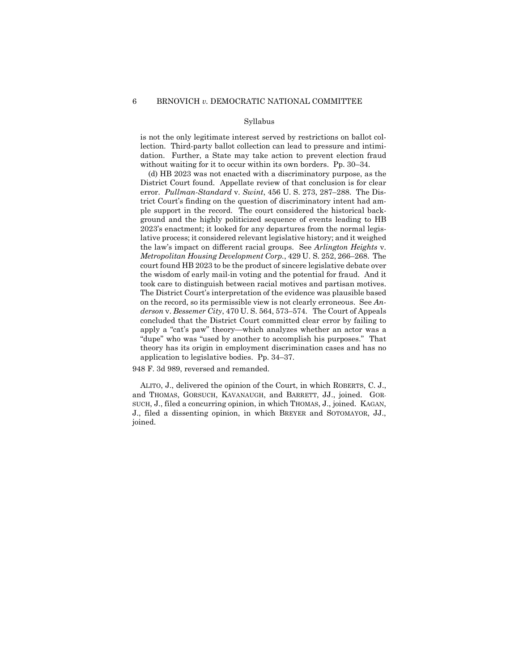is not the only legitimate interest served by restrictions on ballot collection. Third-party ballot collection can lead to pressure and intimidation. Further, a State may take action to prevent election fraud without waiting for it to occur within its own borders. Pp. 30–34.

(d) HB 2023 was not enacted with a discriminatory purpose, as the District Court found. Appellate review of that conclusion is for clear error. *Pullman-Standard* v. *Swint*, 456 U. S. 273, 287–288. The District Court's finding on the question of discriminatory intent had ample support in the record. The court considered the historical background and the highly politicized sequence of events leading to HB 2023's enactment; it looked for any departures from the normal legislative process; it considered relevant legislative history; and it weighed the law's impact on different racial groups. See *Arlington Heights* v. *Metropolitan Housing Development Corp.*, 429 U. S. 252, 266–268. The court found HB 2023 to be the product of sincere legislative debate over the wisdom of early mail-in voting and the potential for fraud. And it took care to distinguish between racial motives and partisan motives. The District Court's interpretation of the evidence was plausible based on the record, so its permissible view is not clearly erroneous. See *Anderson* v. *Bessemer City*, 470 U. S. 564, 573–574. The Court of Appeals concluded that the District Court committed clear error by failing to apply a "cat's paw" theory—which analyzes whether an actor was a "dupe" who was "used by another to accomplish his purposes." That theory has its origin in employment discrimination cases and has no application to legislative bodies. Pp. 34–37.

948 F. 3d 989, reversed and remanded.

 ALITO, J., delivered the opinion of the Court, in which ROBERTS, C. J., and THOMAS, GORSUCH, KAVANAUGH, and BARRETT, JJ., joined. GOR-SUCH, J., filed a concurring opinion, in which THOMAS, J., joined. KAGAN, J., filed a dissenting opinion, in which BREYER and SOTOMAYOR, JJ., joined.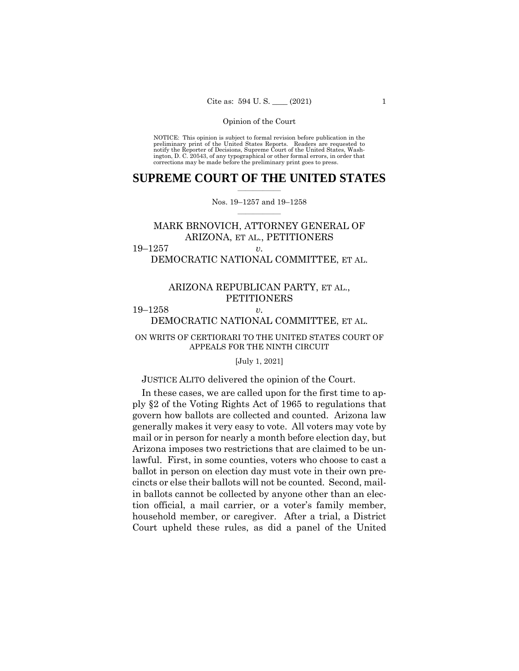NOTICE: This opinion is subject to formal revision before publication in the preliminary print of the United States Reports. Readers are requested to notify the Reporter of Decisions, Supreme Court of the United States, Washington, D. C. 20543, of any typographical or other formal errors, in order that corrections may be made before the preliminary print goes to press.

# **SUPREME COURT OF THE UNITED STATES**  $\overline{\phantom{a}}$  , where  $\overline{\phantom{a}}$

Nos. 19–1257 and 19–1258  $\overline{\phantom{a}}$  , where  $\overline{\phantom{a}}$ 

# MARK BRNOVICH, ATTORNEY GENERAL OF ARIZONA, ET AL., PETITIONERS

19–1257 *v.* DEMOCRATIC NATIONAL COMMITTEE, ET AL.

# ARIZONA REPUBLICAN PARTY, ET AL., PETITIONERS

# 19–1258 *v.* DEMOCRATIC NATIONAL COMMITTEE, ET AL.

## ON WRITS OF CERTIORARI TO THE UNITED STATES COURT OF APPEALS FOR THE NINTH CIRCUIT

## [July 1, 2021]

### JUSTICE ALITO delivered the opinion of the Court.

In these cases, we are called upon for the first time to apply §2 of the Voting Rights Act of 1965 to regulations that govern how ballots are collected and counted. Arizona law generally makes it very easy to vote. All voters may vote by mail or in person for nearly a month before election day, but Arizona imposes two restrictions that are claimed to be unlawful. First, in some counties, voters who choose to cast a ballot in person on election day must vote in their own precincts or else their ballots will not be counted. Second, mailin ballots cannot be collected by anyone other than an election official, a mail carrier, or a voter's family member, household member, or caregiver. After a trial, a District Court upheld these rules, as did a panel of the United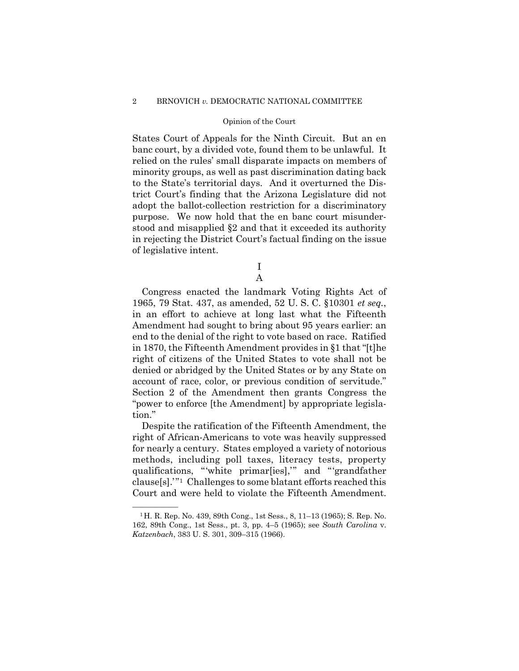#### 2 BRNOVICH *v.* DEMOCRATIC NATIONAL COMMITTEE

#### Opinion of the Court

States Court of Appeals for the Ninth Circuit. But an en banc court, by a divided vote, found them to be unlawful. It relied on the rules' small disparate impacts on members of minority groups, as well as past discrimination dating back to the State's territorial days. And it overturned the District Court's finding that the Arizona Legislature did not adopt the ballot-collection restriction for a discriminatory purpose. We now hold that the en banc court misunderstood and misapplied §2 and that it exceeded its authority in rejecting the District Court's factual finding on the issue of legislative intent.

> I A

Congress enacted the landmark Voting Rights Act of 1965, 79 Stat. 437, as amended, 52 U. S. C. §10301 *et seq.*, in an effort to achieve at long last what the Fifteenth Amendment had sought to bring about 95 years earlier: an end to the denial of the right to vote based on race. Ratified in 1870, the Fifteenth Amendment provides in §1 that "[t]he right of citizens of the United States to vote shall not be denied or abridged by the United States or by any State on account of race, color, or previous condition of servitude." Section 2 of the Amendment then grants Congress the "power to enforce [the Amendment] by appropriate legislation."

Despite the ratification of the Fifteenth Amendment, the right of African-Americans to vote was heavily suppressed for nearly a century. States employed a variety of notorious methods, including poll taxes, literacy tests, property qualifications, "'white primar[ies],'" and "'grandfather clause[s].'"[1](#page-7-0) Challenges to some blatant efforts reached this Court and were held to violate the Fifteenth Amendment.

<span id="page-7-0"></span><sup>&</sup>lt;sup>1</sup>H. R. Rep. No. 439, 89th Cong., 1st Sess., 8, 11-13 (1965); S. Rep. No. 162, 89th Cong., 1st Sess., pt. 3, pp. 4–5 (1965); see *South Carolina* v. *Katzenbach*, 383 U. S. 301, 309–315 (1966).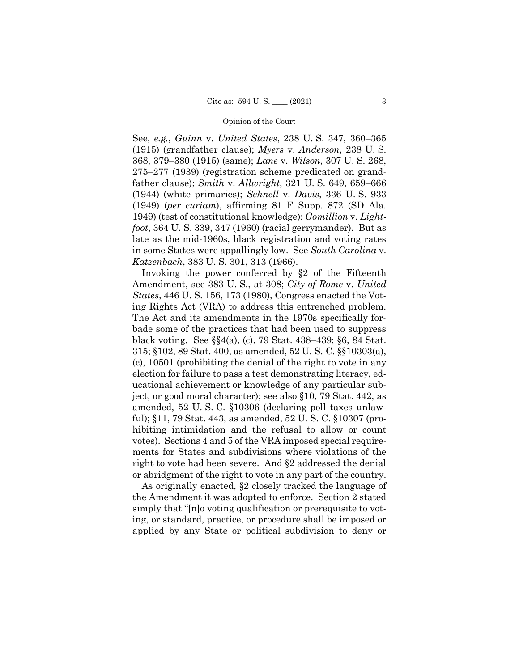See, *e.g.*, *Guinn* v. *United States*, 238 U. S. 347, 360–365 (1915) (grandfather clause); *Myers* v. *Anderson*, 238 U. S. 368, 379–380 (1915) (same); *Lane* v. *Wilson*, 307 U. S. 268, 275–277 (1939) (registration scheme predicated on grandfather clause); *Smith* v. *Allwright*, 321 U. S. 649, 659–666 (1944) (white primaries); *Schnell* v. *Davis*, 336 U. S. 933 (1949) (*per curiam*), affirming 81 F. Supp. 872 (SD Ala. 1949) (test of constitutional knowledge); *Gomillion* v. *Lightfoot*, 364 U. S. 339, 347 (1960) (racial gerrymander). But as late as the mid-1960s, black registration and voting rates in some States were appallingly low. See *South Carolina* v. *Katzenbach*, 383 U. S. 301, 313 (1966).

Invoking the power conferred by §2 of the Fifteenth Amendment, see 383 U. S., at 308; *City of Rome* v. *United States*, 446 U. S. 156, 173 (1980), Congress enacted the Voting Rights Act (VRA) to address this entrenched problem. The Act and its amendments in the 1970s specifically forbade some of the practices that had been used to suppress black voting. See §§4(a), (c), 79 Stat. 438–439; §6, 84 Stat. 315; §102, 89 Stat. 400, as amended, 52 U. S. C. §§10303(a), (c), 10501 (prohibiting the denial of the right to vote in any election for failure to pass a test demonstrating literacy, educational achievement or knowledge of any particular subject, or good moral character); see also §10, 79 Stat. 442, as amended, 52 U. S. C. §10306 (declaring poll taxes unlawful); §11, 79 Stat. 443, as amended, 52 U. S. C. §10307 (prohibiting intimidation and the refusal to allow or count votes). Sections 4 and 5 of the VRA imposed special requirements for States and subdivisions where violations of the right to vote had been severe. And §2 addressed the denial or abridgment of the right to vote in any part of the country.

As originally enacted, §2 closely tracked the language of the Amendment it was adopted to enforce. Section 2 stated simply that "[n]o voting qualification or prerequisite to voting, or standard, practice, or procedure shall be imposed or applied by any State or political subdivision to deny or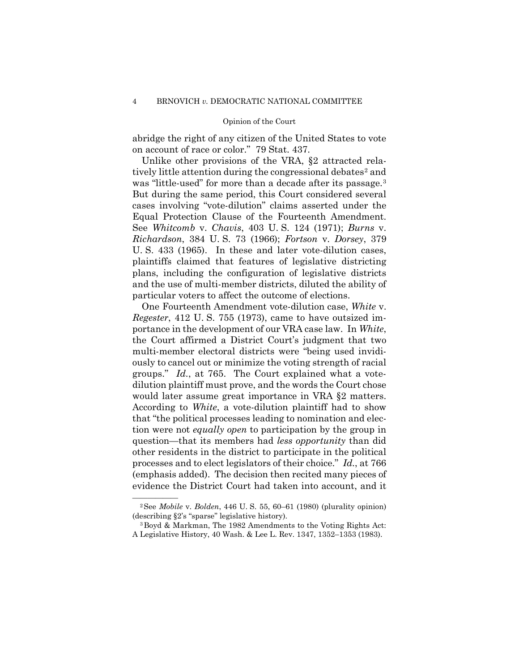abridge the right of any citizen of the United States to vote on account of race or color." 79 Stat. 437.

Unlike other provisions of the VRA, §2 attracted rela-tively little attention during the congressional debates<sup>[2](#page-9-0)</sup> and was "little-used" for more than a decade after its passage.<sup>3</sup> But during the same period, this Court considered several cases involving "vote-dilution" claims asserted under the Equal Protection Clause of the Fourteenth Amendment. See *Whitcomb* v. *Chavis*, 403 U. S. 124 (1971); *Burns* v. *Richardson*, 384 U. S. 73 (1966); *Fortson* v. *Dorsey*, 379 U. S. 433 (1965). In these and later vote-dilution cases, plaintiffs claimed that features of legislative districting plans, including the configuration of legislative districts and the use of multi-member districts, diluted the ability of particular voters to affect the outcome of elections.

One Fourteenth Amendment vote-dilution case, *White* v. *Regester*, 412 U. S. 755 (1973), came to have outsized importance in the development of our VRA case law. In *White*, the Court affirmed a District Court's judgment that two multi-member electoral districts were "being used invidiously to cancel out or minimize the voting strength of racial groups." *Id.*, at 765. The Court explained what a votedilution plaintiff must prove, and the words the Court chose would later assume great importance in VRA §2 matters. According to *White*, a vote-dilution plaintiff had to show that "the political processes leading to nomination and election were not *equally open* to participation by the group in question—that its members had *less opportunity* than did other residents in the district to participate in the political processes and to elect legislators of their choice." *Id.*, at 766 (emphasis added). The decision then recited many pieces of evidence the District Court had taken into account, and it

<span id="page-9-0"></span><sup>—————— 2</sup>See *Mobile* v. *Bolden*, 446 U. S. 55, 60–61 (1980) (plurality opinion) (describing §2's "sparse" legislative history).

<span id="page-9-1"></span><sup>3</sup>Boyd & Markman, The 1982 Amendments to the Voting Rights Act: A Legislative History, 40 Wash. & Lee L. Rev. 1347, 1352–1353 (1983).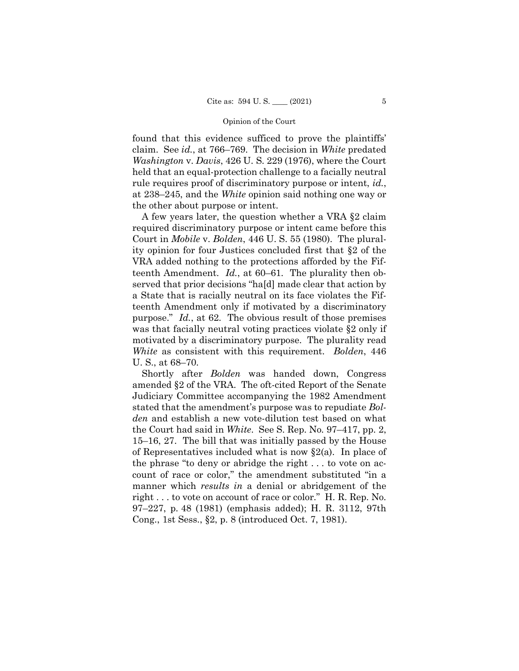found that this evidence sufficed to prove the plaintiffs' claim. See *id.*, at 766–769. The decision in *White* predated *Washington* v. *Davis*, 426 U. S. 229 (1976), where the Court held that an equal-protection challenge to a facially neutral rule requires proof of discriminatory purpose or intent, *id.*, at 238–245, and the *White* opinion said nothing one way or the other about purpose or intent.

A few years later, the question whether a VRA §2 claim required discriminatory purpose or intent came before this Court in *Mobile* v. *Bolden*, 446 U. S. 55 (1980). The plurality opinion for four Justices concluded first that §2 of the VRA added nothing to the protections afforded by the Fifteenth Amendment. *Id.*, at 60–61. The plurality then observed that prior decisions "ha[d] made clear that action by a State that is racially neutral on its face violates the Fifteenth Amendment only if motivated by a discriminatory purpose." *Id.*, at 62. The obvious result of those premises was that facially neutral voting practices violate §2 only if motivated by a discriminatory purpose. The plurality read *White* as consistent with this requirement. *Bolden*, 446 U. S., at 68–70.

Shortly after *Bolden* was handed down, Congress amended §2 of the VRA. The oft-cited Report of the Senate Judiciary Committee accompanying the 1982 Amendment stated that the amendment's purpose was to repudiate *Bolden* and establish a new vote-dilution test based on what the Court had said in *White*.See S. Rep. No. 97–417, pp. 2, 15–16, 27. The bill that was initially passed by the House of Representatives included what is now §2(a). In place of the phrase "to deny or abridge the right . . . to vote on account of race or color," the amendment substituted "in a manner which *results in* a denial or abridgement of the right . . . to vote on account of race or color." H. R. Rep. No. 97–227, p. 48 (1981) (emphasis added); H. R. 3112, 97th Cong., 1st Sess., §2, p. 8 (introduced Oct. 7, 1981).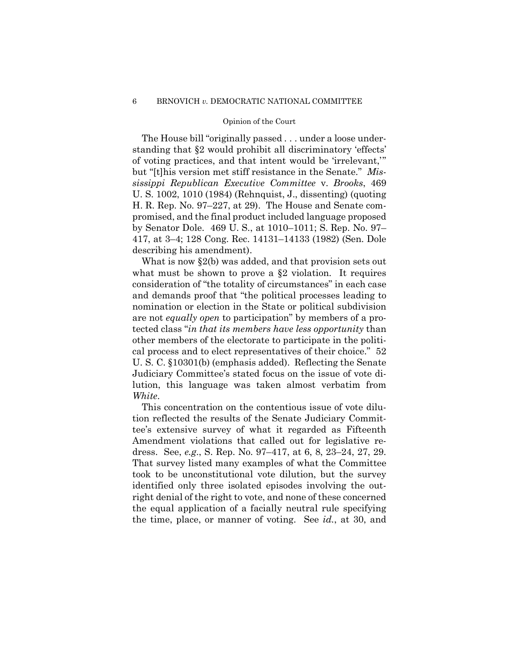The House bill "originally passed . . . under a loose understanding that §2 would prohibit all discriminatory 'effects' of voting practices, and that intent would be 'irrelevant,'" but "[t]his version met stiff resistance in the Senate." *Mississippi Republican Executive Committee* v. *Brooks*, 469 U. S. 1002, 1010 (1984) (Rehnquist, J., dissenting) (quoting H. R. Rep. No. 97–227, at 29). The House and Senate compromised, and the final product included language proposed by Senator Dole. 469 U. S., at 1010–1011; S. Rep. No. 97– 417, at 3–4; 128 Cong. Rec. 14131–14133 (1982) (Sen. Dole describing his amendment).

What is now §2(b) was added, and that provision sets out what must be shown to prove a §2 violation. It requires consideration of "the totality of circumstances" in each case and demands proof that "the political processes leading to nomination or election in the State or political subdivision are not *equally open* to participation" by members of a protected class "*in that its members have less opportunity* than other members of the electorate to participate in the political process and to elect representatives of their choice." 52 U. S. C. §10301(b) (emphasis added). Reflecting the Senate Judiciary Committee's stated focus on the issue of vote dilution, this language was taken almost verbatim from *White*.

This concentration on the contentious issue of vote dilution reflected the results of the Senate Judiciary Committee's extensive survey of what it regarded as Fifteenth Amendment violations that called out for legislative redress. See, *e.g*., S. Rep. No. 97–417, at 6, 8, 23–24, 27, 29. That survey listed many examples of what the Committee took to be unconstitutional vote dilution, but the survey identified only three isolated episodes involving the outright denial of the right to vote, and none of these concerned the equal application of a facially neutral rule specifying the time, place, or manner of voting. See *id.*, at 30, and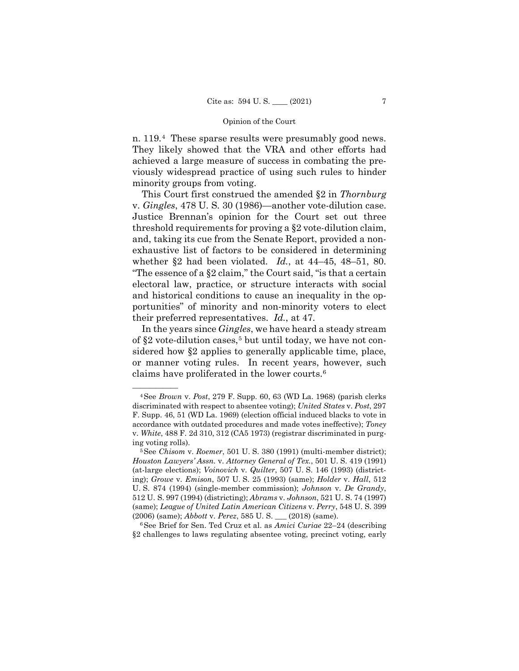n. 119.[4](#page-12-0) These sparse results were presumably good news. They likely showed that the VRA and other efforts had achieved a large measure of success in combating the previously widespread practice of using such rules to hinder minority groups from voting.

This Court first construed the amended §2 in *Thornburg* v. *Gingles*, 478 U. S. 30 (1986)—another vote-dilution case. Justice Brennan's opinion for the Court set out three threshold requirements for proving a §2 vote-dilution claim, and, taking its cue from the Senate Report, provided a nonexhaustive list of factors to be considered in determining whether §2 had been violated. *Id.*, at 44–45, 48–51, 80. "The essence of a §2 claim," the Court said, "is that a certain electoral law, practice, or structure interacts with social and historical conditions to cause an inequality in the opportunities" of minority and non-minority voters to elect their preferred representatives. *Id.*, at 47.

In the years since *Gingles*, we have heard a steady stream of  $\S2$  vote-dilution cases,<sup>[5](#page-12-1)</sup> but until today, we have not considered how §2 applies to generally applicable time, place, or manner voting rules. In recent years, however, such claims have proliferated in the lower courts.[6](#page-12-2)

<span id="page-12-2"></span>6See Brief for Sen. Ted Cruz et al. as *Amici Curiae* 22–24 (describing §2 challenges to laws regulating absentee voting, precinct voting, early

<span id="page-12-0"></span><sup>—————— 4</sup>See *Brown* v. *Post*, 279 F. Supp. 60, 63 (WD La. 1968) (parish clerks discriminated with respect to absentee voting); *United States* v. *Post*, 297 F. Supp. 46, 51 (WD La. 1969) (election official induced blacks to vote in accordance with outdated procedures and made votes ineffective); *Toney*  v. *White*, 488 F. 2d 310, 312 (CA5 1973) (registrar discriminated in purging voting rolls).

<span id="page-12-1"></span><sup>5</sup>See *Chisom* v. *Roemer*, 501 U. S. 380 (1991) (multi-member district); *Houston Lawyers' Assn.* v. *Attorney General of Tex.*, 501 U. S. 419 (1991) (at-large elections); *Voinovich* v. *Quilter*, 507 U. S. 146 (1993) (districting); *Growe* v. *Emison*, 507 U. S. 25 (1993) (same); *Holder* v. *Hall*, 512 U. S. 874 (1994) (single-member commission); *Johnson* v. *De Grandy*, 512 U. S. 997 (1994) (districting); *Abrams* v. *Johnson*, 521 U. S. 74 (1997) (same); *League of United Latin American Citizens* v. *Perry*, 548 U. S. 399 (2006) (same); *Abbott* v. *Perez*, 585 U. S. \_\_\_ (2018) (same).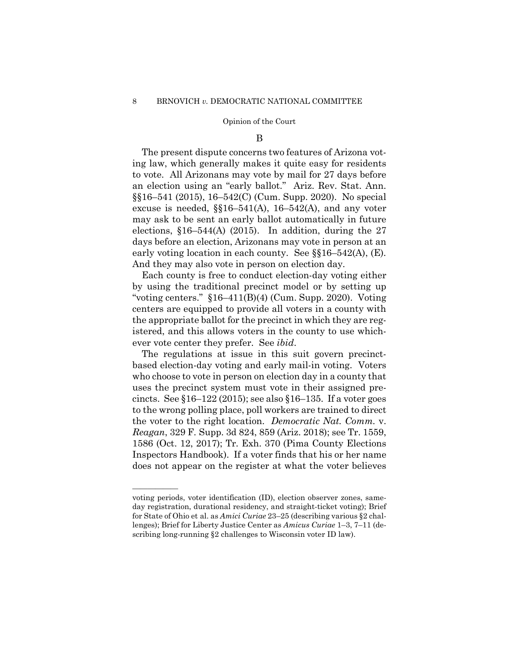#### B

The present dispute concerns two features of Arizona voting law, which generally makes it quite easy for residents to vote. All Arizonans may vote by mail for 27 days before an election using an "early ballot." Ariz. Rev. Stat. Ann. §§16–541 (2015), 16–542(C) (Cum. Supp. 2020). No special excuse is needed,  $\S$  $16-541(A)$ ,  $16-542(A)$ , and any voter may ask to be sent an early ballot automatically in future elections,  $$16-544(A)$  (2015). In addition, during the 27 days before an election, Arizonans may vote in person at an early voting location in each county. See  $\S$  $16-542$ (A), (E). And they may also vote in person on election day.

Each county is free to conduct election-day voting either by using the traditional precinct model or by setting up "voting centers."  $$16-411(B)(4)$  (Cum. Supp. 2020). Voting centers are equipped to provide all voters in a county with the appropriate ballot for the precinct in which they are registered, and this allows voters in the county to use whichever vote center they prefer. See *ibid*.

The regulations at issue in this suit govern precinctbased election-day voting and early mail-in voting. Voters who choose to vote in person on election day in a county that uses the precinct system must vote in their assigned precincts. See  $\S16-122$  (2015); see also  $\S16-135$ . If a voter goes to the wrong polling place, poll workers are trained to direct the voter to the right location. *Democratic Nat. Comm.* v. *Reagan*, 329 F. Supp. 3d 824, 859 (Ariz. 2018); see Tr. 1559, 1586 (Oct. 12, 2017); Tr. Exh. 370 (Pima County Elections Inspectors Handbook). If a voter finds that his or her name does not appear on the register at what the voter believes

——————

voting periods, voter identification (ID), election observer zones, sameday registration, durational residency, and straight-ticket voting); Brief for State of Ohio et al. as *Amici Curiae* 23–25 (describing various §2 challenges); Brief for Liberty Justice Center as *Amicus Curiae* 1–3, 7–11 (describing long-running §2 challenges to Wisconsin voter ID law).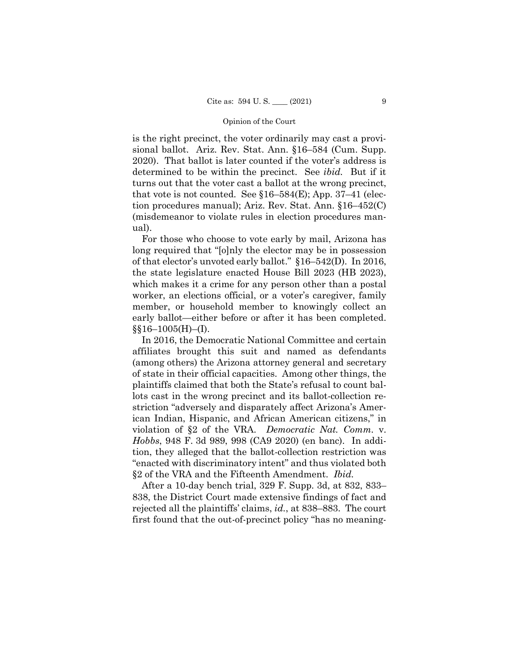is the right precinct, the voter ordinarily may cast a provisional ballot. Ariz. Rev. Stat. Ann. §16–584 (Cum. Supp. 2020). That ballot is later counted if the voter's address is determined to be within the precinct. See *ibid.* But if it turns out that the voter cast a ballot at the wrong precinct, that vote is not counted. See  $$16–584(E)$ ; App. 37–41 (election procedures manual); Ariz. Rev. Stat. Ann. §16–452(C) (misdemeanor to violate rules in election procedures manual).

For those who choose to vote early by mail, Arizona has long required that "[o]nly the elector may be in possession of that elector's unvoted early ballot." §16–542(D). In 2016, the state legislature enacted House Bill 2023 (HB 2023), which makes it a crime for any person other than a postal worker, an elections official, or a voter's caregiver, family member, or household member to knowingly collect an early ballot—either before or after it has been completed.  $\S$ §16–1005(H)–(I).

In 2016, the Democratic National Committee and certain affiliates brought this suit and named as defendants (among others) the Arizona attorney general and secretary of state in their official capacities. Among other things, the plaintiffs claimed that both the State's refusal to count ballots cast in the wrong precinct and its ballot-collection restriction "adversely and disparately affect Arizona's American Indian, Hispanic, and African American citizens," in violation of §2 of the VRA. *Democratic Nat. Comm.* v. *Hobbs*, 948 F. 3d 989, 998 (CA9 2020) (en banc). In addition, they alleged that the ballot-collection restriction was "enacted with discriminatory intent" and thus violated both §2 of the VRA and the Fifteenth Amendment. *Ibid.*

After a 10-day bench trial, 329 F. Supp. 3d, at 832, 833– 838, the District Court made extensive findings of fact and rejected all the plaintiffs' claims, *id.*, at 838–883. The court first found that the out-of-precinct policy "has no meaning-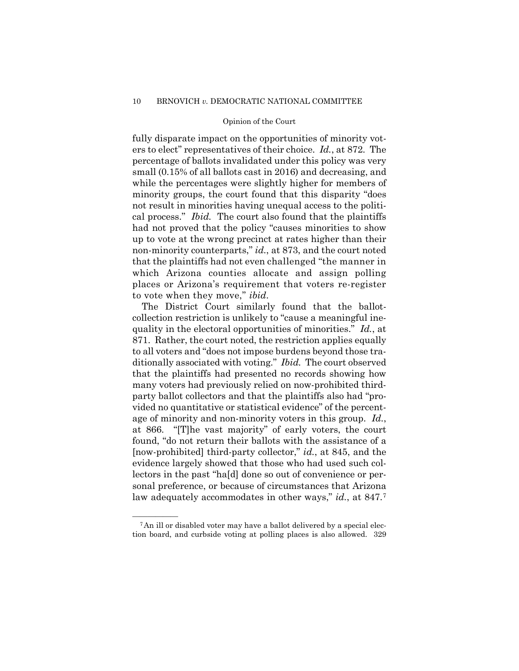fully disparate impact on the opportunities of minority voters to elect" representatives of their choice. *Id.*, at 872. The percentage of ballots invalidated under this policy was very small (0.15% of all ballots cast in 2016) and decreasing, and while the percentages were slightly higher for members of minority groups, the court found that this disparity "does not result in minorities having unequal access to the political process." *Ibid.* The court also found that the plaintiffs had not proved that the policy "causes minorities to show up to vote at the wrong precinct at rates higher than their non-minority counterparts," *id.*, at 873, and the court noted that the plaintiffs had not even challenged "the manner in which Arizona counties allocate and assign polling places or Arizona's requirement that voters re-register to vote when they move," *ibid*.

The District Court similarly found that the ballotcollection restriction is unlikely to "cause a meaningful inequality in the electoral opportunities of minorities." *Id.*, at 871. Rather, the court noted, the restriction applies equally to all voters and "does not impose burdens beyond those traditionally associated with voting." *Ibid.* The court observed that the plaintiffs had presented no records showing how many voters had previously relied on now-prohibited thirdparty ballot collectors and that the plaintiffs also had "provided no quantitative or statistical evidence" of the percentage of minority and non-minority voters in this group. *Id.*, at 866. "[T]he vast majority" of early voters, the court found, "do not return their ballots with the assistance of a [now-prohibited] third-party collector," *id.*, at 845, and the evidence largely showed that those who had used such collectors in the past "ha[d] done so out of convenience or personal preference, or because of circumstances that Arizona law adequately accommodates in other ways," *id.*, at 847.[7](#page-15-0) 

<span id="page-15-0"></span><sup>&</sup>lt;sup>7</sup>An ill or disabled voter may have a ballot delivered by a special election board, and curbside voting at polling places is also allowed. 329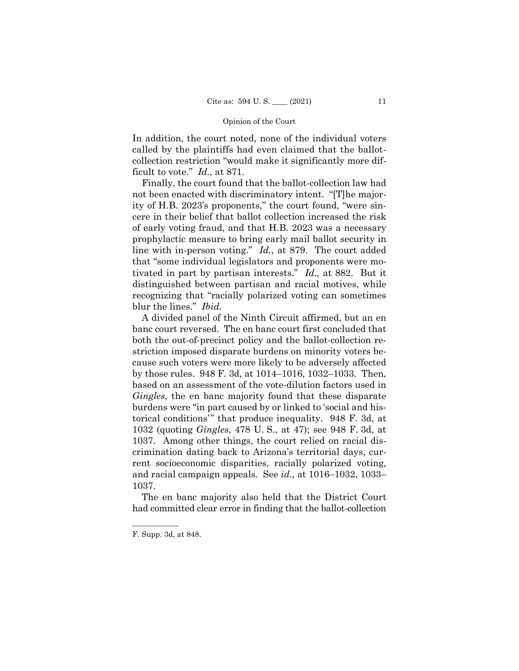In addition, the court noted, none of the individual voters called by the plaintiffs had even claimed that the ballotcollection restriction "would make it significantly more difficult to vote." *Id.*, at 871.

Finally, the court found that the ballot-collection law had not been enacted with discriminatory intent. "[T]he majority of H.B. 2023's proponents," the court found, "were sincere in their belief that ballot collection increased the risk of early voting fraud, and that H.B. 2023 was a necessary prophylactic measure to bring early mail ballot security in line with in-person voting." *Id.*, at 879. The court added that "some individual legislators and proponents were motivated in part by partisan interests." *Id.,* at 882. But it distinguished between partisan and racial motives, while recognizing that "racially polarized voting can sometimes blur the lines." *Ibid.*

A divided panel of the Ninth Circuit affirmed, but an en banc court reversed. The en banc court first concluded that both the out-of-precinct policy and the ballot-collection restriction imposed disparate burdens on minority voters because such voters were more likely to be adversely affected by those rules. 948 F. 3d, at 1014–1016, 1032–1033. Then, based on an assessment of the vote-dilution factors used in *Gingles*, the en banc majority found that these disparate burdens were "in part caused by or linked to 'social and historical conditions'" that produce inequality. 948 F. 3d, at 1032 (quoting *Gingles*, 478 U. S., at 47); see 948 F. 3d, at 1037. Among other things, the court relied on racial discrimination dating back to Arizona's territorial days, current socioeconomic disparities, racially polarized voting, and racial campaign appeals. See *id*., at 1016–1032, 1033– 1037.

The en banc majority also held that the District Court had committed clear error in finding that the ballot-collection

——————

F. Supp. 3d, at 848.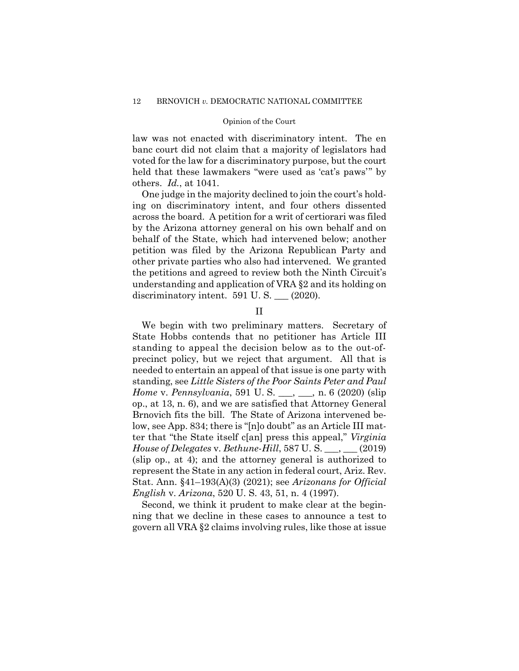law was not enacted with discriminatory intent. The en banc court did not claim that a majority of legislators had voted for the law for a discriminatory purpose, but the court held that these lawmakers "were used as 'cat's paws'" by others. *Id.*, at 1041.

One judge in the majority declined to join the court's holding on discriminatory intent, and four others dissented across the board. A petition for a writ of certiorari was filed by the Arizona attorney general on his own behalf and on behalf of the State, which had intervened below; another petition was filed by the Arizona Republican Party and other private parties who also had intervened. We granted the petitions and agreed to review both the Ninth Circuit's understanding and application of VRA §2 and its holding on discriminatory intent. 591 U.S. \_\_ (2020).

## II

We begin with two preliminary matters. Secretary of State Hobbs contends that no petitioner has Article III standing to appeal the decision below as to the out-ofprecinct policy, but we reject that argument. All that is needed to entertain an appeal of that issue is one party with standing, see *Little Sisters of the Poor Saints Peter and Paul Home* v. *Pennsylvania*, 591 U.S. \_\_, \_\_, n. 6 (2020) (slip op., at 13, n. 6), and we are satisfied that Attorney General Brnovich fits the bill. The State of Arizona intervened below, see App. 834; there is "[n]o doubt" as an Article III matter that "the State itself c[an] press this appeal," *Virginia House of Delegates* v. *Bethune-Hill*, 587 U. S. \_\_\_, \_\_\_ (2019) (slip op., at 4); and the attorney general is authorized to represent the State in any action in federal court, Ariz. Rev. Stat. Ann. §41–193(A)(3) (2021); see *Arizonans for Official English* v. *Arizona*, 520 U. S. 43, 51, n. 4 (1997).

Second, we think it prudent to make clear at the beginning that we decline in these cases to announce a test to govern all VRA §2 claims involving rules, like those at issue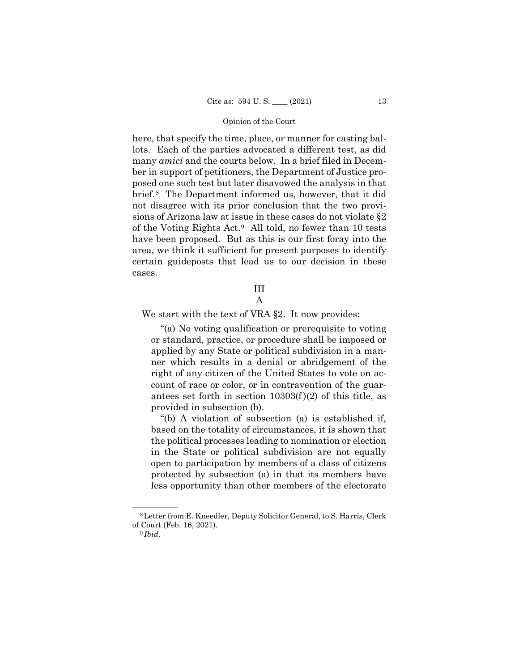here, that specify the time, place, or manner for casting ballots. Each of the parties advocated a different test, as did many *amici* and the courts below. In a brief filed in December in support of petitioners, the Department of Justice proposed one such test but later disavowed the analysis in that brief.[8](#page-18-0) The Department informed us, however, that it did not disagree with its prior conclusion that the two provisions of Arizona law at issue in these cases do not violate §2 of the Voting Rights Act.[9](#page-18-1) All told, no fewer than 10 tests have been proposed. But as this is our first foray into the area, we think it sufficient for present purposes to identify certain guideposts that lead us to our decision in these cases.

# III

A

We start with the text of VRA §2. It now provides:

 "(a) No voting qualification or prerequisite to voting or standard, practice, or procedure shall be imposed or applied by any State or political subdivision in a manner which results in a denial or abridgement of the right of any citizen of the United States to vote on account of race or color, or in contravention of the guarantees set forth in section  $10303(f)(2)$  of this title, as provided in subsection (b).

 "(b) A violation of subsection (a) is established if, based on the totality of circumstances, it is shown that the political processes leading to nomination or election in the State or political subdivision are not equally open to participation by members of a class of citizens protected by subsection (a) in that its members have less opportunity than other members of the electorate

<span id="page-18-1"></span><span id="page-18-0"></span><sup>&</sup>lt;sup>8</sup> Letter from E. Kneedler, Deputy Solicitor General, to S. Harris, Clerk of Court (Feb. 16, 2021). 9 *Ibid.*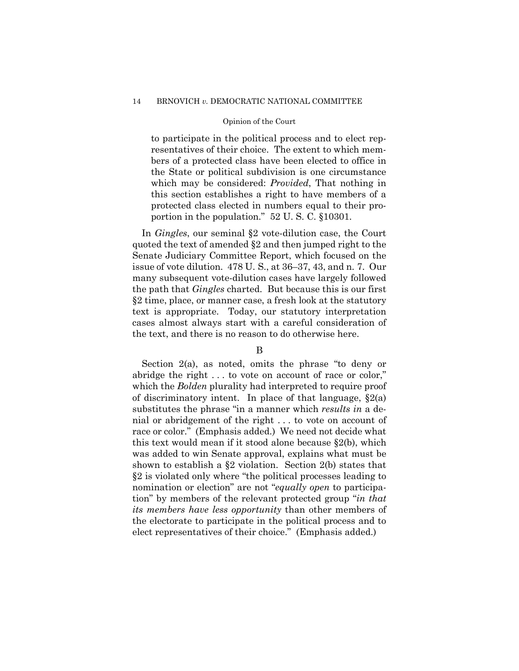#### 14 BRNOVICH *v.* DEMOCRATIC NATIONAL COMMITTEE

#### Opinion of the Court

to participate in the political process and to elect representatives of their choice. The extent to which members of a protected class have been elected to office in the State or political subdivision is one circumstance which may be considered: *Provided*, That nothing in this section establishes a right to have members of a protected class elected in numbers equal to their proportion in the population." 52 U. S. C. §10301.

In *Gingles*, our seminal §2 vote-dilution case, the Court quoted the text of amended §2 and then jumped right to the Senate Judiciary Committee Report, which focused on the issue of vote dilution. 478 U. S., at 36–37, 43, and n. 7. Our many subsequent vote-dilution cases have largely followed the path that *Gingles* charted. But because this is our first §2 time, place, or manner case, a fresh look at the statutory text is appropriate. Today, our statutory interpretation cases almost always start with a careful consideration of the text, and there is no reason to do otherwise here.

# B

Section 2(a), as noted, omits the phrase "to deny or abridge the right . . . to vote on account of race or color," which the *Bolden* plurality had interpreted to require proof of discriminatory intent. In place of that language,  $\S 2(a)$ substitutes the phrase "in a manner which *results in* a denial or abridgement of the right . . . to vote on account of race or color." (Emphasis added.) We need not decide what this text would mean if it stood alone because §2(b), which was added to win Senate approval, explains what must be shown to establish a §2 violation. Section 2(b) states that §2 is violated only where "the political processes leading to nomination or election" are not "*equally open* to participation" by members of the relevant protected group "*in that its members have less opportunity* than other members of the electorate to participate in the political process and to elect representatives of their choice." (Emphasis added.)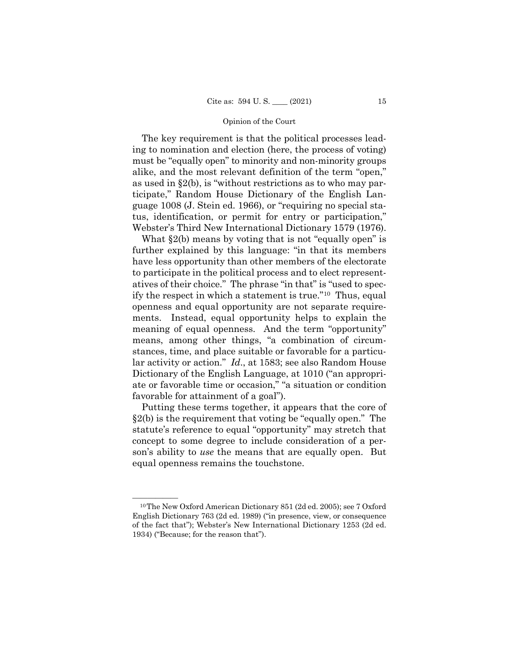The key requirement is that the political processes leading to nomination and election (here, the process of voting) must be "equally open" to minority and non-minority groups alike, and the most relevant definition of the term "open," as used in §2(b), is "without restrictions as to who may participate," Random House Dictionary of the English Language 1008 (J. Stein ed. 1966), or "requiring no special status, identification, or permit for entry or participation," Webster's Third New International Dictionary 1579 (1976).

What  $\S2(b)$  means by voting that is not "equally open" is further explained by this language: "in that its members have less opportunity than other members of the electorate to participate in the political process and to elect representatives of their choice." The phrase "in that" is "used to specify the respect in which a statement is true."[10](#page-20-0) Thus, equal openness and equal opportunity are not separate requirements. Instead, equal opportunity helps to explain the meaning of equal openness. And the term "opportunity" means, among other things, "a combination of circumstances, time, and place suitable or favorable for a particular activity or action." *Id*., at 1583; see also Random House Dictionary of the English Language, at 1010 ("an appropriate or favorable time or occasion," "a situation or condition favorable for attainment of a goal").

Putting these terms together, it appears that the core of §2(b) is the requirement that voting be "equally open." The statute's reference to equal "opportunity" may stretch that concept to some degree to include consideration of a person's ability to *use* the means that are equally open. But equal openness remains the touchstone.

<span id="page-20-0"></span> $10$ The New Oxford American Dictionary 851 (2d ed. 2005); see 7 Oxford English Dictionary 763 (2d ed. 1989) ("in presence, view, or consequence of the fact that"); Webster's New International Dictionary 1253 (2d ed. 1934) ("Because; for the reason that").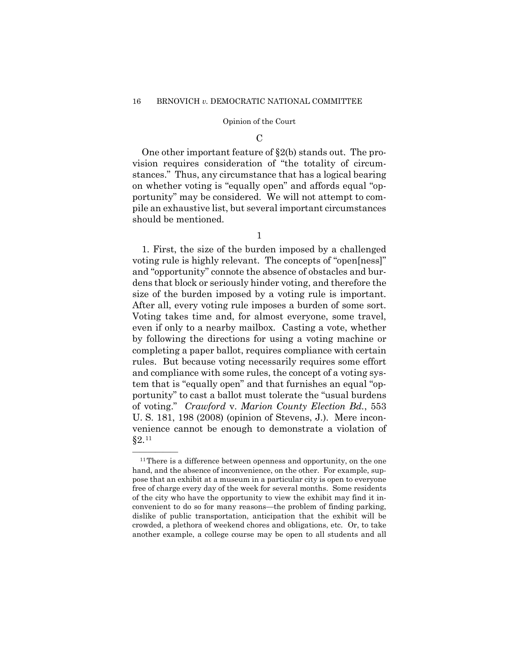#### $\mathcal{C}$

One other important feature of §2(b) stands out. The provision requires consideration of "the totality of circumstances." Thus, any circumstance that has a logical bearing on whether voting is "equally open" and affords equal "opportunity" may be considered. We will not attempt to compile an exhaustive list, but several important circumstances should be mentioned.

1

1. First, the size of the burden imposed by a challenged voting rule is highly relevant. The concepts of "open[ness]" and "opportunity" connote the absence of obstacles and burdens that block or seriously hinder voting, and therefore the size of the burden imposed by a voting rule is important. After all, every voting rule imposes a burden of some sort. Voting takes time and, for almost everyone, some travel, even if only to a nearby mailbox. Casting a vote, whether by following the directions for using a voting machine or completing a paper ballot, requires compliance with certain rules. But because voting necessarily requires some effort and compliance with some rules, the concept of a voting system that is "equally open" and that furnishes an equal "opportunity" to cast a ballot must tolerate the "usual burdens of voting." *Crawford* v. *Marion County Election Bd.*, 553 U. S. 181, 198 (2008) (opinion of Stevens, J.). Mere inconvenience cannot be enough to demonstrate a violation of §2.[11](#page-21-0)

<span id="page-21-0"></span> $11$ There is a difference between openness and opportunity, on the one hand, and the absence of inconvenience, on the other. For example, suppose that an exhibit at a museum in a particular city is open to everyone free of charge every day of the week for several months. Some residents of the city who have the opportunity to view the exhibit may find it inconvenient to do so for many reasons—the problem of finding parking, dislike of public transportation, anticipation that the exhibit will be crowded, a plethora of weekend chores and obligations, etc. Or, to take another example, a college course may be open to all students and all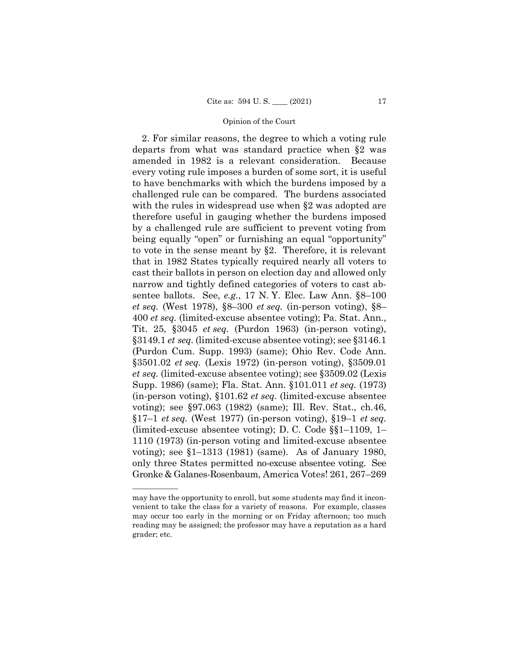2. For similar reasons, the degree to which a voting rule departs from what was standard practice when §2 was amended in 1982 is a relevant consideration. Because every voting rule imposes a burden of some sort, it is useful to have benchmarks with which the burdens imposed by a challenged rule can be compared. The burdens associated with the rules in widespread use when  $\S2$  was adopted are therefore useful in gauging whether the burdens imposed by a challenged rule are sufficient to prevent voting from being equally "open" or furnishing an equal "opportunity" to vote in the sense meant by §2. Therefore, it is relevant that in 1982 States typically required nearly all voters to cast their ballots in person on election day and allowed only narrow and tightly defined categories of voters to cast absentee ballots. See, *e.g.*, 17 N. Y. Elec. Law Ann. §8–100 *et seq.* (West 1978), §8–300 *et seq.* (in-person voting), §8– 400 *et seq.* (limited-excuse absentee voting); Pa. Stat. Ann., Tit. 25, §3045 *et seq.* (Purdon 1963) (in-person voting), §3149.1 *et seq.* (limited-excuse absentee voting); see §3146.1 (Purdon Cum. Supp. 1993) (same); Ohio Rev. Code Ann. §3501.02 *et seq.* (Lexis 1972) (in-person voting), §3509.01 *et seq.* (limited-excuse absentee voting); see §3509.02 (Lexis Supp. 1986) (same); Fla. Stat. Ann. §101.011 *et seq.* (1973) (in-person voting), §101.62 *et seq.* (limited-excuse absentee voting); see §97.063 (1982) (same); Ill. Rev. Stat., ch.46, §17–1 *et seq.* (West 1977) (in-person voting), §19–1 *et seq.* (limited-excuse absentee voting); D. C. Code §§1–1109, 1– 1110 (1973) (in-person voting and limited-excuse absentee voting); see §1–1313 (1981) (same). As of January 1980, only three States permitted no-excuse absentee voting. See Gronke & Galanes-Rosenbaum, America Votes! 261, 267–269

——————

may have the opportunity to enroll, but some students may find it inconvenient to take the class for a variety of reasons. For example, classes may occur too early in the morning or on Friday afternoon; too much reading may be assigned; the professor may have a reputation as a hard grader; etc.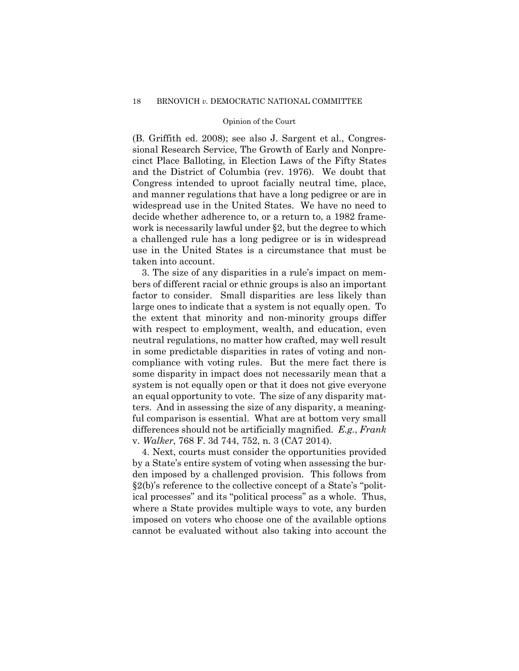(B. Griffith ed. 2008); see also J. Sargent et al., Congressional Research Service, The Growth of Early and Nonprecinct Place Balloting, in Election Laws of the Fifty States and the District of Columbia (rev. 1976). We doubt that Congress intended to uproot facially neutral time, place, and manner regulations that have a long pedigree or are in widespread use in the United States. We have no need to decide whether adherence to, or a return to, a 1982 framework is necessarily lawful under §2, but the degree to which a challenged rule has a long pedigree or is in widespread use in the United States is a circumstance that must be taken into account.

3. The size of any disparities in a rule's impact on members of different racial or ethnic groups is also an important factor to consider. Small disparities are less likely than large ones to indicate that a system is not equally open. To the extent that minority and non-minority groups differ with respect to employment, wealth, and education, even neutral regulations, no matter how crafted, may well result in some predictable disparities in rates of voting and noncompliance with voting rules. But the mere fact there is some disparity in impact does not necessarily mean that a system is not equally open or that it does not give everyone an equal opportunity to vote. The size of any disparity matters. And in assessing the size of any disparity, a meaningful comparison is essential. What are at bottom very small differences should not be artificially magnified. *E.g.*, *Frank*  v. *Walker*, 768 F. 3d 744, 752, n. 3 (CA7 2014).

4. Next, courts must consider the opportunities provided by a State's entire system of voting when assessing the burden imposed by a challenged provision. This follows from §2(b)'s reference to the collective concept of a State's "political processes" and its "political process" as a whole. Thus, where a State provides multiple ways to vote, any burden imposed on voters who choose one of the available options cannot be evaluated without also taking into account the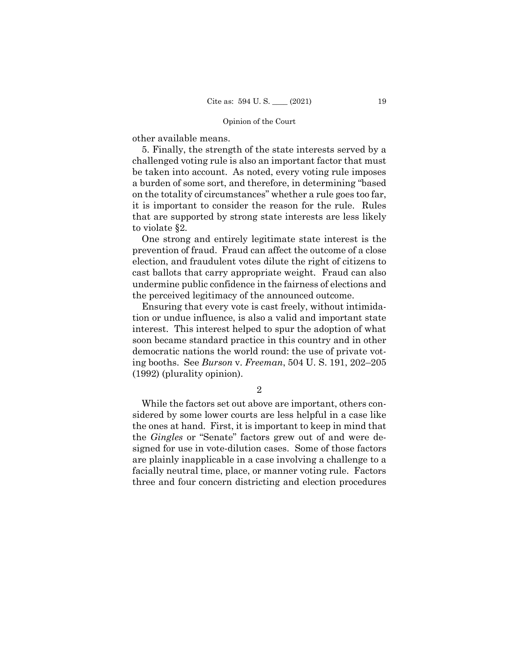other available means.

5. Finally, the strength of the state interests served by a challenged voting rule is also an important factor that must be taken into account. As noted, every voting rule imposes a burden of some sort, and therefore, in determining "based on the totality of circumstances" whether a rule goes too far, it is important to consider the reason for the rule. Rules that are supported by strong state interests are less likely to violate §2.

One strong and entirely legitimate state interest is the prevention of fraud. Fraud can affect the outcome of a close election, and fraudulent votes dilute the right of citizens to cast ballots that carry appropriate weight. Fraud can also undermine public confidence in the fairness of elections and the perceived legitimacy of the announced outcome.

Ensuring that every vote is cast freely, without intimidation or undue influence, is also a valid and important state interest. This interest helped to spur the adoption of what soon became standard practice in this country and in other democratic nations the world round: the use of private voting booths. See *Burson* v. *Freeman*, 504 U. S. 191, 202–205 (1992) (plurality opinion).

2

While the factors set out above are important, others considered by some lower courts are less helpful in a case like the ones at hand. First, it is important to keep in mind that the *Gingles* or "Senate" factors grew out of and were designed for use in vote-dilution cases. Some of those factors are plainly inapplicable in a case involving a challenge to a facially neutral time, place, or manner voting rule. Factors three and four concern districting and election procedures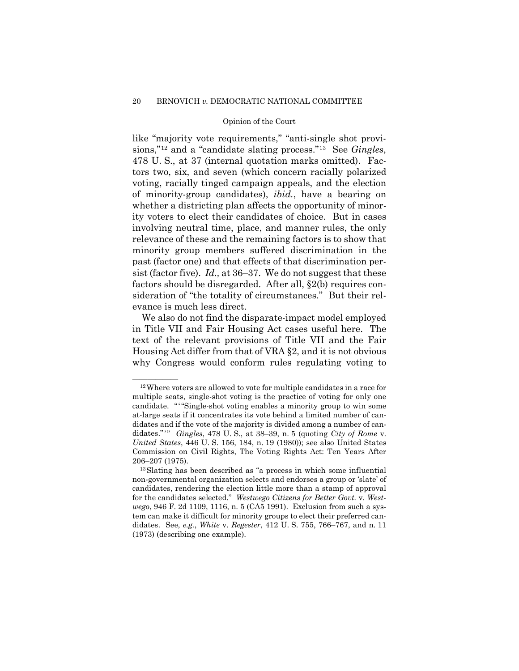like "majority vote requirements," "anti-single shot provisions,"[12](#page-25-0) and a "candidate slating process."[13](#page-25-1) See *Gingles*, 478 U. S., at 37 (internal quotation marks omitted). Factors two, six, and seven (which concern racially polarized voting, racially tinged campaign appeals, and the election of minority-group candidates), *ibid.*, have a bearing on whether a districting plan affects the opportunity of minority voters to elect their candidates of choice. But in cases involving neutral time, place, and manner rules, the only relevance of these and the remaining factors is to show that minority group members suffered discrimination in the past (factor one) and that effects of that discrimination persist (factor five). *Id.,* at 36–37. We do not suggest that these factors should be disregarded. After all, §2(b) requires consideration of "the totality of circumstances." But their relevance is much less direct.

We also do not find the disparate-impact model employed in Title VII and Fair Housing Act cases useful here. The text of the relevant provisions of Title VII and the Fair Housing Act differ from that of VRA §2, and it is not obvious why Congress would conform rules regulating voting to

<span id="page-25-0"></span><sup>&</sup>lt;sup>12</sup> Where voters are allowed to vote for multiple candidates in a race for multiple seats, single-shot voting is the practice of voting for only one candidate. "'"Single-shot voting enables a minority group to win some at-large seats if it concentrates its vote behind a limited number of candidates and if the vote of the majority is divided among a number of candidates."'" *Gingles*, 478 U. S., at 38–39, n. 5 (quoting *City of Rome* v. *United States*, 446 U. S. 156, 184, n. 19 (1980)); see also United States Commission on Civil Rights, The Voting Rights Act: Ten Years After 206–207 (1975).

<span id="page-25-1"></span><sup>13</sup>Slating has been described as "a process in which some influential non-governmental organization selects and endorses a group or 'slate' of candidates, rendering the election little more than a stamp of approval for the candidates selected." *Westwego Citizens for Better Govt.* v. *Westwego*, 946 F. 2d 1109, 1116, n. 5 (CA5 1991). Exclusion from such a system can make it difficult for minority groups to elect their preferred candidates. See, *e.g.*, *White* v. *Regester*, 412 U. S. 755, 766–767, and n. 11 (1973) (describing one example).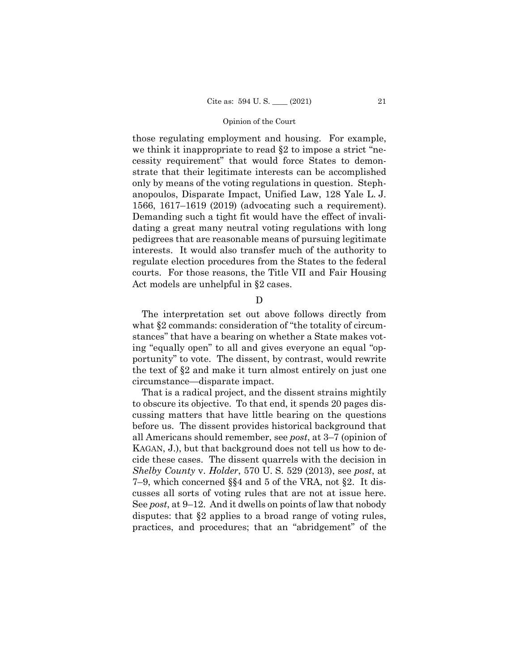those regulating employment and housing. For example, we think it inappropriate to read §2 to impose a strict "necessity requirement" that would force States to demonstrate that their legitimate interests can be accomplished only by means of the voting regulations in question. Stephanopoulos, Disparate Impact, Unified Law, 128 Yale L. J. 1566, 1617–1619 (2019) (advocating such a requirement). Demanding such a tight fit would have the effect of invalidating a great many neutral voting regulations with long pedigrees that are reasonable means of pursuing legitimate interests. It would also transfer much of the authority to regulate election procedures from the States to the federal courts. For those reasons, the Title VII and Fair Housing Act models are unhelpful in §2 cases.

D

The interpretation set out above follows directly from what §2 commands: consideration of "the totality of circumstances" that have a bearing on whether a State makes voting "equally open" to all and gives everyone an equal "opportunity" to vote. The dissent, by contrast, would rewrite the text of §2 and make it turn almost entirely on just one circumstance—disparate impact.

That is a radical project, and the dissent strains mightily to obscure its objective. To that end, it spends 20 pages discussing matters that have little bearing on the questions before us. The dissent provides historical background that all Americans should remember, see *post*, at 3–7 (opinion of KAGAN, J.), but that background does not tell us how to decide these cases. The dissent quarrels with the decision in *Shelby County* v. *Holder*, 570 U. S. 529 (2013), see *post*, at 7–9, which concerned §§4 and 5 of the VRA, not §2. It discusses all sorts of voting rules that are not at issue here. See *post*, at 9–12. And it dwells on points of law that nobody disputes: that §2 applies to a broad range of voting rules, practices, and procedures; that an "abridgement" of the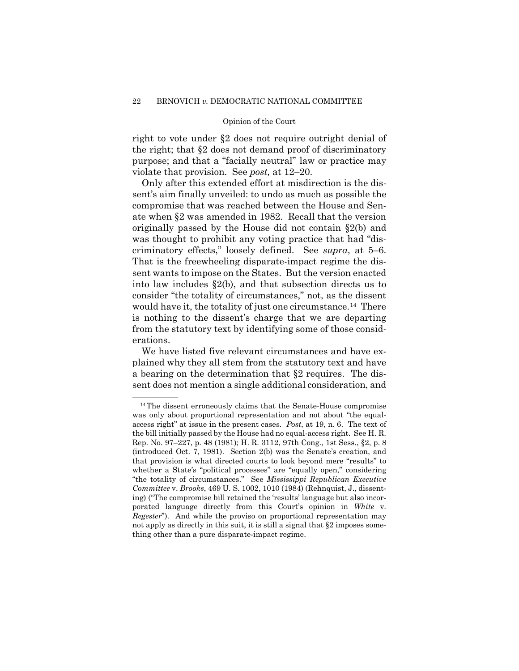right to vote under §2 does not require outright denial of the right; that §2 does not demand proof of discriminatory purpose; and that a "facially neutral" law or practice may violate that provision. See *post,* at 12–20.

Only after this extended effort at misdirection is the dissent's aim finally unveiled: to undo as much as possible the compromise that was reached between the House and Senate when §2 was amended in 1982. Recall that the version originally passed by the House did not contain §2(b) and was thought to prohibit any voting practice that had "discriminatory effects," loosely defined. See *supra*, at 5–6. That is the freewheeling disparate-impact regime the dissent wants to impose on the States. But the version enacted into law includes §2(b), and that subsection directs us to consider "the totality of circumstances," not, as the dissent would have it, the totality of just one circumstance.<sup>14</sup> There is nothing to the dissent's charge that we are departing from the statutory text by identifying some of those considerations.

We have listed five relevant circumstances and have explained why they all stem from the statutory text and have a bearing on the determination that §2 requires. The dissent does not mention a single additional consideration, and

<span id="page-27-0"></span> $14$ The dissent erroneously claims that the Senate-House compromise was only about proportional representation and not about "the equalaccess right" at issue in the present cases. *Post*, at 19, n. 6. The text of the bill initially passed by the House had no equal-access right. See H. R. Rep. No. 97–227, p. 48 (1981); H. R. 3112, 97th Cong., 1st Sess., §2, p. 8 (introduced Oct. 7, 1981). Section 2(b) was the Senate's creation, and that provision is what directed courts to look beyond mere "results" to whether a State's "political processes" are "equally open," considering "the totality of circumstances." See *Mississippi Republican Executive Committee* v. *Brooks*, 469 U. S. 1002, 1010 (1984) (Rehnquist, J., dissenting) ("The compromise bill retained the 'results' language but also incorporated language directly from this Court's opinion in *White* v. *Regester*"). And while the proviso on proportional representation may not apply as directly in this suit, it is still a signal that §2 imposes something other than a pure disparate-impact regime.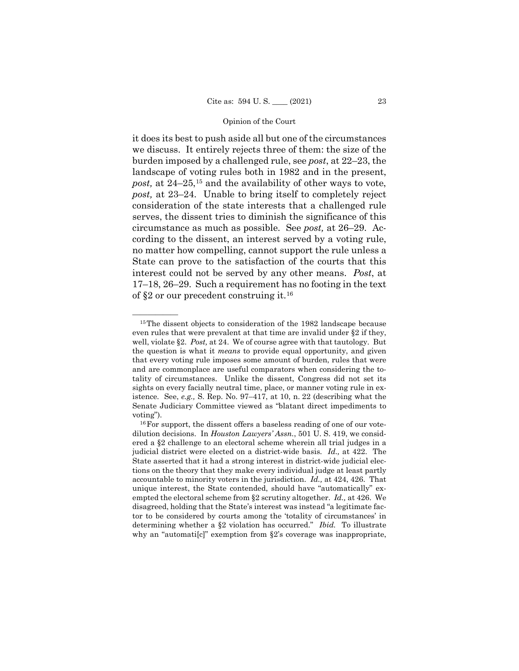it does its best to push aside all but one of the circumstances we discuss. It entirely rejects three of them: the size of the burden imposed by a challenged rule, see *post*, at 22–23, the landscape of voting rules both in 1982 and in the present, *post,* at 24–25,[15](#page-28-0) and the availability of other ways to vote, *post,* at 23–24. Unable to bring itself to completely reject consideration of the state interests that a challenged rule serves, the dissent tries to diminish the significance of this circumstance as much as possible. See *post,* at 26–29. According to the dissent, an interest served by a voting rule, no matter how compelling, cannot support the rule unless a State can prove to the satisfaction of the courts that this interest could not be served by any other means. *Post*, at 17–18, 26–29. Such a requirement has no footing in the text of §2 or our precedent construing it.[16](#page-28-1)

<span id="page-28-0"></span> $15$ The dissent objects to consideration of the 1982 landscape because even rules that were prevalent at that time are invalid under §2 if they, well, violate §2. *Post,* at 24. We of course agree with that tautology. But the question is what it *means* to provide equal opportunity, and given that every voting rule imposes some amount of burden, rules that were and are commonplace are useful comparators when considering the totality of circumstances. Unlike the dissent, Congress did not set its sights on every facially neutral time, place, or manner voting rule in existence. See, *e.g.,* S. Rep. No. 97–417, at 10, n. 22 (describing what the Senate Judiciary Committee viewed as "blatant direct impediments to voting").

<span id="page-28-1"></span><sup>&</sup>lt;sup>16</sup> For support, the dissent offers a baseless reading of one of our votedilution decisions. In *Houston Lawyers' Assn.*, 501 U. S. 419, we considered a §2 challenge to an electoral scheme wherein all trial judges in a judicial district were elected on a district-wide basis. *Id.,* at 422. The State asserted that it had a strong interest in district-wide judicial elections on the theory that they make every individual judge at least partly accountable to minority voters in the jurisdiction. *Id.,* at 424, 426. That unique interest, the State contended, should have "automatically" exempted the electoral scheme from §2 scrutiny altogether. *Id.,* at 426. We disagreed, holding that the State's interest was instead "a legitimate factor to be considered by courts among the 'totality of circumstances' in determining whether a §2 violation has occurred." *Ibid.* To illustrate why an "automati[c]" exemption from  $\S 2$ 's coverage was inappropriate,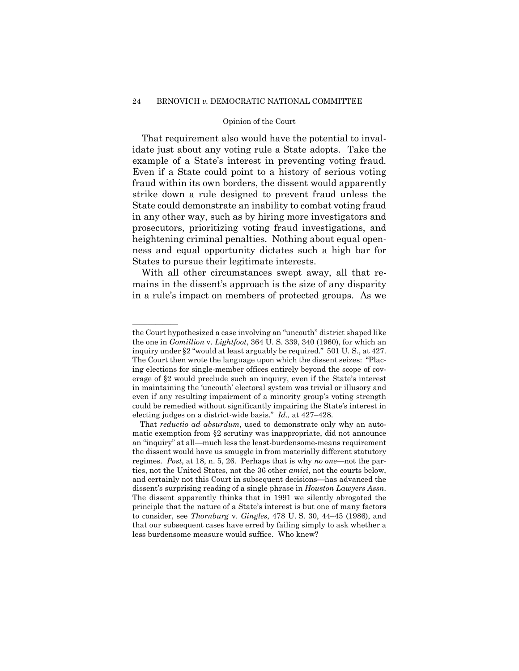# 24 BRNOVICH *v.* DEMOCRATIC NATIONAL COMMITTEE

#### Opinion of the Court

That requirement also would have the potential to invalidate just about any voting rule a State adopts. Take the example of a State's interest in preventing voting fraud. Even if a State could point to a history of serious voting fraud within its own borders, the dissent would apparently strike down a rule designed to prevent fraud unless the State could demonstrate an inability to combat voting fraud in any other way, such as by hiring more investigators and prosecutors, prioritizing voting fraud investigations, and heightening criminal penalties. Nothing about equal openness and equal opportunity dictates such a high bar for States to pursue their legitimate interests.

With all other circumstances swept away, all that remains in the dissent's approach is the size of any disparity in a rule's impact on members of protected groups. As we

——————

the Court hypothesized a case involving an "uncouth" district shaped like the one in *Gomillion* v. *Lightfoot*, 364 U. S. 339, 340 (1960), for which an inquiry under §2 "would at least arguably be required." 501 U. S., at 427. The Court then wrote the language upon which the dissent seizes: "Placing elections for single-member offices entirely beyond the scope of coverage of §2 would preclude such an inquiry, even if the State's interest in maintaining the 'uncouth' electoral system was trivial or illusory and even if any resulting impairment of a minority group's voting strength could be remedied without significantly impairing the State's interest in electing judges on a district-wide basis." *Id.,* at 427–428.

That *reductio ad absurdum*, used to demonstrate only why an automatic exemption from §2 scrutiny was inappropriate, did not announce an "inquiry" at all—much less the least-burdensome-means requirement the dissent would have us smuggle in from materially different statutory regimes. *Post*, at 18, n. 5, 26. Perhaps that is why *no one*—not the parties, not the United States, not the 36 other *amici*, not the courts below, and certainly not this Court in subsequent decisions—has advanced the dissent's surprising reading of a single phrase in *Houston Lawyers Assn*. The dissent apparently thinks that in 1991 we silently abrogated the principle that the nature of a State's interest is but one of many factors to consider, see *Thornburg* v. *Gingles*, 478 U. S. 30, 44–45 (1986), and that our subsequent cases have erred by failing simply to ask whether a less burdensome measure would suffice. Who knew?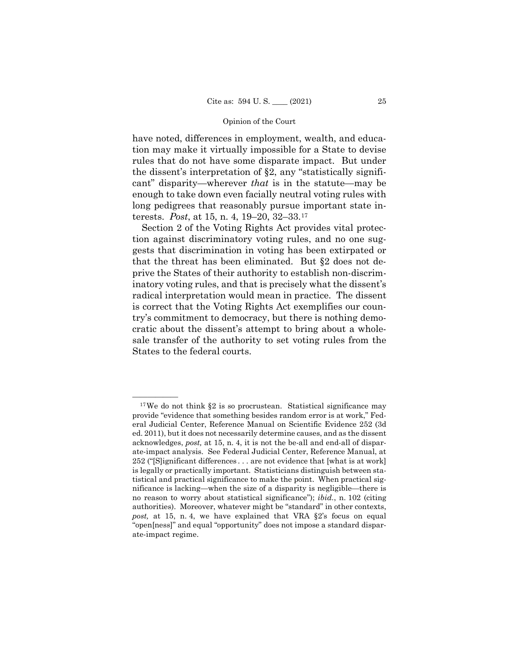have noted, differences in employment, wealth, and education may make it virtually impossible for a State to devise rules that do not have some disparate impact. But under the dissent's interpretation of §2, any "statistically significant" disparity—wherever *that* is in the statute—may be enough to take down even facially neutral voting rules with long pedigrees that reasonably pursue important state interests. *Post*, at 15, n. 4, 19–20, 32–33[.17](#page-30-0)

Section 2 of the Voting Rights Act provides vital protection against discriminatory voting rules, and no one suggests that discrimination in voting has been extirpated or that the threat has been eliminated. But §2 does not deprive the States of their authority to establish non-discriminatory voting rules, and that is precisely what the dissent's radical interpretation would mean in practice. The dissent is correct that the Voting Rights Act exemplifies our country's commitment to democracy, but there is nothing democratic about the dissent's attempt to bring about a wholesale transfer of the authority to set voting rules from the States to the federal courts.

<span id="page-30-0"></span> $17$ We do not think §2 is so procrustean. Statistical significance may provide "evidence that something besides random error is at work," Federal Judicial Center, Reference Manual on Scientific Evidence 252 (3d ed. 2011), but it does not necessarily determine causes, and as the dissent acknowledges, *post,* at 15, n. 4, it is not the be-all and end-all of disparate-impact analysis. See Federal Judicial Center, Reference Manual, at 252 ("[S]ignificant differences . . . are not evidence that [what is at work] is legally or practically important. Statisticians distinguish between statistical and practical significance to make the point. When practical significance is lacking—when the size of a disparity is negligible—there is no reason to worry about statistical significance"); *ibid.*, n. 102 (citing authorities). Moreover, whatever might be "standard" in other contexts, *post,* at 15, n. 4, we have explained that VRA §2's focus on equal "open[ness]" and equal "opportunity" does not impose a standard disparate-impact regime.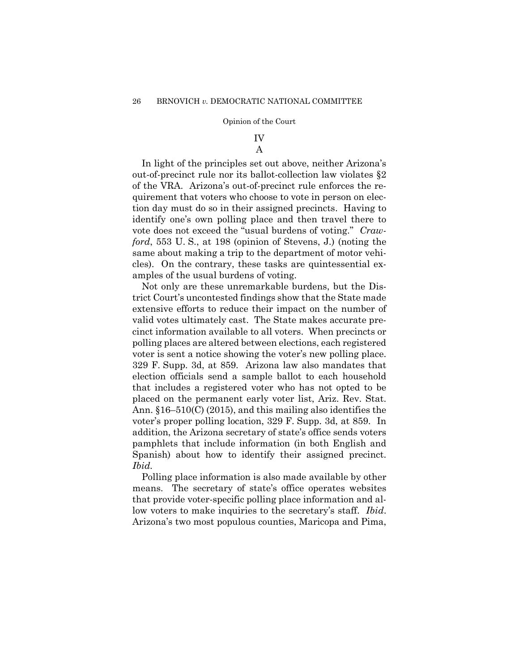# IV

# A

In light of the principles set out above, neither Arizona's out-of-precinct rule nor its ballot-collection law violates §2 of the VRA. Arizona's out-of-precinct rule enforces the requirement that voters who choose to vote in person on election day must do so in their assigned precincts. Having to identify one's own polling place and then travel there to vote does not exceed the "usual burdens of voting." *Crawford*, 553 U. S., at 198 (opinion of Stevens, J.) (noting the same about making a trip to the department of motor vehicles). On the contrary, these tasks are quintessential examples of the usual burdens of voting.

Not only are these unremarkable burdens, but the District Court's uncontested findings show that the State made extensive efforts to reduce their impact on the number of valid votes ultimately cast. The State makes accurate precinct information available to all voters. When precincts or polling places are altered between elections, each registered voter is sent a notice showing the voter's new polling place. 329 F. Supp. 3d, at 859. Arizona law also mandates that election officials send a sample ballot to each household that includes a registered voter who has not opted to be placed on the permanent early voter list, Ariz. Rev. Stat. Ann. §16–510(C) (2015), and this mailing also identifies the voter's proper polling location, 329 F. Supp. 3d, at 859. In addition, the Arizona secretary of state's office sends voters pamphlets that include information (in both English and Spanish) about how to identify their assigned precinct. *Ibid.*

Polling place information is also made available by other means. The secretary of state's office operates websites that provide voter-specific polling place information and allow voters to make inquiries to the secretary's staff. *Ibid*. Arizona's two most populous counties, Maricopa and Pima,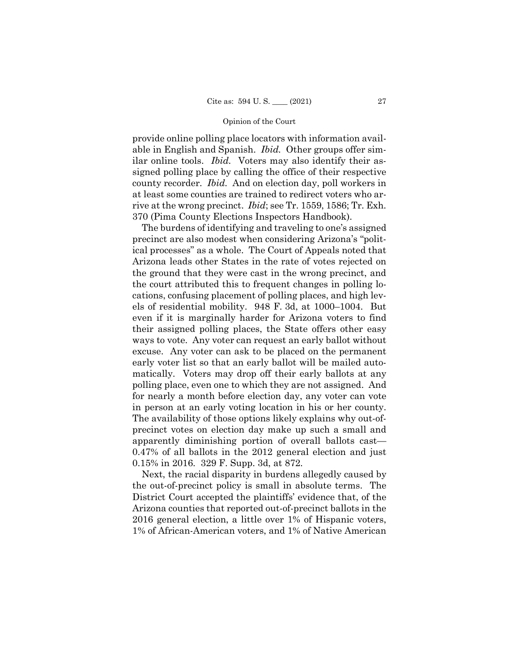provide online polling place locators with information available in English and Spanish. *Ibid.* Other groups offer similar online tools. *Ibid.* Voters may also identify their assigned polling place by calling the office of their respective county recorder. *Ibid.* And on election day, poll workers in at least some counties are trained to redirect voters who arrive at the wrong precinct. *Ibid*; see Tr. 1559, 1586; Tr. Exh. 370 (Pima County Elections Inspectors Handbook).

The burdens of identifying and traveling to one's assigned precinct are also modest when considering Arizona's "political processes" as a whole. The Court of Appeals noted that Arizona leads other States in the rate of votes rejected on the ground that they were cast in the wrong precinct, and the court attributed this to frequent changes in polling locations, confusing placement of polling places, and high levels of residential mobility. 948 F. 3d, at 1000–1004. But even if it is marginally harder for Arizona voters to find their assigned polling places, the State offers other easy ways to vote. Any voter can request an early ballot without excuse. Any voter can ask to be placed on the permanent early voter list so that an early ballot will be mailed automatically. Voters may drop off their early ballots at any polling place, even one to which they are not assigned. And for nearly a month before election day, any voter can vote in person at an early voting location in his or her county. The availability of those options likely explains why out-ofprecinct votes on election day make up such a small and apparently diminishing portion of overall ballots cast— 0.47% of all ballots in the 2012 general election and just 0.15% in 2016. 329 F. Supp. 3d, at 872.

Next, the racial disparity in burdens allegedly caused by the out-of-precinct policy is small in absolute terms. The District Court accepted the plaintiffs' evidence that, of the Arizona counties that reported out-of-precinct ballots in the 2016 general election, a little over 1% of Hispanic voters, 1% of African-American voters, and 1% of Native American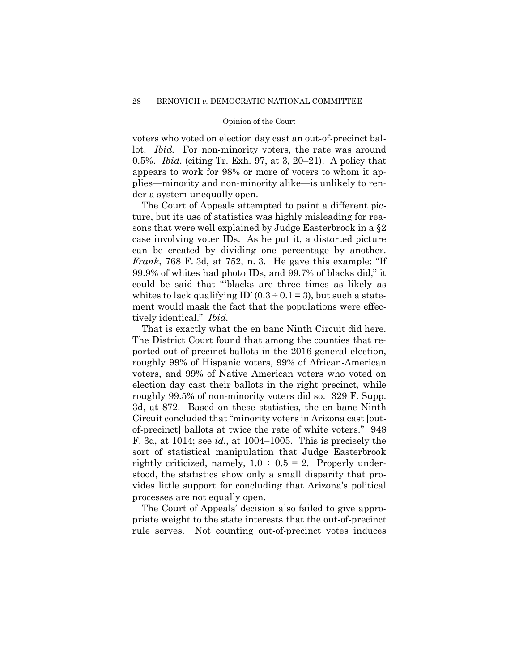voters who voted on election day cast an out-of-precinct ballot. *Ibid.* For non-minority voters, the rate was around 0.5%. *Ibid*. (citing Tr. Exh. 97, at 3, 20–21). A policy that appears to work for 98% or more of voters to whom it applies—minority and non-minority alike—is unlikely to render a system unequally open.

The Court of Appeals attempted to paint a different picture, but its use of statistics was highly misleading for reasons that were well explained by Judge Easterbrook in a §2 case involving voter IDs. As he put it, a distorted picture can be created by dividing one percentage by another. *Frank*, 768 F. 3d, at 752, n. 3. He gave this example: "If 99.9% of whites had photo IDs, and 99.7% of blacks did," it could be said that "'blacks are three times as likely as whites to lack qualifying ID'  $(0.3 \div 0.1 = 3)$ , but such a statement would mask the fact that the populations were effectively identical." *Ibid.*

That is exactly what the en banc Ninth Circuit did here. The District Court found that among the counties that reported out-of-precinct ballots in the 2016 general election, roughly 99% of Hispanic voters, 99% of African-American voters, and 99% of Native American voters who voted on election day cast their ballots in the right precinct, while roughly 99.5% of non-minority voters did so. 329 F. Supp. 3d, at 872. Based on these statistics, the en banc Ninth Circuit concluded that "minority voters in Arizona cast [outof-precinct] ballots at twice the rate of white voters." 948 F. 3d, at 1014; see *id.*, at 1004–1005. This is precisely the sort of statistical manipulation that Judge Easterbrook rightly criticized, namely,  $1.0 \div 0.5 = 2$ . Properly understood, the statistics show only a small disparity that provides little support for concluding that Arizona's political processes are not equally open.

The Court of Appeals' decision also failed to give appropriate weight to the state interests that the out-of-precinct rule serves. Not counting out-of-precinct votes induces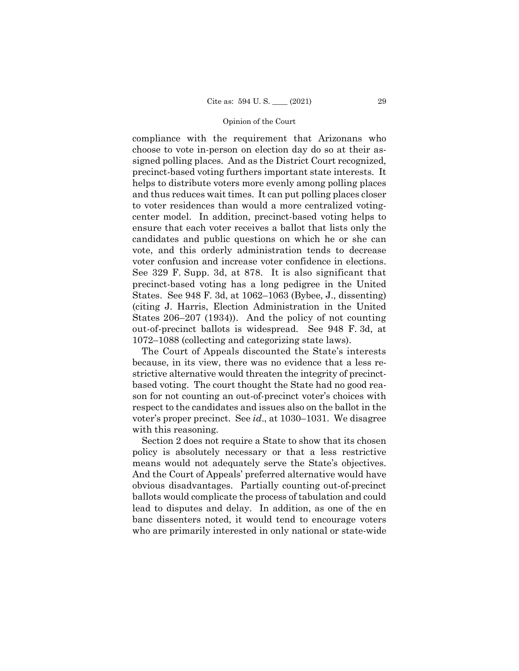compliance with the requirement that Arizonans who choose to vote in-person on election day do so at their assigned polling places. And as the District Court recognized, precinct-based voting furthers important state interests. It helps to distribute voters more evenly among polling places and thus reduces wait times. It can put polling places closer to voter residences than would a more centralized votingcenter model. In addition, precinct-based voting helps to ensure that each voter receives a ballot that lists only the candidates and public questions on which he or she can vote, and this orderly administration tends to decrease voter confusion and increase voter confidence in elections. See 329 F. Supp. 3d, at 878. It is also significant that precinct-based voting has a long pedigree in the United States. See 948 F. 3d, at 1062–1063 (Bybee, J., dissenting) (citing J. Harris, Election Administration in the United States 206–207 (1934)). And the policy of not counting out-of-precinct ballots is widespread. See 948 F. 3d, at 1072–1088 (collecting and categorizing state laws).

The Court of Appeals discounted the State's interests because, in its view, there was no evidence that a less restrictive alternative would threaten the integrity of precinctbased voting. The court thought the State had no good reason for not counting an out-of-precinct voter's choices with respect to the candidates and issues also on the ballot in the voter's proper precinct. See *id*., at 1030–1031. We disagree with this reasoning.

Section 2 does not require a State to show that its chosen policy is absolutely necessary or that a less restrictive means would not adequately serve the State's objectives. And the Court of Appeals' preferred alternative would have obvious disadvantages. Partially counting out-of-precinct ballots would complicate the process of tabulation and could lead to disputes and delay. In addition, as one of the en banc dissenters noted, it would tend to encourage voters who are primarily interested in only national or state-wide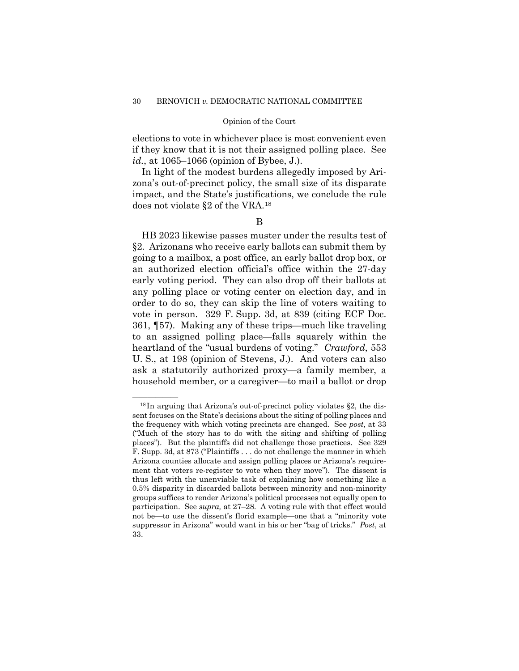elections to vote in whichever place is most convenient even if they know that it is not their assigned polling place. See *id.*, at 1065–1066 (opinion of Bybee, J.).

In light of the modest burdens allegedly imposed by Arizona's out-of-precinct policy, the small size of its disparate impact, and the State's justifications, we conclude the rule does not violate §2 of the VRA.[18](#page-35-0)

HB 2023 likewise passes muster under the results test of §2. Arizonans who receive early ballots can submit them by going to a mailbox, a post office, an early ballot drop box, or an authorized election official's office within the 27-day early voting period. They can also drop off their ballots at any polling place or voting center on election day, and in order to do so, they can skip the line of voters waiting to vote in person. 329 F. Supp. 3d, at 839 (citing ECF Doc. 361, ¶57). Making any of these trips—much like traveling to an assigned polling place—falls squarely within the heartland of the "usual burdens of voting." *Crawford*, 553 U. S., at 198 (opinion of Stevens, J.). And voters can also ask a statutorily authorized proxy—a family member, a household member, or a caregiver—to mail a ballot or drop

<span id="page-35-0"></span> $^{18}$ In arguing that Arizona's out-of-precinct policy violates §2, the dissent focuses on the State's decisions about the siting of polling places and the frequency with which voting precincts are changed. See *post*, at 33 ("Much of the story has to do with the siting and shifting of polling places"). But the plaintiffs did not challenge those practices. See 329 F. Supp. 3d, at 873 ("Plaintiffs . . . do not challenge the manner in which Arizona counties allocate and assign polling places or Arizona's requirement that voters re-register to vote when they move"). The dissent is thus left with the unenviable task of explaining how something like a 0.5% disparity in discarded ballots between minority and non-minority groups suffices to render Arizona's political processes not equally open to participation. See *supra,* at 27–28. A voting rule with that effect would not be—to use the dissent's florid example—one that a "minority vote suppressor in Arizona" would want in his or her "bag of tricks." *Post*, at 33.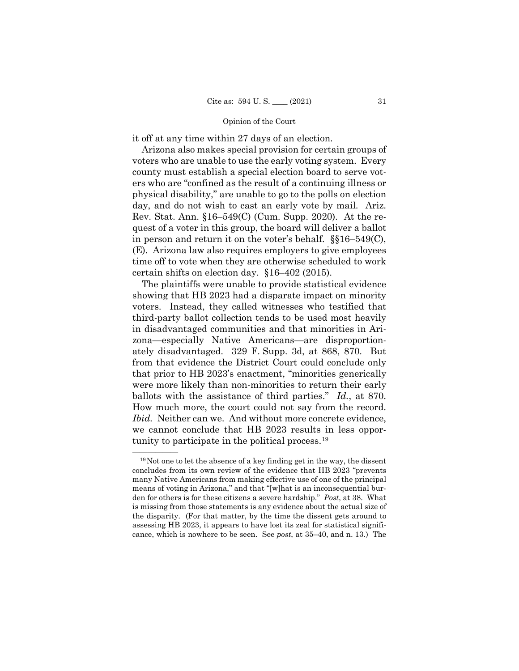it off at any time within 27 days of an election.

Arizona also makes special provision for certain groups of voters who are unable to use the early voting system. Every county must establish a special election board to serve voters who are "confined as the result of a continuing illness or physical disability," are unable to go to the polls on election day, and do not wish to cast an early vote by mail. Ariz. Rev. Stat. Ann. §16–549(C) (Cum. Supp. 2020). At the request of a voter in this group, the board will deliver a ballot in person and return it on the voter's behalf. §§16–549(C), (E). Arizona law also requires employers to give employees time off to vote when they are otherwise scheduled to work certain shifts on election day. §16–402 (2015).

The plaintiffs were unable to provide statistical evidence showing that HB 2023 had a disparate impact on minority voters. Instead, they called witnesses who testified that third-party ballot collection tends to be used most heavily in disadvantaged communities and that minorities in Arizona—especially Native Americans—are disproportionately disadvantaged. 329 F. Supp. 3d, at 868, 870. But from that evidence the District Court could conclude only that prior to HB 2023's enactment, "minorities generically were more likely than non-minorities to return their early ballots with the assistance of third parties." *Id.*, at 870. How much more, the court could not say from the record. *Ibid.* Neither can we. And without more concrete evidence, we cannot conclude that HB 2023 results in less opportunity to participate in the political process.[19](#page-36-0)

<span id="page-36-0"></span> $^{19}$ Not one to let the absence of a key finding get in the way, the dissent concludes from its own review of the evidence that HB 2023 "prevents many Native Americans from making effective use of one of the principal means of voting in Arizona," and that "[w]hat is an inconsequential burden for others is for these citizens a severe hardship." *Post*, at 38. What is missing from those statements is any evidence about the actual size of the disparity. (For that matter, by the time the dissent gets around to assessing HB 2023, it appears to have lost its zeal for statistical significance, which is nowhere to be seen. See *post*, at 35–40, and n. 13.) The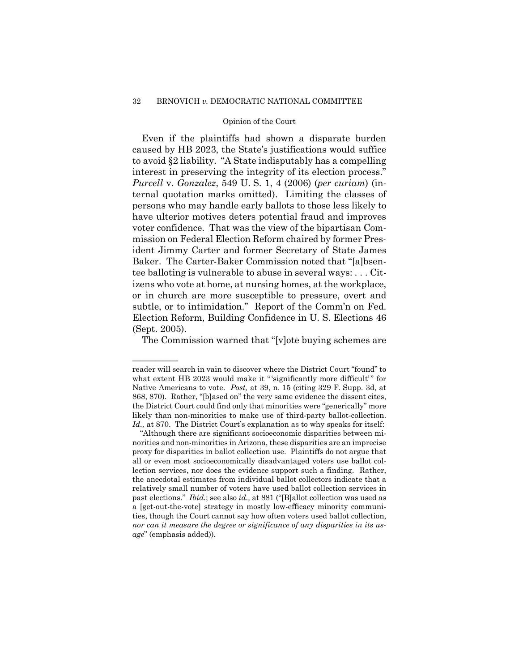Even if the plaintiffs had shown a disparate burden caused by HB 2023, the State's justifications would suffice to avoid §2 liability. "A State indisputably has a compelling interest in preserving the integrity of its election process." *Purcell* v. *Gonzalez*, 549 U. S. 1, 4 (2006) (*per curiam*) (internal quotation marks omitted). Limiting the classes of persons who may handle early ballots to those less likely to have ulterior motives deters potential fraud and improves voter confidence. That was the view of the bipartisan Commission on Federal Election Reform chaired by former President Jimmy Carter and former Secretary of State James Baker. The Carter-Baker Commission noted that "[a]bsentee balloting is vulnerable to abuse in several ways: . . . Citizens who vote at home, at nursing homes, at the workplace, or in church are more susceptible to pressure, overt and subtle, or to intimidation." Report of the Comm'n on Fed. Election Reform, Building Confidence in U. S. Elections 46 (Sept. 2005).

The Commission warned that "[v]ote buying schemes are

——————

reader will search in vain to discover where the District Court "found" to what extent HB 2023 would make it "'significantly more difficult'" for Native Americans to vote. *Post,* at 39, n. 15 (citing 329 F. Supp. 3d, at 868, 870). Rather, "[b]ased on" the very same evidence the dissent cites, the District Court could find only that minorities were "generically" more likely than non-minorities to make use of third-party ballot-collection. *Id.,* at 870. The District Court's explanation as to why speaks for itself:

<sup>&</sup>quot;Although there are significant socioeconomic disparities between minorities and non-minorities in Arizona, these disparities are an imprecise proxy for disparities in ballot collection use. Plaintiffs do not argue that all or even most socioeconomically disadvantaged voters use ballot collection services, nor does the evidence support such a finding. Rather, the anecdotal estimates from individual ballot collectors indicate that a relatively small number of voters have used ballot collection services in past elections." *Ibid.*; see also *id.,* at 881 ("[B]allot collection was used as a [get-out-the-vote] strategy in mostly low-efficacy minority communities, though the Court cannot say how often voters used ballot collection, *nor can it measure the degree or significance of any disparities in its usage*" (emphasis added)).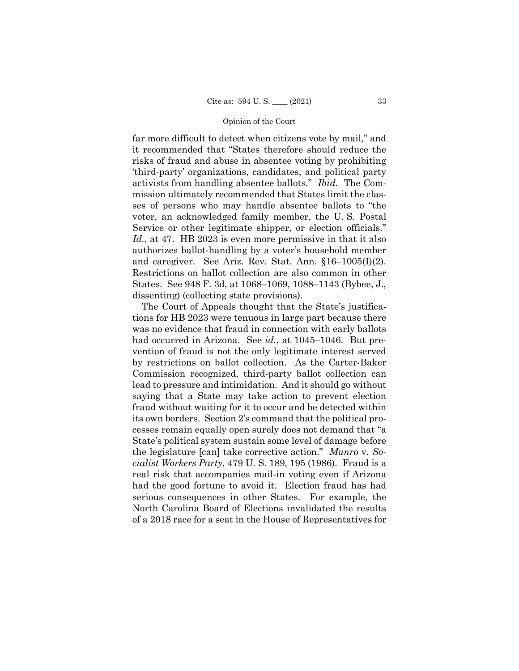far more difficult to detect when citizens vote by mail," and it recommended that "States therefore should reduce the risks of fraud and abuse in absentee voting by prohibiting 'third-party' organizations, candidates, and political party activists from handling absentee ballots." *Ibid.* The Commission ultimately recommended that States limit the classes of persons who may handle absentee ballots to "the voter, an acknowledged family member, the U. S. Postal Service or other legitimate shipper, or election officials." *Id.*, at 47. HB 2023 is even more permissive in that it also authorizes ballot-handling by a voter's household member and caregiver. See Ariz. Rev. Stat. Ann. §16–1005(I)(2). Restrictions on ballot collection are also common in other States. See 948 F. 3d, at 1068–1069, 1088–1143 (Bybee, J., dissenting) (collecting state provisions).

The Court of Appeals thought that the State's justifications for HB 2023 were tenuous in large part because there was no evidence that fraud in connection with early ballots had occurred in Arizona. See *id.*, at 1045–1046. But prevention of fraud is not the only legitimate interest served by restrictions on ballot collection. As the Carter-Baker Commission recognized, third-party ballot collection can lead to pressure and intimidation. And it should go without saying that a State may take action to prevent election fraud without waiting for it to occur and be detected within its own borders. Section 2's command that the political processes remain equally open surely does not demand that "a State's political system sustain some level of damage before the legislature [can] take corrective action." *Munro* v. *Socialist Workers Party*, 479 U. S. 189, 195 (1986). Fraud is a real risk that accompanies mail-in voting even if Arizona had the good fortune to avoid it. Election fraud has had serious consequences in other States. For example, the North Carolina Board of Elections invalidated the results of a 2018 race for a seat in the House of Representatives for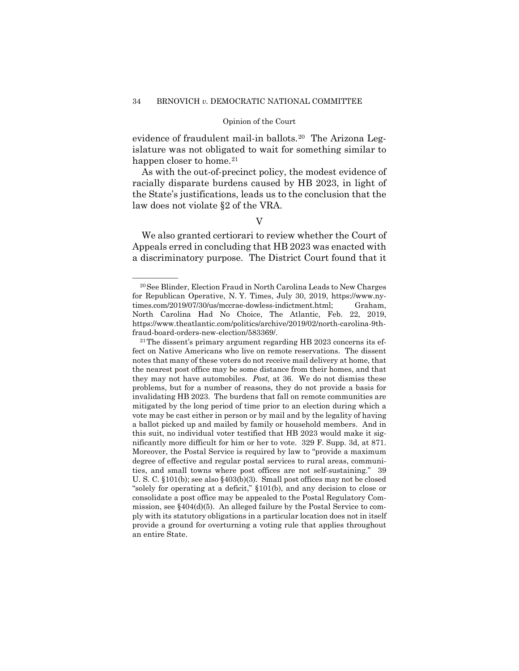evidence of fraudulent mail-in ballots.[20](#page-39-0) The Arizona Legislature was not obligated to wait for something similar to happen closer to home.<sup>[21](#page-39-1)</sup>

As with the out-of-precinct policy, the modest evidence of racially disparate burdens caused by HB 2023, in light of the State's justifications, leads us to the conclusion that the law does not violate §2 of the VRA.

### V

We also granted certiorari to review whether the Court of Appeals erred in concluding that HB 2023 was enacted with a discriminatory purpose. The District Court found that it

<span id="page-39-0"></span><sup>&</sup>lt;sup>20</sup> See Blinder, Election Fraud in North Carolina Leads to New Charges for Republican Operative, N. Y. Times, July 30, 2019, https://www.nytimes.com/2019/07/30/us/mccrae-dowless-indictment.html; Graham, North Carolina Had No Choice, The Atlantic, Feb. 22, 2019, https://www.theatlantic.com/politics/archive/2019/02/north-carolina-9thfraud-board-orders-new-election/583369/.

<span id="page-39-1"></span><sup>21</sup>The dissent's primary argument regarding HB 2023 concerns its effect on Native Americans who live on remote reservations. The dissent notes that many of these voters do not receive mail delivery at home, that the nearest post office may be some distance from their homes, and that they may not have automobiles. *Post,* at 36. We do not dismiss these problems, but for a number of reasons, they do not provide a basis for invalidating HB 2023. The burdens that fall on remote communities are mitigated by the long period of time prior to an election during which a vote may be cast either in person or by mail and by the legality of having a ballot picked up and mailed by family or household members. And in this suit, no individual voter testified that HB 2023 would make it significantly more difficult for him or her to vote. 329 F. Supp. 3d, at 871. Moreover, the Postal Service is required by law to "provide a maximum degree of effective and regular postal services to rural areas, communities, and small towns where post offices are not self-sustaining." 39 U. S. C. §101(b); see also §403(b)(3). Small post offices may not be closed "solely for operating at a deficit," §101(b), and any decision to close or consolidate a post office may be appealed to the Postal Regulatory Commission, see §404(d)(5). An alleged failure by the Postal Service to comply with its statutory obligations in a particular location does not in itself provide a ground for overturning a voting rule that applies throughout an entire State.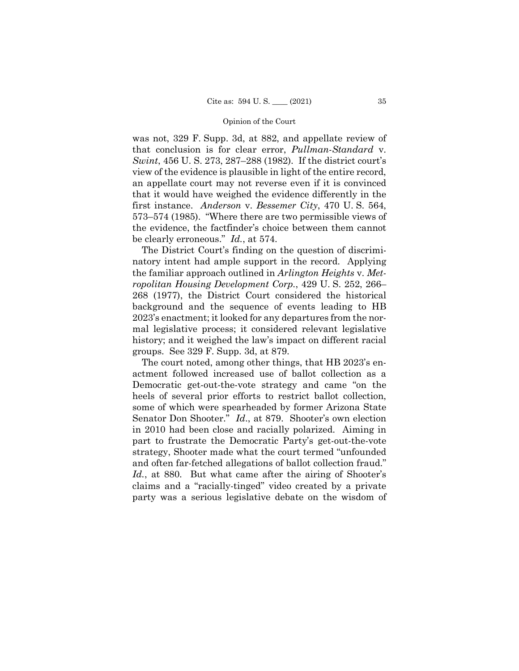was not, 329 F. Supp. 3d, at 882, and appellate review of that conclusion is for clear error, *Pullman-Standard* v. *Swint*, 456 U. S. 273, 287–288 (1982). If the district court's view of the evidence is plausible in light of the entire record, an appellate court may not reverse even if it is convinced that it would have weighed the evidence differently in the first instance. *Anderson* v. *Bessemer City*, 470 U. S. 564, 573–574 (1985). "Where there are two permissible views of the evidence, the factfinder's choice between them cannot be clearly erroneous." *Id.*, at 574.

The District Court's finding on the question of discriminatory intent had ample support in the record. Applying the familiar approach outlined in *Arlington Heights* v. *Metropolitan Housing Development Corp.*, 429 U. S. 252, 266– 268 (1977), the District Court considered the historical background and the sequence of events leading to HB 2023's enactment; it looked for any departures from the normal legislative process; it considered relevant legislative history; and it weighed the law's impact on different racial groups. See 329 F. Supp. 3d, at 879.

The court noted, among other things, that HB 2023's enactment followed increased use of ballot collection as a Democratic get-out-the-vote strategy and came "on the heels of several prior efforts to restrict ballot collection, some of which were spearheaded by former Arizona State Senator Don Shooter." *Id*., at 879. Shooter's own election in 2010 had been close and racially polarized. Aiming in part to frustrate the Democratic Party's get-out-the-vote strategy, Shooter made what the court termed "unfounded and often far-fetched allegations of ballot collection fraud." *Id.*, at 880. But what came after the airing of Shooter's claims and a "racially-tinged" video created by a private party was a serious legislative debate on the wisdom of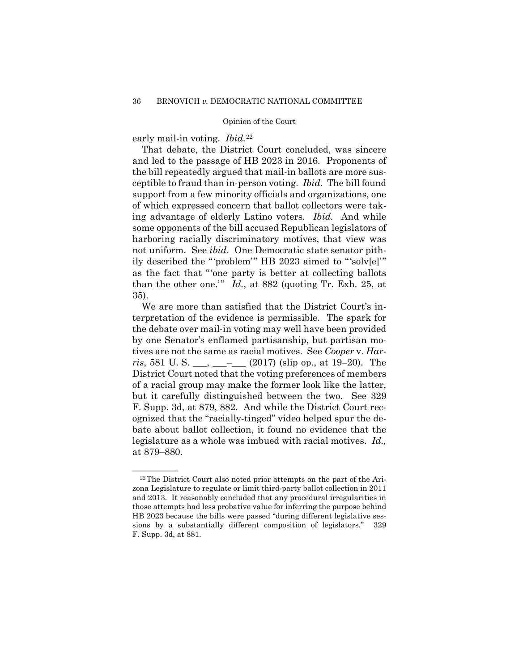early mail-in voting. *Ibid.*[22](#page-41-0)

That debate, the District Court concluded, was sincere and led to the passage of HB 2023 in 2016. Proponents of the bill repeatedly argued that mail-in ballots are more susceptible to fraud than in-person voting. *Ibid.* The bill found support from a few minority officials and organizations, one of which expressed concern that ballot collectors were taking advantage of elderly Latino voters. *Ibid.* And while some opponents of the bill accused Republican legislators of harboring racially discriminatory motives, that view was not uniform. See *ibid*. One Democratic state senator pithily described the "'problem'" HB 2023 aimed to "'solv[e]'" as the fact that "'one party is better at collecting ballots than the other one.'" *Id.*, at 882 (quoting Tr. Exh. 25, at 35).

We are more than satisfied that the District Court's interpretation of the evidence is permissible. The spark for the debate over mail-in voting may well have been provided by one Senator's enflamed partisanship, but partisan motives are not the same as racial motives. See *Cooper* v. *Harris*, 581 U. S. \_\_\_, \_\_\_–\_\_\_ (2017) (slip op., at 19–20). The District Court noted that the voting preferences of members of a racial group may make the former look like the latter, but it carefully distinguished between the two. See 329 F. Supp. 3d, at 879, 882. And while the District Court recognized that the "racially-tinged" video helped spur the debate about ballot collection, it found no evidence that the legislature as a whole was imbued with racial motives. *Id.,* at 879–880.

<span id="page-41-0"></span><sup>&</sup>lt;sup>22</sup>The District Court also noted prior attempts on the part of the Arizona Legislature to regulate or limit third-party ballot collection in 2011 and 2013. It reasonably concluded that any procedural irregularities in those attempts had less probative value for inferring the purpose behind HB 2023 because the bills were passed "during different legislative sessions by a substantially different composition of legislators." 329 F. Supp. 3d, at 881.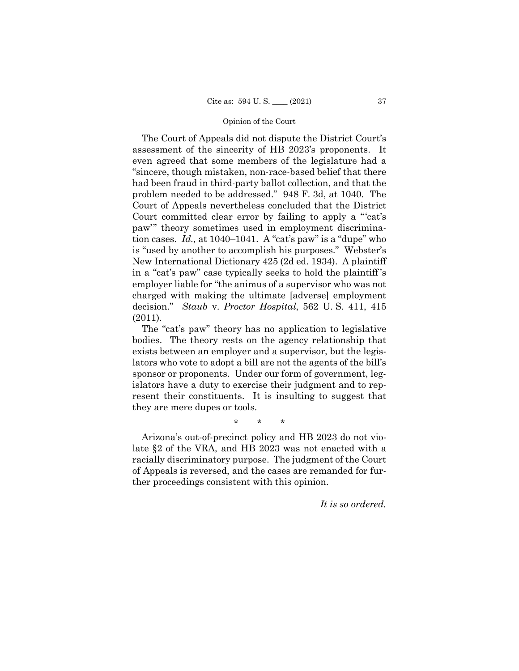The Court of Appeals did not dispute the District Court's assessment of the sincerity of HB 2023's proponents. It even agreed that some members of the legislature had a "sincere, though mistaken, non-race-based belief that there had been fraud in third-party ballot collection, and that the problem needed to be addressed." 948 F. 3d, at 1040. The Court of Appeals nevertheless concluded that the District Court committed clear error by failing to apply a "'cat's paw'" theory sometimes used in employment discrimination cases. *Id.,* at 1040–1041. A "cat's paw" is a "dupe" who is "used by another to accomplish his purposes." Webster's New International Dictionary 425 (2d ed. 1934). A plaintiff in a "cat's paw" case typically seeks to hold the plaintiff 's employer liable for "the animus of a supervisor who was not charged with making the ultimate [adverse] employment decision." *Staub* v. *Proctor Hospital*, 562 U. S. 411, 415 (2011).

The "cat's paw" theory has no application to legislative bodies. The theory rests on the agency relationship that exists between an employer and a supervisor, but the legislators who vote to adopt a bill are not the agents of the bill's sponsor or proponents. Under our form of government, legislators have a duty to exercise their judgment and to represent their constituents. It is insulting to suggest that they are mere dupes or tools.

\* \* \*

Arizona's out-of-precinct policy and HB 2023 do not violate §2 of the VRA, and HB 2023 was not enacted with a racially discriminatory purpose. The judgment of the Court of Appeals is reversed, and the cases are remanded for further proceedings consistent with this opinion.

*It is so ordered.*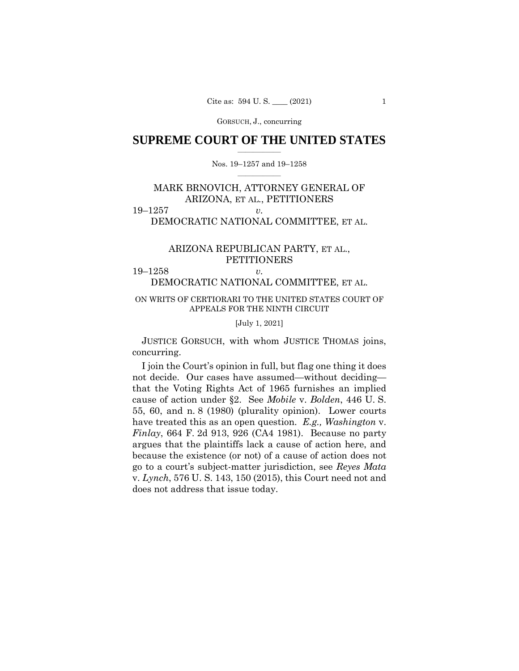GORSUCH, J., concurring

## **SUPREME COURT OF THE UNITED STATES**  $\overline{\phantom{a}}$  , where  $\overline{\phantom{a}}$

### Nos. 19–1257 and 19–1258  $\overline{\phantom{a}}$  , where  $\overline{\phantom{a}}$

# MARK BRNOVICH, ATTORNEY GENERAL OF ARIZONA, ET AL., PETITIONERS 19–1257 *v.*

# DEMOCRATIC NATIONAL COMMITTEE, ET AL.

# ARIZONA REPUBLICAN PARTY, ET AL., PETITIONERS

19–1258 *v.* DEMOCRATIC NATIONAL COMMITTEE, ET AL.

## ON WRITS OF CERTIORARI TO THE UNITED STATES COURT OF APPEALS FOR THE NINTH CIRCUIT

#### [July 1, 2021]

 JUSTICE GORSUCH, with whom JUSTICE THOMAS joins, concurring.

I join the Court's opinion in full, but flag one thing it does not decide. Our cases have assumed—without deciding that the Voting Rights Act of 1965 furnishes an implied cause of action under §2. See *Mobile* v. *Bolden*, 446 U. S. 55, 60, and n. 8 (1980) (plurality opinion). Lower courts have treated this as an open question. *E.g., Washington* v. *Finlay*, 664 F. 2d 913, 926 (CA4 1981). Because no party argues that the plaintiffs lack a cause of action here, and because the existence (or not) of a cause of action does not go to a court's subject-matter jurisdiction, see *Reyes Mata*  v. *Lynch*, 576 U. S. 143, 150 (2015), this Court need not and does not address that issue today.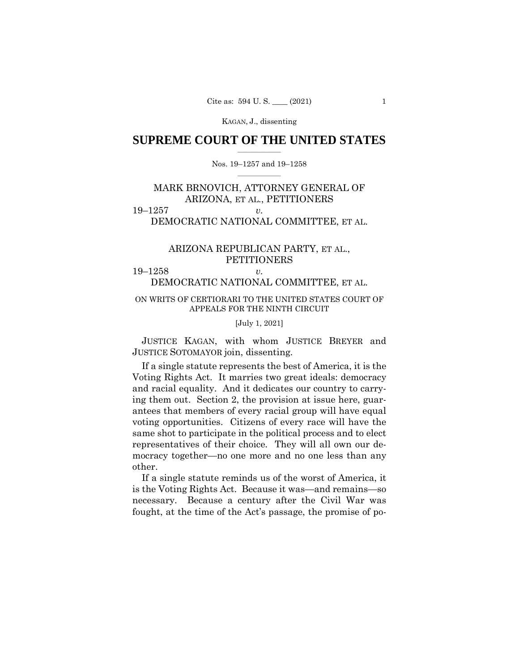## **SUPREME COURT OF THE UNITED STATES**  $\overline{\phantom{a}}$  , where  $\overline{\phantom{a}}$

### Nos. 19–1257 and 19–1258  $\overline{\phantom{a}}$  , where  $\overline{\phantom{a}}$

# MARK BRNOVICH, ATTORNEY GENERAL OF ARIZONA, ET AL., PETITIONERS 19–1257 *v.*

# DEMOCRATIC NATIONAL COMMITTEE, ET AL.

# ARIZONA REPUBLICAN PARTY, ET AL., PETITIONERS

19–1258 *v.*

DEMOCRATIC NATIONAL COMMITTEE, ET AL.

# ON WRITS OF CERTIORARI TO THE UNITED STATES COURT OF APPEALS FOR THE NINTH CIRCUIT

### [July 1, 2021]

 JUSTICE KAGAN, with whom JUSTICE BREYER and JUSTICE SOTOMAYOR join, dissenting.

If a single statute represents the best of America, it is the Voting Rights Act. It marries two great ideals: democracy and racial equality. And it dedicates our country to carrying them out. Section 2, the provision at issue here, guarantees that members of every racial group will have equal voting opportunities. Citizens of every race will have the same shot to participate in the political process and to elect representatives of their choice. They will all own our democracy together—no one more and no one less than any other.

If a single statute reminds us of the worst of America, it is the Voting Rights Act. Because it was—and remains—so necessary. Because a century after the Civil War was fought, at the time of the Act's passage, the promise of po-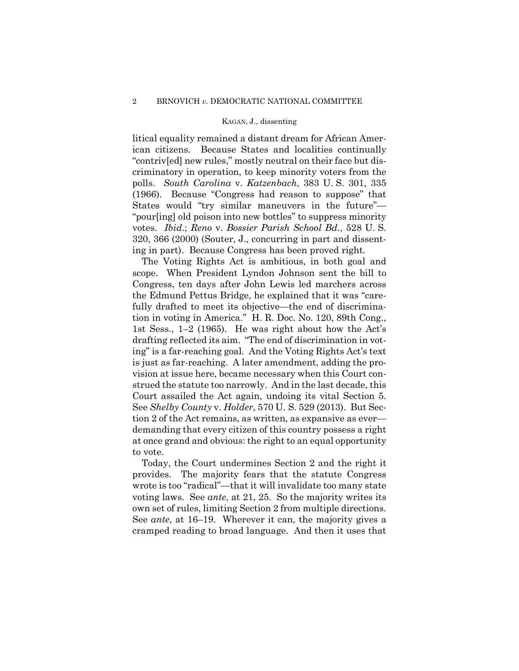litical equality remained a distant dream for African American citizens. Because States and localities continually "contriv[ed] new rules," mostly neutral on their face but discriminatory in operation, to keep minority voters from the polls. *South Carolina* v. *Katzenbach*, 383 U. S. 301, 335 (1966). Because "Congress had reason to suppose" that States would "try similar maneuvers in the future"— "pour[ing] old poison into new bottles" to suppress minority votes. *Ibid*.; *Reno* v. *Bossier Parish School Bd*., 528 U. S. 320, 366 (2000) (Souter, J., concurring in part and dissenting in part). Because Congress has been proved right.

The Voting Rights Act is ambitious, in both goal and scope. When President Lyndon Johnson sent the bill to Congress, ten days after John Lewis led marchers across the Edmund Pettus Bridge, he explained that it was "carefully drafted to meet its objective—the end of discrimination in voting in America." H. R. Doc. No. 120, 89th Cong., 1st Sess., 1–2 (1965). He was right about how the Act's drafting reflected its aim. "The end of discrimination in voting" is a far-reaching goal. And the Voting Rights Act's text is just as far-reaching. A later amendment, adding the provision at issue here, became necessary when this Court construed the statute too narrowly. And in the last decade, this Court assailed the Act again, undoing its vital Section 5. See *Shelby County* v. *Holder*, 570 U. S. 529 (2013). But Section 2 of the Act remains, as written, as expansive as ever demanding that every citizen of this country possess a right at once grand and obvious: the right to an equal opportunity to vote.

Today, the Court undermines Section 2 and the right it provides. The majority fears that the statute Congress wrote is too "radical"—that it will invalidate too many state voting laws. See *ante*, at 21, 25. So the majority writes its own set of rules, limiting Section 2 from multiple directions. See *ante*, at 16–19. Wherever it can, the majority gives a cramped reading to broad language. And then it uses that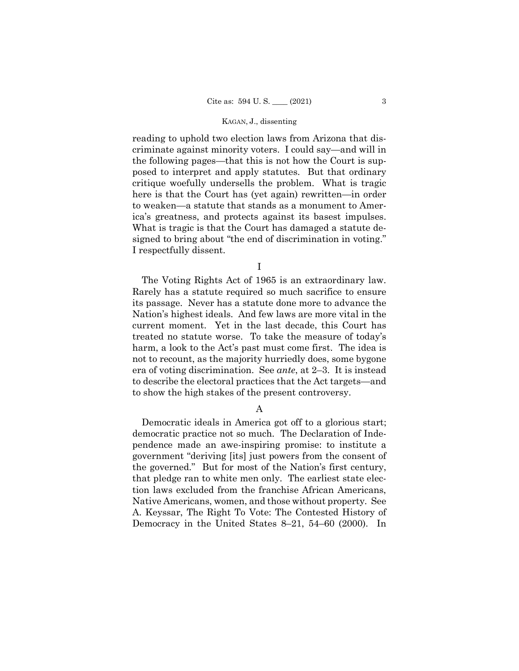reading to uphold two election laws from Arizona that discriminate against minority voters. I could say—and will in the following pages—that this is not how the Court is supposed to interpret and apply statutes. But that ordinary critique woefully undersells the problem. What is tragic here is that the Court has (yet again) rewritten—in order to weaken—a statute that stands as a monument to America's greatness, and protects against its basest impulses. What is tragic is that the Court has damaged a statute designed to bring about "the end of discrimination in voting." I respectfully dissent.

I

The Voting Rights Act of 1965 is an extraordinary law. Rarely has a statute required so much sacrifice to ensure its passage. Never has a statute done more to advance the Nation's highest ideals. And few laws are more vital in the current moment. Yet in the last decade, this Court has treated no statute worse. To take the measure of today's harm, a look to the Act's past must come first. The idea is not to recount, as the majority hurriedly does, some bygone era of voting discrimination. See *ante*, at 2–3. It is instead to describe the electoral practices that the Act targets—and to show the high stakes of the present controversy.

A

Democratic ideals in America got off to a glorious start; democratic practice not so much. The Declaration of Independence made an awe-inspiring promise: to institute a government "deriving [its] just powers from the consent of the governed." But for most of the Nation's first century, that pledge ran to white men only. The earliest state election laws excluded from the franchise African Americans, Native Americans, women, and those without property. See A. Keyssar, The Right To Vote: The Contested History of Democracy in the United States 8–21, 54–60 (2000). In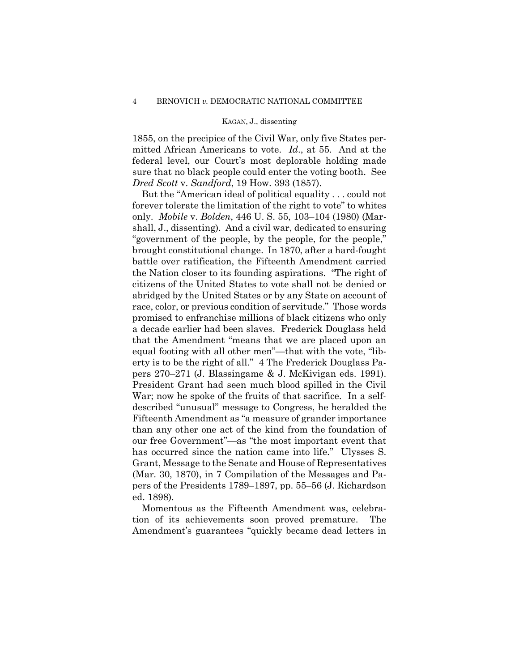1855, on the precipice of the Civil War, only five States permitted African Americans to vote. *Id*., at 55. And at the federal level, our Court's most deplorable holding made sure that no black people could enter the voting booth. See *Dred Scott* v. *Sandford*, 19 How. 393 (1857).

But the "American ideal of political equality . . . could not forever tolerate the limitation of the right to vote" to whites only. *Mobile* v. *Bolden*, 446 U. S. 55, 103–104 (1980) (Marshall, J., dissenting). And a civil war, dedicated to ensuring "government of the people, by the people, for the people," brought constitutional change. In 1870, after a hard-fought battle over ratification, the Fifteenth Amendment carried the Nation closer to its founding aspirations. "The right of citizens of the United States to vote shall not be denied or abridged by the United States or by any State on account of race, color, or previous condition of servitude." Those words promised to enfranchise millions of black citizens who only a decade earlier had been slaves. Frederick Douglass held that the Amendment "means that we are placed upon an equal footing with all other men"—that with the vote, "liberty is to be the right of all." 4 The Frederick Douglass Papers 270–271 (J. Blassingame & J. McKivigan eds. 1991). President Grant had seen much blood spilled in the Civil War; now he spoke of the fruits of that sacrifice. In a selfdescribed "unusual" message to Congress, he heralded the Fifteenth Amendment as "a measure of grander importance than any other one act of the kind from the foundation of our free Government"—as "the most important event that has occurred since the nation came into life." Ulysses S. Grant, Message to the Senate and House of Representatives (Mar. 30, 1870), in 7 Compilation of the Messages and Papers of the Presidents 1789–1897, pp. 55–56 (J. Richardson ed. 1898).

Momentous as the Fifteenth Amendment was, celebration of its achievements soon proved premature. The Amendment's guarantees "quickly became dead letters in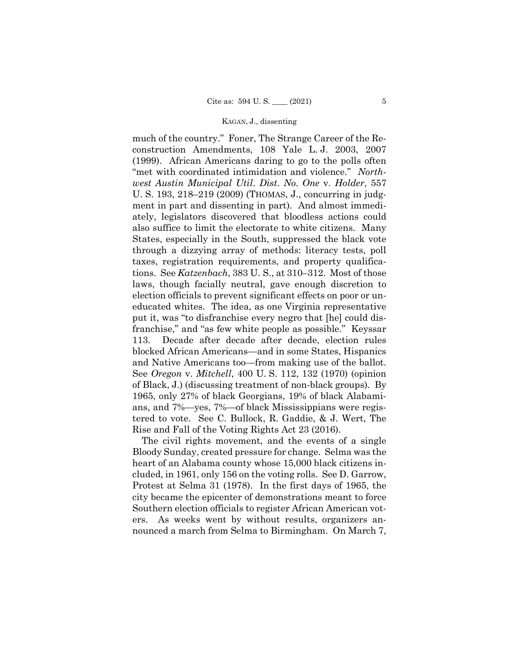much of the country." Foner, The Strange Career of the Reconstruction Amendments, 108 Yale L. J. 2003, 2007 (1999). African Americans daring to go to the polls often "met with coordinated intimidation and violence." *Northwest Austin Municipal Util*. *Dist*. *No*. *One* v. *Holder*, 557 U. S. 193, 218–219 (2009) (THOMAS, J., concurring in judgment in part and dissenting in part). And almost immediately, legislators discovered that bloodless actions could also suffice to limit the electorate to white citizens. Many States, especially in the South, suppressed the black vote through a dizzying array of methods: literacy tests, poll taxes, registration requirements, and property qualifications. See *Katzenbach*, 383 U. S., at 310–312. Most of those laws, though facially neutral, gave enough discretion to election officials to prevent significant effects on poor or uneducated whites. The idea, as one Virginia representative put it, was "to disfranchise every negro that [he] could disfranchise," and "as few white people as possible." Keyssar 113. Decade after decade after decade, election rules blocked African Americans—and in some States, Hispanics and Native Americans too—from making use of the ballot. See *Oregon* v. *Mitchell*, 400 U. S. 112, 132 (1970) (opinion of Black, J.) (discussing treatment of non-black groups). By 1965, only 27% of black Georgians, 19% of black Alabamians, and 7%—yes, 7%—of black Mississippians were registered to vote. See C. Bullock, R. Gaddie, & J. Wert, The Rise and Fall of the Voting Rights Act 23 (2016).

The civil rights movement, and the events of a single Bloody Sunday, created pressure for change. Selma was the heart of an Alabama county whose 15,000 black citizens included, in 1961, only 156 on the voting rolls. See D. Garrow, Protest at Selma 31 (1978). In the first days of 1965, the city became the epicenter of demonstrations meant to force Southern election officials to register African American voters. As weeks went by without results, organizers announced a march from Selma to Birmingham. On March 7,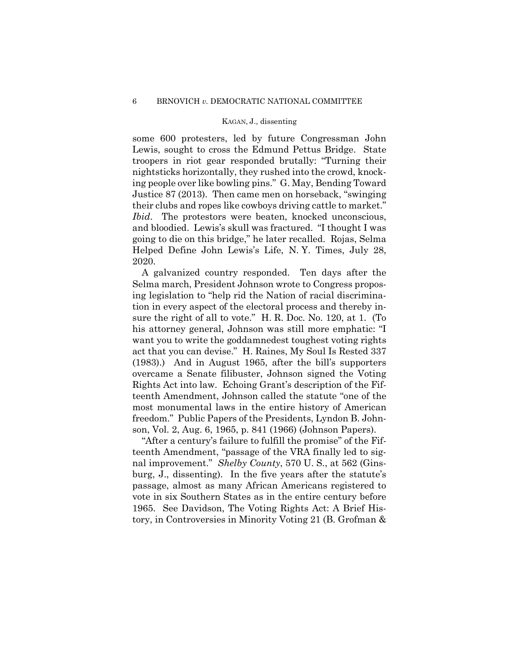some 600 protesters, led by future Congressman John Lewis, sought to cross the Edmund Pettus Bridge. State troopers in riot gear responded brutally: "Turning their nightsticks horizontally, they rushed into the crowd, knocking people over like bowling pins." G. May, Bending Toward Justice 87 (2013). Then came men on horseback, "swinging their clubs and ropes like cowboys driving cattle to market." *Ibid.* The protestors were beaten, knocked unconscious, and bloodied. Lewis's skull was fractured. "I thought I was going to die on this bridge," he later recalled. Rojas, Selma Helped Define John Lewis's Life, N. Y. Times, July 28, 2020.

A galvanized country responded. Ten days after the Selma march, President Johnson wrote to Congress proposing legislation to "help rid the Nation of racial discrimination in every aspect of the electoral process and thereby insure the right of all to vote." H. R. Doc. No. 120, at 1. (To his attorney general, Johnson was still more emphatic: "I want you to write the goddamnedest toughest voting rights act that you can devise." H. Raines, My Soul Is Rested 337 (1983).) And in August 1965, after the bill's supporters overcame a Senate filibuster, Johnson signed the Voting Rights Act into law. Echoing Grant's description of the Fifteenth Amendment, Johnson called the statute "one of the most monumental laws in the entire history of American freedom." Public Papers of the Presidents, Lyndon B. Johnson, Vol. 2, Aug. 6, 1965, p. 841 (1966) (Johnson Papers).

"After a century's failure to fulfill the promise" of the Fifteenth Amendment, "passage of the VRA finally led to signal improvement." *Shelby County*, 570 U. S., at 562 (Ginsburg, J., dissenting). In the five years after the statute's passage, almost as many African Americans registered to vote in six Southern States as in the entire century before 1965. See Davidson, The Voting Rights Act: A Brief History, in Controversies in Minority Voting 21 (B. Grofman &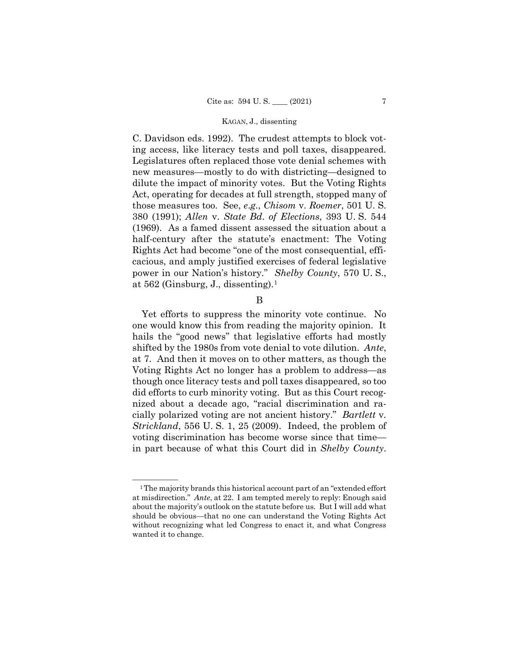C. Davidson eds. 1992). The crudest attempts to block voting access, like literacy tests and poll taxes, disappeared. Legislatures often replaced those vote denial schemes with new measures—mostly to do with districting—designed to dilute the impact of minority votes. But the Voting Rights Act, operating for decades at full strength, stopped many of those measures too. See, *e*.*g*., *Chisom* v. *Roemer*, 501 U. S. 380 (1991); *Allen* v. *State Bd*. *of Elections*, 393 U. S. 544 (1969). As a famed dissent assessed the situation about a half-century after the statute's enactment: The Voting Rights Act had become "one of the most consequential, efficacious, and amply justified exercises of federal legislative power in our Nation's history." *Shelby County*, 570 U. S., at 562 (Ginsburg, J., dissenting)[.1](#page-50-0)

B

Yet efforts to suppress the minority vote continue. No one would know this from reading the majority opinion. It hails the "good news" that legislative efforts had mostly shifted by the 1980s from vote denial to vote dilution. *Ante*, at 7. And then it moves on to other matters, as though the Voting Rights Act no longer has a problem to address—as though once literacy tests and poll taxes disappeared, so too did efforts to curb minority voting. But as this Court recognized about a decade ago, "racial discrimination and racially polarized voting are not ancient history." *Bartlett* v. *Strickland*, 556 U. S. 1, 25 (2009). Indeed, the problem of voting discrimination has become worse since that time in part because of what this Court did in *Shelby County*.

<span id="page-50-0"></span><sup>&</sup>lt;sup>1</sup>The majority brands this historical account part of an "extended effort at misdirection." *Ante*, at 22. I am tempted merely to reply: Enough said about the majority's outlook on the statute before us. But I will add what should be obvious—that no one can understand the Voting Rights Act without recognizing what led Congress to enact it, and what Congress wanted it to change.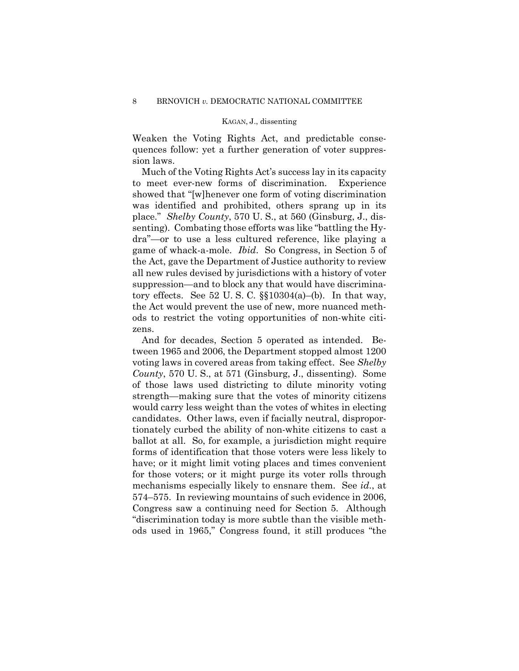Weaken the Voting Rights Act, and predictable consequences follow: yet a further generation of voter suppression laws.

Much of the Voting Rights Act's success lay in its capacity to meet ever-new forms of discrimination. Experience showed that "[w]henever one form of voting discrimination was identified and prohibited, others sprang up in its place." *Shelby County*, 570 U. S., at 560 (Ginsburg, J., dissenting). Combating those efforts was like "battling the Hydra"—or to use a less cultured reference, like playing a game of whack-a-mole. *Ibid*.So Congress, in Section 5 of the Act, gave the Department of Justice authority to review all new rules devised by jurisdictions with a history of voter suppression—and to block any that would have discriminatory effects. See 52 U.S.C.  $\S10304(a)$ –(b). In that way, the Act would prevent the use of new, more nuanced methods to restrict the voting opportunities of non-white citizens.

And for decades, Section 5 operated as intended. Between 1965 and 2006, the Department stopped almost 1200 voting laws in covered areas from taking effect. See *Shelby County*, 570 U. S., at 571 (Ginsburg, J., dissenting). Some of those laws used districting to dilute minority voting strength—making sure that the votes of minority citizens would carry less weight than the votes of whites in electing candidates. Other laws, even if facially neutral, disproportionately curbed the ability of non-white citizens to cast a ballot at all. So, for example, a jurisdiction might require forms of identification that those voters were less likely to have; or it might limit voting places and times convenient for those voters; or it might purge its voter rolls through mechanisms especially likely to ensnare them. See *id*., at 574–575. In reviewing mountains of such evidence in 2006, Congress saw a continuing need for Section 5. Although "discrimination today is more subtle than the visible methods used in 1965," Congress found, it still produces "the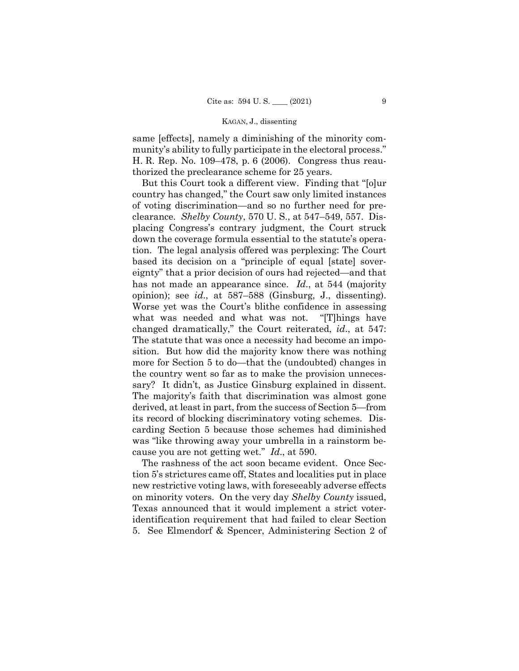same [effects], namely a diminishing of the minority community's ability to fully participate in the electoral process." H. R. Rep. No. 109–478, p. 6 (2006). Congress thus reauthorized the preclearance scheme for 25 years.

But this Court took a different view. Finding that "[o]ur country has changed," the Court saw only limited instances of voting discrimination—and so no further need for preclearance. *Shelby County*, 570 U. S., at 547–549, 557. Displacing Congress's contrary judgment, the Court struck down the coverage formula essential to the statute's operation. The legal analysis offered was perplexing: The Court based its decision on a "principle of equal [state] sovereignty" that a prior decision of ours had rejected—and that has not made an appearance since. *Id*., at 544 (majority opinion); see *id*., at 587–588 (Ginsburg, J., dissenting). Worse yet was the Court's blithe confidence in assessing what was needed and what was not. "[T]hings have changed dramatically," the Court reiterated, *id*., at 547: The statute that was once a necessity had become an imposition. But how did the majority know there was nothing more for Section 5 to do—that the (undoubted) changes in the country went so far as to make the provision unnecessary? It didn't, as Justice Ginsburg explained in dissent. The majority's faith that discrimination was almost gone derived, at least in part, from the success of Section 5—from its record of blocking discriminatory voting schemes. Discarding Section 5 because those schemes had diminished was "like throwing away your umbrella in a rainstorm because you are not getting wet." *Id*., at 590.

The rashness of the act soon became evident. Once Section 5's strictures came off, States and localities put in place new restrictive voting laws, with foreseeably adverse effects on minority voters. On the very day *Shelby County* issued, Texas announced that it would implement a strict voteridentification requirement that had failed to clear Section 5. See Elmendorf & Spencer, Administering Section 2 of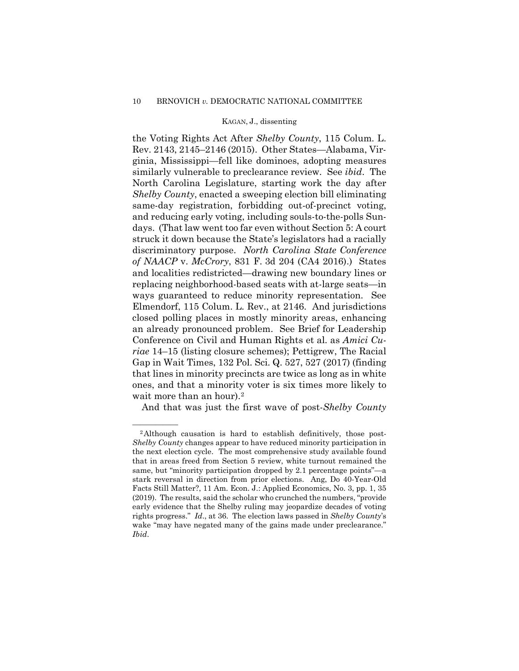## 10 BRNOVICH *v.* DEMOCRATIC NATIONAL COMMITTEE

### KAGAN, J., dissenting

the Voting Rights Act After *Shelby County*, 115 Colum. L. Rev. 2143, 2145–2146 (2015). Other States—Alabama, Virginia, Mississippi—fell like dominoes, adopting measures similarly vulnerable to preclearance review. See *ibid*.The North Carolina Legislature, starting work the day after *Shelby County*, enacted a sweeping election bill eliminating same-day registration, forbidding out-of-precinct voting, and reducing early voting, including souls-to-the-polls Sundays. (That law went too far even without Section 5: A court struck it down because the State's legislators had a racially discriminatory purpose. *North Carolina State Conference of NAACP* v. *McCrory*, 831 F. 3d 204 (CA4 2016).) States and localities redistricted—drawing new boundary lines or replacing neighborhood-based seats with at-large seats—in ways guaranteed to reduce minority representation. See Elmendorf, 115 Colum. L. Rev., at 2146. And jurisdictions closed polling places in mostly minority areas, enhancing an already pronounced problem. See Brief for Leadership Conference on Civil and Human Rights et al. as *Amici Curiae* 14–15 (listing closure schemes); Pettigrew, The Racial Gap in Wait Times, 132 Pol. Sci. Q. 527, 527 (2017) (finding that lines in minority precincts are twice as long as in white ones, and that a minority voter is six times more likely to wait more than an hour).<sup>[2](#page-53-0)</sup>

And that was just the first wave of post-*Shelby County*

<span id="page-53-0"></span><sup>&</sup>lt;sup>2</sup>Although causation is hard to establish definitively, those post-*Shelby County* changes appear to have reduced minority participation in the next election cycle. The most comprehensive study available found that in areas freed from Section 5 review, white turnout remained the same, but "minority participation dropped by 2.1 percentage points"—a stark reversal in direction from prior elections. Ang, Do 40-Year-Old Facts Still Matter?, 11 Am. Econ. J.: Applied Economics, No. 3, pp. 1, 35 (2019). The results, said the scholar who crunched the numbers, "provide early evidence that the Shelby ruling may jeopardize decades of voting rights progress." *Id*., at 36. The election laws passed in *Shelby County*'s wake "may have negated many of the gains made under preclearance." *Ibid*.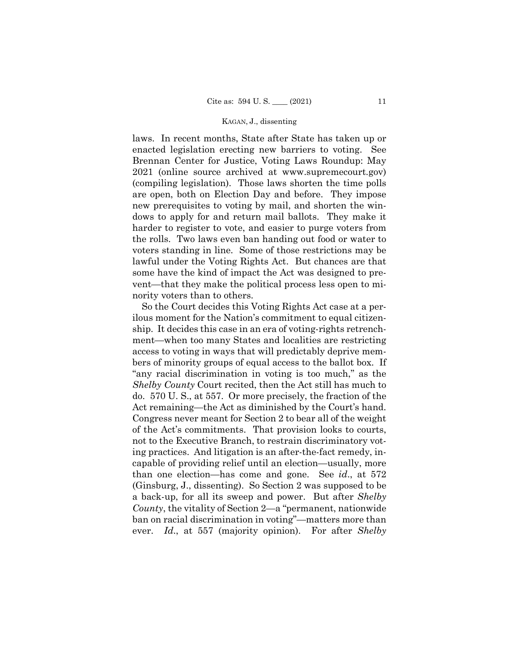laws. In recent months, State after State has taken up or enacted legislation erecting new barriers to voting. See Brennan Center for Justice, Voting Laws Roundup: May 2021 (online source archived at www.supremecourt.gov) (compiling legislation). Those laws shorten the time polls are open, both on Election Day and before. They impose new prerequisites to voting by mail, and shorten the windows to apply for and return mail ballots. They make it harder to register to vote, and easier to purge voters from the rolls. Two laws even ban handing out food or water to voters standing in line. Some of those restrictions may be lawful under the Voting Rights Act. But chances are that some have the kind of impact the Act was designed to prevent—that they make the political process less open to minority voters than to others.

So the Court decides this Voting Rights Act case at a perilous moment for the Nation's commitment to equal citizenship. It decides this case in an era of voting-rights retrenchment—when too many States and localities are restricting access to voting in ways that will predictably deprive members of minority groups of equal access to the ballot box. If "any racial discrimination in voting is too much," as the *Shelby County* Court recited, then the Act still has much to do. 570 U. S., at 557. Or more precisely, the fraction of the Act remaining—the Act as diminished by the Court's hand. Congress never meant for Section 2 to bear all of the weight of the Act's commitments. That provision looks to courts, not to the Executive Branch, to restrain discriminatory voting practices. And litigation is an after-the-fact remedy, incapable of providing relief until an election—usually, more than one election—has come and gone. See *id*., at 572 (Ginsburg, J., dissenting). So Section 2 was supposed to be a back-up, for all its sweep and power. But after *Shelby County*, the vitality of Section 2—a "permanent, nationwide ban on racial discrimination in voting"—matters more than ever. *Id*., at 557 (majority opinion). For after *Shelby*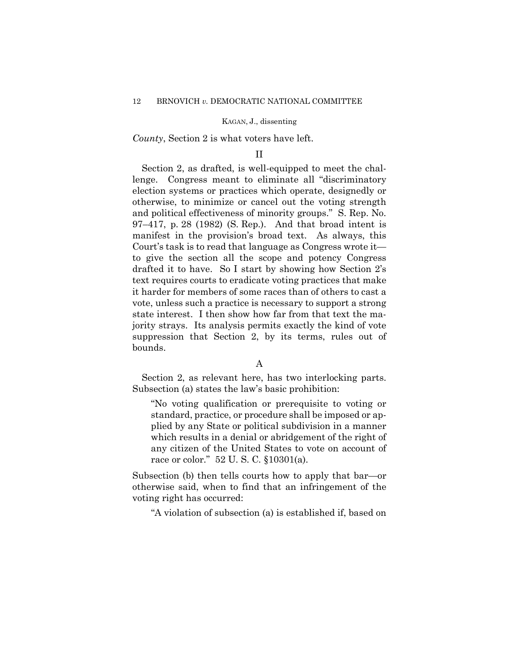*County*, Section 2 is what voters have left.

## II

Section 2, as drafted, is well-equipped to meet the challenge. Congress meant to eliminate all "discriminatory election systems or practices which operate, designedly or otherwise, to minimize or cancel out the voting strength and political effectiveness of minority groups." S. Rep. No. 97–417, p. 28 (1982) (S. Rep.). And that broad intent is manifest in the provision's broad text. As always, this Court's task is to read that language as Congress wrote it to give the section all the scope and potency Congress drafted it to have. So I start by showing how Section 2's text requires courts to eradicate voting practices that make it harder for members of some races than of others to cast a vote, unless such a practice is necessary to support a strong state interest. I then show how far from that text the majority strays. Its analysis permits exactly the kind of vote suppression that Section 2, by its terms, rules out of bounds.

## A

Section 2, as relevant here, has two interlocking parts. Subsection (a) states the law's basic prohibition:

"No voting qualification or prerequisite to voting or standard, practice, or procedure shall be imposed or applied by any State or political subdivision in a manner which results in a denial or abridgement of the right of any citizen of the United States to vote on account of race or color." 52 U. S. C. §10301(a).

Subsection (b) then tells courts how to apply that bar—or otherwise said, when to find that an infringement of the voting right has occurred:

"A violation of subsection (a) is established if, based on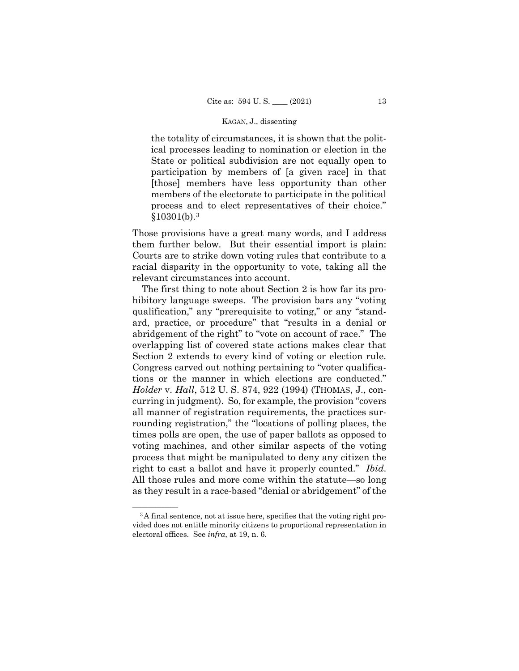the totality of circumstances, it is shown that the political processes leading to nomination or election in the State or political subdivision are not equally open to participation by members of [a given race] in that [those] members have less opportunity than other members of the electorate to participate in the political process and to elect representatives of their choice."  $$10301(b).<sup>3</sup>$  $$10301(b).<sup>3</sup>$  $$10301(b).<sup>3</sup>$ 

Those provisions have a great many words, and I address them further below. But their essential import is plain: Courts are to strike down voting rules that contribute to a racial disparity in the opportunity to vote, taking all the relevant circumstances into account.

The first thing to note about Section 2 is how far its prohibitory language sweeps. The provision bars any "voting qualification," any "prerequisite to voting," or any "standard, practice, or procedure" that "results in a denial or abridgement of the right" to "vote on account of race." The overlapping list of covered state actions makes clear that Section 2 extends to every kind of voting or election rule. Congress carved out nothing pertaining to "voter qualifications or the manner in which elections are conducted." *Holder* v. *Hall*, 512 U. S. 874, 922 (1994) (THOMAS, J., concurring in judgment). So, for example, the provision "covers all manner of registration requirements, the practices surrounding registration," the "locations of polling places, the times polls are open, the use of paper ballots as opposed to voting machines, and other similar aspects of the voting process that might be manipulated to deny any citizen the right to cast a ballot and have it properly counted." *Ibid*. All those rules and more come within the statute—so long as they result in a race-based "denial or abridgement" of the

<span id="page-56-0"></span><sup>&</sup>lt;sup>3</sup>A final sentence, not at issue here, specifies that the voting right provided does not entitle minority citizens to proportional representation in electoral offices. See *infra*, at 19, n. 6.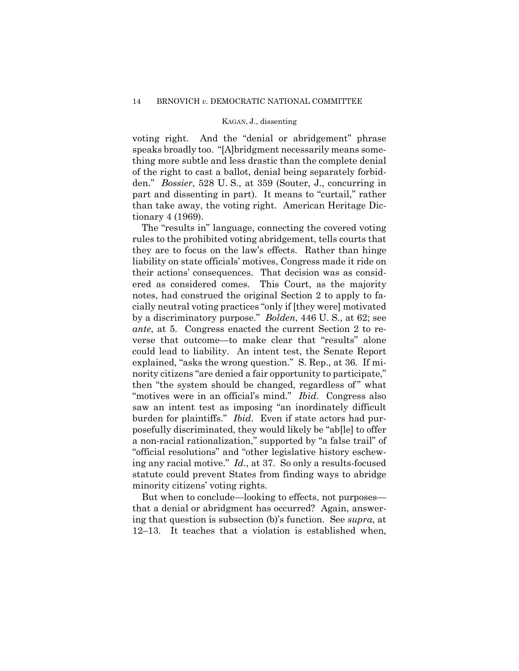voting right. And the "denial or abridgement" phrase speaks broadly too. "[A]bridgment necessarily means something more subtle and less drastic than the complete denial of the right to cast a ballot, denial being separately forbidden." *Bossier*, 528 U. S., at 359 (Souter, J., concurring in part and dissenting in part). It means to "curtail," rather than take away, the voting right. American Heritage Dictionary 4 (1969).

The "results in" language, connecting the covered voting rules to the prohibited voting abridgement, tells courts that they are to focus on the law's effects. Rather than hinge liability on state officials' motives, Congress made it ride on their actions' consequences. That decision was as considered as considered comes. This Court, as the majority notes, had construed the original Section 2 to apply to facially neutral voting practices "only if [they were] motivated by a discriminatory purpose." *Bolden*, 446 U. S., at 62; see *ante*, at 5. Congress enacted the current Section 2 to reverse that outcome—to make clear that "results" alone could lead to liability. An intent test, the Senate Report explained, "asks the wrong question." S. Rep., at 36. If minority citizens "are denied a fair opportunity to participate," then "the system should be changed, regardless of" what "motives were in an official's mind." *Ibid*. Congress also saw an intent test as imposing "an inordinately difficult burden for plaintiffs." *Ibid*. Even if state actors had purposefully discriminated, they would likely be "ab[le] to offer a non-racial rationalization," supported by "a false trail" of "official resolutions" and "other legislative history eschewing any racial motive." *Id*., at 37. So only a results-focused statute could prevent States from finding ways to abridge minority citizens' voting rights.

But when to conclude—looking to effects, not purposes that a denial or abridgment has occurred? Again, answering that question is subsection (b)'s function. See *supra*, at 12–13. It teaches that a violation is established when,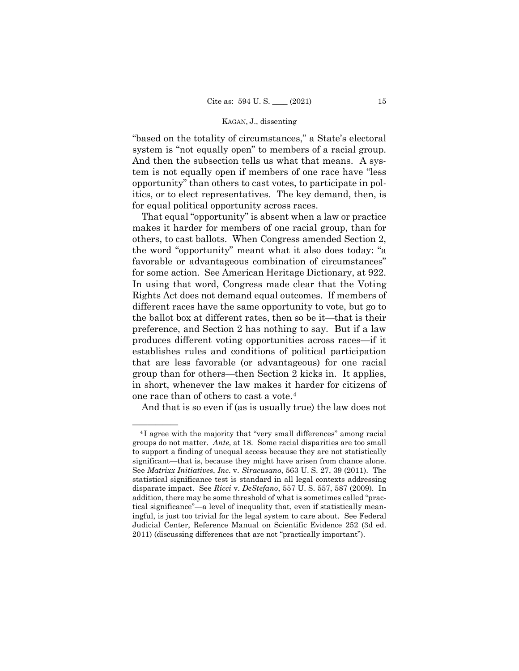"based on the totality of circumstances," a State's electoral system is "not equally open" to members of a racial group. And then the subsection tells us what that means. A system is not equally open if members of one race have "less opportunity" than others to cast votes, to participate in politics, or to elect representatives. The key demand, then, is for equal political opportunity across races.

 That equal "opportunity" is absent when a law or practice makes it harder for members of one racial group, than for others, to cast ballots. When Congress amended Section 2, the word "opportunity" meant what it also does today: "a favorable or advantageous combination of circumstances" for some action. See American Heritage Dictionary, at 922. In using that word, Congress made clear that the Voting Rights Act does not demand equal outcomes. If members of different races have the same opportunity to vote, but go to the ballot box at different rates, then so be it—that is their preference, and Section 2 has nothing to say. But if a law produces different voting opportunities across races—if it establishes rules and conditions of political participation that are less favorable (or advantageous) for one racial group than for others—then Section 2 kicks in. It applies, in short, whenever the law makes it harder for citizens of one race than of others to cast a vote.[4](#page-58-0)

And that is so even if (as is usually true) the law does not

<span id="page-58-0"></span><sup>&</sup>lt;sup>4</sup>I agree with the majority that "very small differences" among racial groups do not matter. *Ante*, at 18. Some racial disparities are too small to support a finding of unequal access because they are not statistically significant—that is, because they might have arisen from chance alone. See *Matrixx Initiatives*, *Inc*. v. *Siracusano*, 563 U. S. 27, 39 (2011). The statistical significance test is standard in all legal contexts addressing disparate impact. See *Ricci* v. *DeStefano*, 557 U. S. 557, 587 (2009). In addition, there may be some threshold of what is sometimes called "practical significance"—a level of inequality that, even if statistically meaningful, is just too trivial for the legal system to care about. See Federal Judicial Center, Reference Manual on Scientific Evidence 252 (3d ed. 2011) (discussing differences that are not "practically important").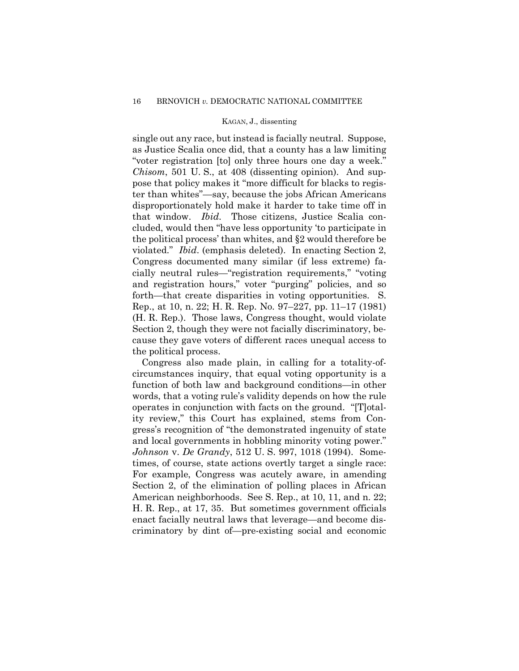single out any race, but instead is facially neutral. Suppose, as Justice Scalia once did, that a county has a law limiting "voter registration [to] only three hours one day a week." *Chisom*, 501 U. S., at 408 (dissenting opinion). And suppose that policy makes it "more difficult for blacks to register than whites"—say, because the jobs African Americans disproportionately hold make it harder to take time off in that window. *Ibid*.Those citizens, Justice Scalia concluded, would then "have less opportunity 'to participate in the political process' than whites, and §2 would therefore be violated." *Ibid*. (emphasis deleted).In enacting Section 2, Congress documented many similar (if less extreme) facially neutral rules—"registration requirements," "voting and registration hours," voter "purging" policies, and so forth—that create disparities in voting opportunities. S. Rep., at 10, n. 22; H. R. Rep. No. 97–227, pp. 11–17 (1981) (H. R. Rep.). Those laws, Congress thought, would violate Section 2, though they were not facially discriminatory, because they gave voters of different races unequal access to the political process.

Congress also made plain, in calling for a totality-ofcircumstances inquiry, that equal voting opportunity is a function of both law and background conditions—in other words, that a voting rule's validity depends on how the rule operates in conjunction with facts on the ground. "[T]otality review," this Court has explained, stems from Congress's recognition of "the demonstrated ingenuity of state and local governments in hobbling minority voting power." *Johnson* v. *De Grandy*, 512 U. S. 997, 1018 (1994). Sometimes, of course, state actions overtly target a single race: For example, Congress was acutely aware, in amending Section 2, of the elimination of polling places in African American neighborhoods. See S. Rep., at 10, 11, and n. 22; H. R. Rep., at 17, 35. But sometimes government officials enact facially neutral laws that leverage—and become discriminatory by dint of—pre-existing social and economic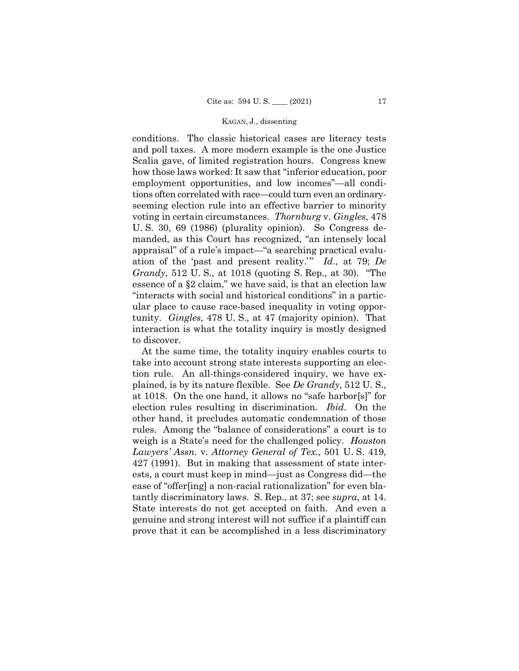conditions. The classic historical cases are literacy tests and poll taxes. A more modern example is the one Justice Scalia gave, of limited registration hours. Congress knew how those laws worked: It saw that "inferior education, poor employment opportunities, and low incomes"—all conditions often correlated with race—could turn even an ordinaryseeming election rule into an effective barrier to minority voting in certain circumstances. *Thornburg* v. *Gingles*, 478 U. S. 30, 69 (1986) (plurality opinion). So Congress demanded, as this Court has recognized, "an intensely local appraisal" of a rule's impact—"a searching practical evaluation of the 'past and present reality.'" *Id*., at 79; *De Grandy*, 512 U. S., at 1018 (quoting S. Rep., at 30). "The essence of a §2 claim," we have said, is that an election law "interacts with social and historical conditions" in a particular place to cause race-based inequality in voting opportunity. *Gingles*, 478 U. S., at 47 (majority opinion). That interaction is what the totality inquiry is mostly designed to discover.

At the same time, the totality inquiry enables courts to take into account strong state interests supporting an election rule. An all-things-considered inquiry, we have explained, is by its nature flexible. See *De Grandy*, 512 U. S., at 1018. On the one hand, it allows no "safe harbor[s]" for election rules resulting in discrimination. *Ibid*.On the other hand, it precludes automatic condemnation of those rules. Among the "balance of considerations" a court is to weigh is a State's need for the challenged policy. *Houston Lawyers' Assn*. v. *Attorney General of Tex*., 501 U. S. 419, 427 (1991). But in making that assessment of state interests, a court must keep in mind—just as Congress did—the ease of "offer[ing] a non-racial rationalization" for even blatantly discriminatory laws. S. Rep., at 37; see *supra*, at 14. State interests do not get accepted on faith. And even a genuine and strong interest will not suffice if a plaintiff can prove that it can be accomplished in a less discriminatory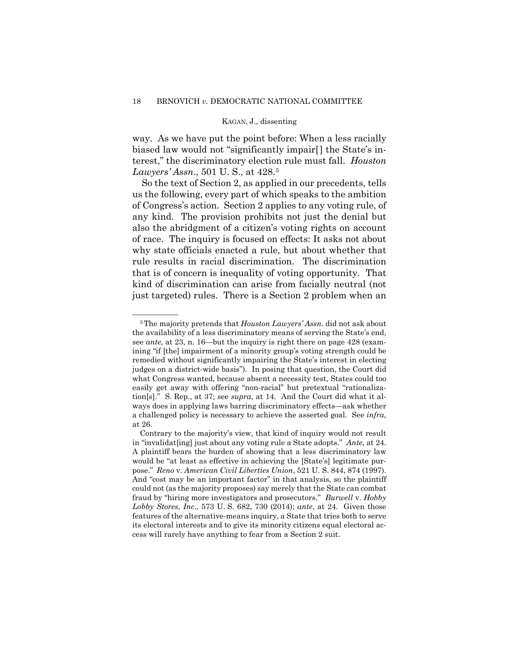way. As we have put the point before: When a less racially biased law would not "significantly impair[] the State's interest," the discriminatory election rule must fall. *Houston Lawyers' Assn*., 501 U. S., at 428.[5](#page-61-0)

So the text of Section 2, as applied in our precedents, tells us the following, every part of which speaks to the ambition of Congress's action. Section 2 applies to any voting rule, of any kind. The provision prohibits not just the denial but also the abridgment of a citizen's voting rights on account of race. The inquiry is focused on effects: It asks not about why state officials enacted a rule, but about whether that rule results in racial discrimination. The discrimination that is of concern is inequality of voting opportunity. That kind of discrimination can arise from facially neutral (not just targeted) rules. There is a Section 2 problem when an

<span id="page-61-0"></span><sup>&</sup>lt;sup>5</sup>The majority pretends that *Houston Lawyers' Assn*, did not ask about the availability of a less discriminatory means of serving the State's end, see *ante*, at 23, n. 16—but the inquiry is right there on page 428 (examining "if [the] impairment of a minority group's voting strength could be remedied without significantly impairing the State's interest in electing judges on a district-wide basis"). In posing that question, the Court did what Congress wanted, because absent a necessity test, States could too easily get away with offering "non-racial" but pretextual "rationalization[s]." S. Rep., at 37; see *supra*, at 14. And the Court did what it always does in applying laws barring discriminatory effects—ask whether a challenged policy is necessary to achieve the asserted goal. See *infra*, at 26.

Contrary to the majority's view, that kind of inquiry would not result in "invalidat[ing] just about any voting rule a State adopts." *Ante*, at 24. A plaintiff bears the burden of showing that a less discriminatory law would be "at least as effective in achieving the [State's] legitimate purpose." *Reno* v. *American Civil Liberties Union*, 521 U. S. 844, 874 (1997). And "cost may be an important factor" in that analysis, so the plaintiff could not (as the majority proposes) say merely that the State can combat fraud by "hiring more investigators and prosecutors." *Burwell* v. *Hobby Lobby Stores*, *Inc*., 573 U. S. 682, 730 (2014); *ante*, at 24. Given those features of the alternative-means inquiry, a State that tries both to serve its electoral interests and to give its minority citizens equal electoral access will rarely have anything to fear from a Section 2 suit.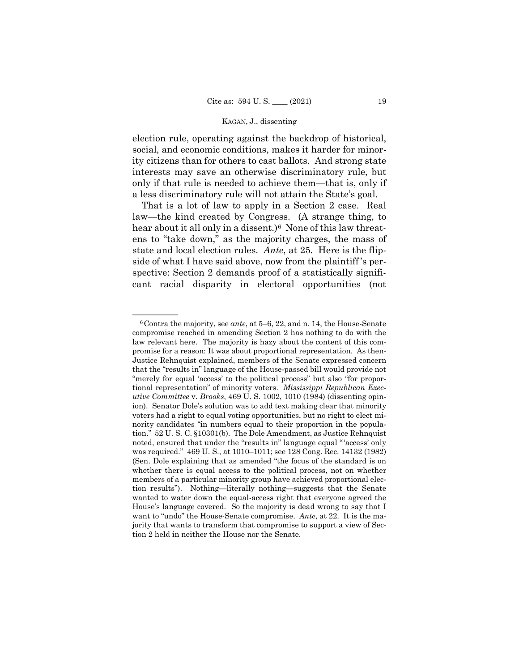election rule, operating against the backdrop of historical, social, and economic conditions, makes it harder for minority citizens than for others to cast ballots. And strong state interests may save an otherwise discriminatory rule, but only if that rule is needed to achieve them—that is, only if a less discriminatory rule will not attain the State's goal.

That is a lot of law to apply in a Section 2 case. Real law—the kind created by Congress. (A strange thing, to hear about it all only in a dissent.)<sup>6</sup> None of this law threatens to "take down," as the majority charges, the mass of state and local election rules. *Ante*, at 25. Here is the flipside of what I have said above, now from the plaintiff 's perspective: Section 2 demands proof of a statistically significant racial disparity in electoral opportunities (not

<span id="page-62-0"></span><sup>&</sup>lt;sup>6</sup> Contra the majority, see *ante*, at 5–6, 22, and n. 14, the House-Senate compromise reached in amending Section 2 has nothing to do with the law relevant here. The majority is hazy about the content of this compromise for a reason: It was about proportional representation. As then-Justice Rehnquist explained, members of the Senate expressed concern that the "results in" language of the House-passed bill would provide not "merely for equal 'access' to the political process" but also "for proportional representation" of minority voters. *Mississippi Republican Executive Committee* v. *Brooks*, 469 U. S. 1002, 1010 (1984) (dissenting opinion). Senator Dole's solution was to add text making clear that minority voters had a right to equal voting opportunities, but no right to elect minority candidates "in numbers equal to their proportion in the population." 52 U. S. C. §10301(b). The Dole Amendment, as Justice Rehnquist noted, ensured that under the "results in" language equal "'access' only was required." 469 U. S., at 1010–1011; see 128 Cong. Rec. 14132 (1982) (Sen. Dole explaining that as amended "the focus of the standard is on whether there is equal access to the political process, not on whether members of a particular minority group have achieved proportional election results"). Nothing—literally nothing—suggests that the Senate wanted to water down the equal-access right that everyone agreed the House's language covered. So the majority is dead wrong to say that I want to "undo" the House-Senate compromise. *Ante*, at 22. It is the majority that wants to transform that compromise to support a view of Section 2 held in neither the House nor the Senate.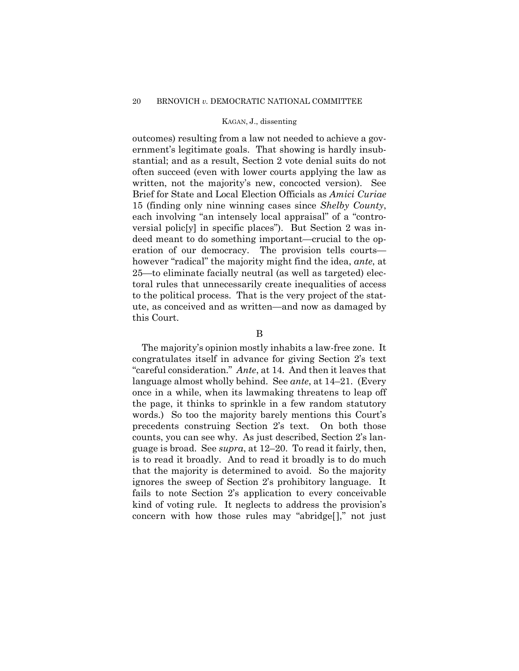outcomes) resulting from a law not needed to achieve a government's legitimate goals. That showing is hardly insubstantial; and as a result, Section 2 vote denial suits do not often succeed (even with lower courts applying the law as written, not the majority's new, concocted version). See Brief for State and Local Election Officials as *Amici Curiae* 15 (finding only nine winning cases since *Shelby County*, each involving "an intensely local appraisal" of a "controversial polic[y] in specific places"). But Section 2 was indeed meant to do something important—crucial to the operation of our democracy. The provision tells courts however "radical" the majority might find the idea, *ante*, at 25—to eliminate facially neutral (as well as targeted) electoral rules that unnecessarily create inequalities of access to the political process. That is the very project of the statute, as conceived and as written—and now as damaged by this Court.

#### B

The majority's opinion mostly inhabits a law-free zone. It congratulates itself in advance for giving Section 2's text "careful consideration." *Ante*, at 14. And then it leaves that language almost wholly behind. See *ante*, at 14–21. (Every once in a while, when its lawmaking threatens to leap off the page, it thinks to sprinkle in a few random statutory words.) So too the majority barely mentions this Court's precedents construing Section 2's text. On both those counts, you can see why. As just described, Section 2's language is broad. See *supra*, at 12–20. To read it fairly, then, is to read it broadly. And to read it broadly is to do much that the majority is determined to avoid. So the majority ignores the sweep of Section 2's prohibitory language. It fails to note Section 2's application to every conceivable kind of voting rule. It neglects to address the provision's concern with how those rules may "abridge[]," not just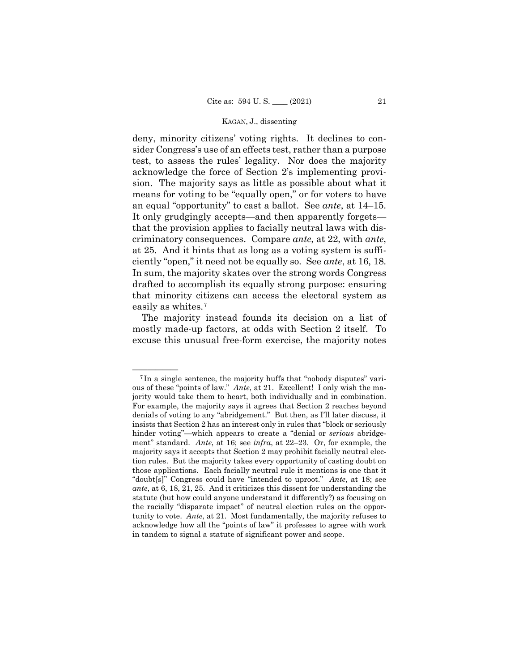deny, minority citizens' voting rights. It declines to consider Congress's use of an effects test, rather than a purpose test, to assess the rules' legality. Nor does the majority acknowledge the force of Section 2's implementing provision. The majority says as little as possible about what it means for voting to be "equally open," or for voters to have an equal "opportunity" to cast a ballot. See *ante*, at 14–15. It only grudgingly accepts—and then apparently forgets that the provision applies to facially neutral laws with discriminatory consequences. Compare *ante*, at 22, with *ante*, at 25. And it hints that as long as a voting system is sufficiently "open," it need not be equally so. See *ante*, at 16, 18. In sum, the majority skates over the strong words Congress drafted to accomplish its equally strong purpose: ensuring that minority citizens can access the electoral system as easily as whites.[7](#page-64-0)

The majority instead founds its decision on a list of mostly made-up factors, at odds with Section 2 itself. To excuse this unusual free-form exercise, the majority notes

<span id="page-64-0"></span><sup>&</sup>lt;sup>7</sup>In a single sentence, the majority huffs that "nobody disputes" various of these "points of law." *Ante*, at 21. Excellent! I only wish the majority would take them to heart, both individually and in combination. For example, the majority says it agrees that Section 2 reaches beyond denials of voting to any "abridgement." But then, as I'll later discuss, it insists that Section 2 has an interest only in rules that "block or seriously hinder voting"—which appears to create a "denial or *serious* abridgement" standard. *Ante*, at 16; see *infra*, at 22–23. Or, for example, the majority says it accepts that Section 2 may prohibit facially neutral election rules. But the majority takes every opportunity of casting doubt on those applications. Each facially neutral rule it mentions is one that it "doubt[s]" Congress could have "intended to uproot." *Ante*, at 18; see *ante*, at 6, 18, 21, 25. And it criticizes this dissent for understanding the statute (but how could anyone understand it differently?) as focusing on the racially "disparate impact" of neutral election rules on the opportunity to vote. *Ante*, at 21. Most fundamentally, the majority refuses to acknowledge how all the "points of law" it professes to agree with work in tandem to signal a statute of significant power and scope.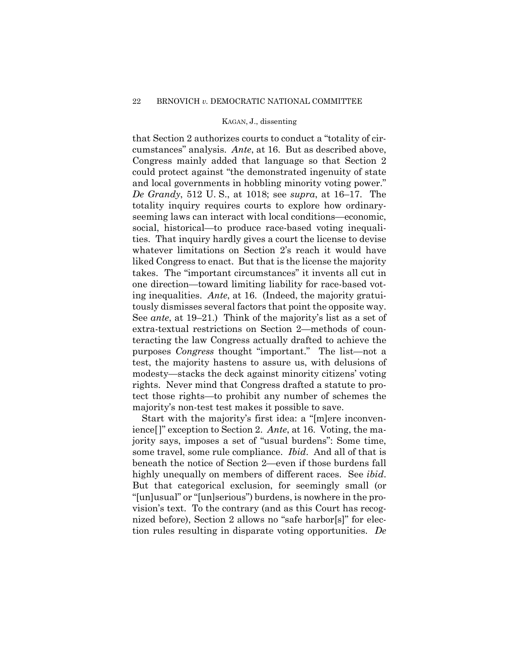that Section 2 authorizes courts to conduct a "totality of circumstances" analysis. *Ante*, at 16. But as described above, Congress mainly added that language so that Section 2 could protect against "the demonstrated ingenuity of state and local governments in hobbling minority voting power." *De Grandy*, 512 U. S., at 1018; see *supra*, at 16–17. The totality inquiry requires courts to explore how ordinaryseeming laws can interact with local conditions—economic, social, historical—to produce race-based voting inequalities. That inquiry hardly gives a court the license to devise whatever limitations on Section 2's reach it would have liked Congress to enact. But that is the license the majority takes. The "important circumstances" it invents all cut in one direction—toward limiting liability for race-based voting inequalities. *Ante*, at 16. (Indeed, the majority gratuitously dismisses several factors that point the opposite way. See *ante*, at 19–21.) Think of the majority's list as a set of extra-textual restrictions on Section 2—methods of counteracting the law Congress actually drafted to achieve the purposes *Congress* thought "important." The list—not a test, the majority hastens to assure us, with delusions of modesty—stacks the deck against minority citizens' voting rights. Never mind that Congress drafted a statute to protect those rights—to prohibit any number of schemes the majority's non-test test makes it possible to save.

Start with the majority's first idea: a "[m]ere inconvenience[]" exception to Section 2. *Ante*, at 16. Voting, the majority says, imposes a set of "usual burdens": Some time, some travel, some rule compliance. *Ibid*.And all of that is beneath the notice of Section 2—even if those burdens fall highly unequally on members of different races. See *ibid*. But that categorical exclusion, for seemingly small (or "[un]usual" or "[un]serious") burdens, is nowhere in the provision's text. To the contrary (and as this Court has recognized before), Section 2 allows no "safe harbor[s]" for election rules resulting in disparate voting opportunities. *De*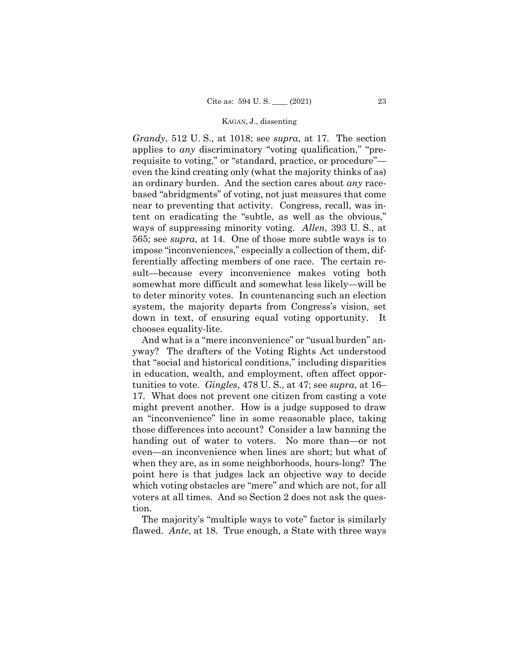*Grandy*, 512 U. S., at 1018; see *supra*, at 17. The section applies to *any* discriminatory "voting qualification," "prerequisite to voting," or "standard, practice, or procedure" even the kind creating only (what the majority thinks of as) an ordinary burden. And the section cares about *any* racebased "abridgments" of voting, not just measures that come near to preventing that activity. Congress, recall, was intent on eradicating the "subtle, as well as the obvious," ways of suppressing minority voting. *Allen*, 393 U. S., at 565; see *supra*, at 14. One of those more subtle ways is to impose "inconveniences," especially a collection of them, differentially affecting members of one race. The certain result—because every inconvenience makes voting both somewhat more difficult and somewhat less likely—will be to deter minority votes. In countenancing such an election system, the majority departs from Congress's vision, set down in text, of ensuring equal voting opportunity. It chooses equality-lite.

And what is a "mere inconvenience" or "usual burden" anyway? The drafters of the Voting Rights Act understood that "social and historical conditions," including disparities in education, wealth, and employment, often affect opportunities to vote. *Gingles*, 478 U. S., at 47; see *supra*, at 16– 17. What does not prevent one citizen from casting a vote might prevent another. How is a judge supposed to draw an "inconvenience" line in some reasonable place, taking those differences into account? Consider a law banning the handing out of water to voters. No more than—or not even—an inconvenience when lines are short; but what of when they are, as in some neighborhoods, hours-long? The point here is that judges lack an objective way to decide which voting obstacles are "mere" and which are not, for all voters at all times. And so Section 2 does not ask the question.

The majority's "multiple ways to vote" factor is similarly flawed. *Ante*, at 18. True enough, a State with three ways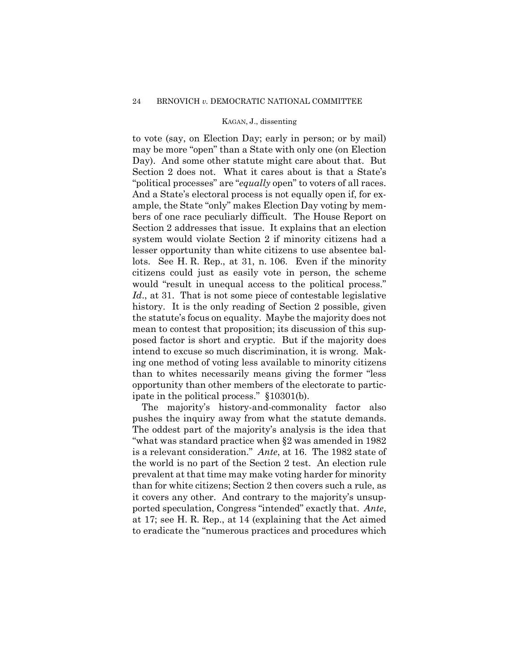to vote (say, on Election Day; early in person; or by mail) may be more "open" than a State with only one (on Election Day). And some other statute might care about that. But Section 2 does not. What it cares about is that a State's "political processes" are "*equally* open" to voters of all races. And a State's electoral process is not equally open if, for example, the State "only" makes Election Day voting by members of one race peculiarly difficult. The House Report on Section 2 addresses that issue. It explains that an election system would violate Section 2 if minority citizens had a lesser opportunity than white citizens to use absentee ballots. See H. R. Rep., at 31, n. 106. Even if the minority citizens could just as easily vote in person, the scheme would "result in unequal access to the political process." Id., at 31. That is not some piece of contestable legislative history. It is the only reading of Section 2 possible, given the statute's focus on equality. Maybe the majority does not mean to contest that proposition; its discussion of this supposed factor is short and cryptic. But if the majority does intend to excuse so much discrimination, it is wrong. Making one method of voting less available to minority citizens than to whites necessarily means giving the former "less opportunity than other members of the electorate to participate in the political process." §10301(b).

The majority's history-and-commonality factor also pushes the inquiry away from what the statute demands. The oddest part of the majority's analysis is the idea that "what was standard practice when §2 was amended in 1982 is a relevant consideration." *Ante*, at 16. The 1982 state of the world is no part of the Section 2 test. An election rule prevalent at that time may make voting harder for minority than for white citizens; Section 2 then covers such a rule, as it covers any other. And contrary to the majority's unsupported speculation, Congress "intended" exactly that. *Ante*, at 17; see H. R. Rep., at 14 (explaining that the Act aimed to eradicate the "numerous practices and procedures which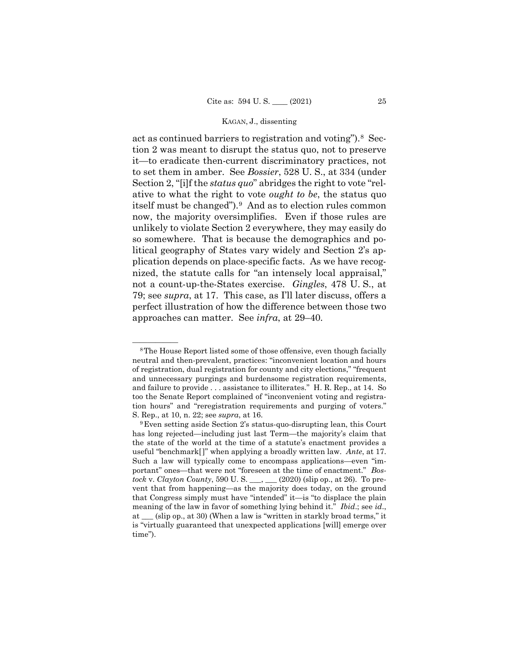act as continued barriers to registration and voting").[8](#page-68-0) Section 2 was meant to disrupt the status quo, not to preserve it—to eradicate then-current discriminatory practices, not to set them in amber. See *Bossier*, 528 U. S., at 334 (under Section 2, "[i]f the *status quo*" abridges the right to vote "relative to what the right to vote *ought to be*, the status quo itself must be changed").[9](#page-68-1) And as to election rules common now, the majority oversimplifies. Even if those rules are unlikely to violate Section 2 everywhere, they may easily do so somewhere. That is because the demographics and political geography of States vary widely and Section 2's application depends on place-specific facts. As we have recognized, the statute calls for "an intensely local appraisal," not a count-up-the-States exercise. *Gingles*, 478 U. S., at 79; see *supra*, at 17. This case, as I'll later discuss, offers a perfect illustration of how the difference between those two approaches can matter. See *infra*, at 29–40.

<span id="page-68-0"></span><sup>&</sup>lt;sup>8</sup>The House Report listed some of those offensive, even though facially neutral and then-prevalent, practices: "inconvenient location and hours of registration, dual registration for county and city elections," "frequent and unnecessary purgings and burdensome registration requirements, and failure to provide . . . assistance to illiterates." H. R. Rep., at 14. So too the Senate Report complained of "inconvenient voting and registration hours" and "reregistration requirements and purging of voters." S. Rep., at 10, n. 22; see *supra*, at 16.

<span id="page-68-1"></span><sup>9</sup>Even setting aside Section 2's status-quo-disrupting lean, this Court has long rejected—including just last Term—the majority's claim that the state of the world at the time of a statute's enactment provides a useful "benchmark[]" when applying a broadly written law. *Ante*, at 17. Such a law will typically come to encompass applications—even "important" ones—that were not "foreseen at the time of enactment." *Bostock* v. *Clayton County*, 590 U. S. \_\_\_, \_\_\_ (2020) (slip op., at 26). To prevent that from happening—as the majority does today, on the ground that Congress simply must have "intended" it—is "to displace the plain meaning of the law in favor of something lying behind it." *Ibid*.; see *id*., at \_\_\_ (slip op., at 30) (When a law is "written in starkly broad terms," it is "virtually guaranteed that unexpected applications [will] emerge over time").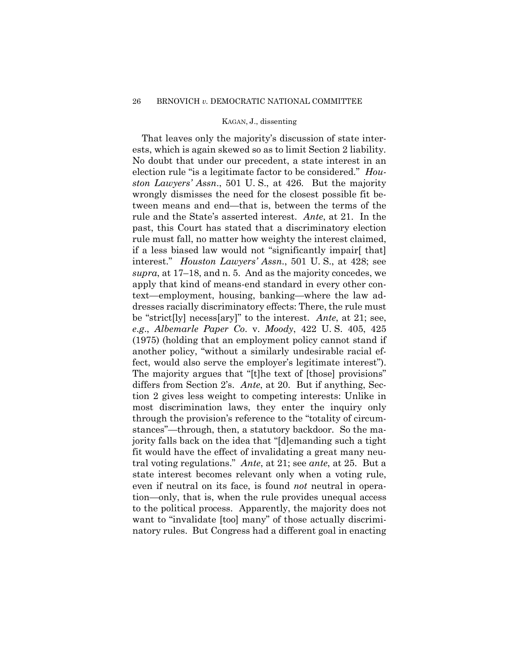That leaves only the majority's discussion of state interests, which is again skewed so as to limit Section 2 liability. No doubt that under our precedent, a state interest in an election rule "is a legitimate factor to be considered." *Houston Lawyers' Assn*., 501 U. S., at 426. But the majority wrongly dismisses the need for the closest possible fit between means and end—that is, between the terms of the rule and the State's asserted interest. *Ante*, at 21. In the past, this Court has stated that a discriminatory election rule must fall, no matter how weighty the interest claimed, if a less biased law would not "significantly impair[ that] interest." *Houston Lawyers' Assn*., 501 U. S., at 428; see *supra*, at 17–18, and n. 5. And as the majority concedes, we apply that kind of means-end standard in every other context—employment, housing, banking—where the law addresses racially discriminatory effects: There, the rule must be "strict[ly] necess[ary]" to the interest. *Ante*, at 21; see, *e*.*g*., *Albemarle Paper Co*. v. *Moody*, 422 U. S. 405, 425 (1975) (holding that an employment policy cannot stand if another policy, "without a similarly undesirable racial effect, would also serve the employer's legitimate interest"). The majority argues that "[t]he text of [those] provisions" differs from Section 2's. *Ante*, at 20. But if anything, Section 2 gives less weight to competing interests: Unlike in most discrimination laws, they enter the inquiry only through the provision's reference to the "totality of circumstances"—through, then, a statutory backdoor. So the majority falls back on the idea that "[d]emanding such a tight fit would have the effect of invalidating a great many neutral voting regulations." *Ante*, at 21; see *ante*, at 25. But a state interest becomes relevant only when a voting rule, even if neutral on its face, is found *not* neutral in operation—only, that is, when the rule provides unequal access to the political process. Apparently, the majority does not want to "invalidate [too] many" of those actually discriminatory rules. But Congress had a different goal in enacting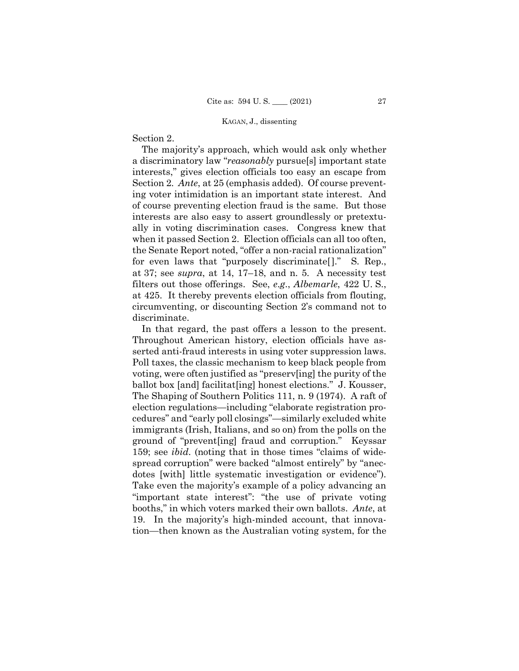# Section 2.

 The majority's approach, which would ask only whether a discriminatory law "*reasonably* pursue[s] important state interests," gives election officials too easy an escape from Section 2. *Ante*, at 25 (emphasis added). Of course preventing voter intimidation is an important state interest. And of course preventing election fraud is the same. But those interests are also easy to assert groundlessly or pretextually in voting discrimination cases. Congress knew that when it passed Section 2. Election officials can all too often, the Senate Report noted, "offer a non-racial rationalization" for even laws that "purposely discriminate[]." S. Rep., at 37; see *supra*, at 14, 17–18, and n. 5. A necessity test filters out those offerings. See, *e*.*g*., *Albemarle*, 422 U. S., at 425. It thereby prevents election officials from flouting, circumventing, or discounting Section 2's command not to discriminate.

In that regard, the past offers a lesson to the present. Throughout American history, election officials have asserted anti-fraud interests in using voter suppression laws. Poll taxes, the classic mechanism to keep black people from voting, were often justified as "preserv[ing] the purity of the ballot box [and] facilitat[ing] honest elections." J. Kousser, The Shaping of Southern Politics 111, n. 9 (1974). A raft of election regulations—including "elaborate registration procedures" and "early poll closings"—similarly excluded white immigrants (Irish, Italians, and so on) from the polls on the ground of "prevent[ing] fraud and corruption." Keyssar 159; see *ibid*. (noting that in those times "claims of widespread corruption" were backed "almost entirely" by "anecdotes [with] little systematic investigation or evidence"). Take even the majority's example of a policy advancing an "important state interest": "the use of private voting booths," in which voters marked their own ballots. *Ante*, at 19. In the majority's high-minded account, that innovation—then known as the Australian voting system, for the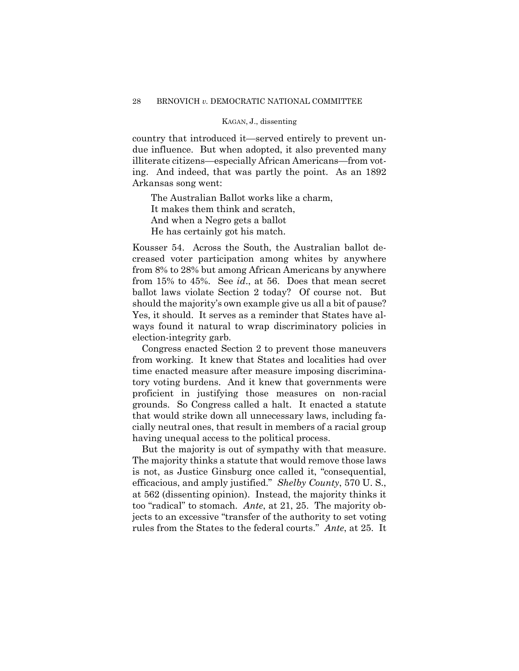country that introduced it—served entirely to prevent undue influence. But when adopted, it also prevented many illiterate citizens—especially African Americans—from voting. And indeed, that was partly the point. As an 1892 Arkansas song went:

The Australian Ballot works like a charm, It makes them think and scratch, And when a Negro gets a ballot He has certainly got his match.

Kousser 54. Across the South, the Australian ballot decreased voter participation among whites by anywhere from 8% to 28% but among African Americans by anywhere from 15% to 45%. See *id*., at 56. Does that mean secret ballot laws violate Section 2 today? Of course not. But should the majority's own example give us all a bit of pause? Yes, it should. It serves as a reminder that States have always found it natural to wrap discriminatory policies in election-integrity garb.

Congress enacted Section 2 to prevent those maneuvers from working. It knew that States and localities had over time enacted measure after measure imposing discriminatory voting burdens. And it knew that governments were proficient in justifying those measures on non-racial grounds. So Congress called a halt. It enacted a statute that would strike down all unnecessary laws, including facially neutral ones, that result in members of a racial group having unequal access to the political process.

But the majority is out of sympathy with that measure. The majority thinks a statute that would remove those laws is not, as Justice Ginsburg once called it, "consequential, efficacious, and amply justified." *Shelby County*, 570 U. S., at 562 (dissenting opinion). Instead, the majority thinks it too "radical" to stomach. *Ante*, at 21, 25. The majority objects to an excessive "transfer of the authority to set voting rules from the States to the federal courts." *Ante*, at 25. It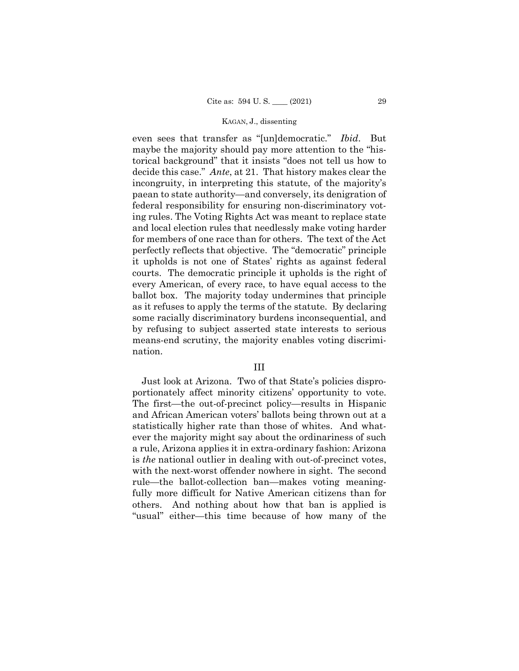even sees that transfer as "[un]democratic." *Ibid*.But maybe the majority should pay more attention to the "historical background" that it insists "does not tell us how to decide this case." *Ante*, at 21. That history makes clear the incongruity, in interpreting this statute, of the majority's paean to state authority—and conversely, its denigration of federal responsibility for ensuring non-discriminatory voting rules. The Voting Rights Act was meant to replace state and local election rules that needlessly make voting harder for members of one race than for others. The text of the Act perfectly reflects that objective. The "democratic" principle it upholds is not one of States' rights as against federal courts. The democratic principle it upholds is the right of every American, of every race, to have equal access to the ballot box. The majority today undermines that principle as it refuses to apply the terms of the statute. By declaring some racially discriminatory burdens inconsequential, and by refusing to subject asserted state interests to serious means-end scrutiny, the majority enables voting discrimination.

#### III

Just look at Arizona. Two of that State's policies disproportionately affect minority citizens' opportunity to vote. The first—the out-of-precinct policy—results in Hispanic and African American voters' ballots being thrown out at a statistically higher rate than those of whites. And whatever the majority might say about the ordinariness of such a rule, Arizona applies it in extra-ordinary fashion: Arizona is *the* national outlier in dealing with out-of-precinct votes, with the next-worst offender nowhere in sight. The second rule—the ballot-collection ban—makes voting meaningfully more difficult for Native American citizens than for others. And nothing about how that ban is applied is "usual" either—this time because of how many of the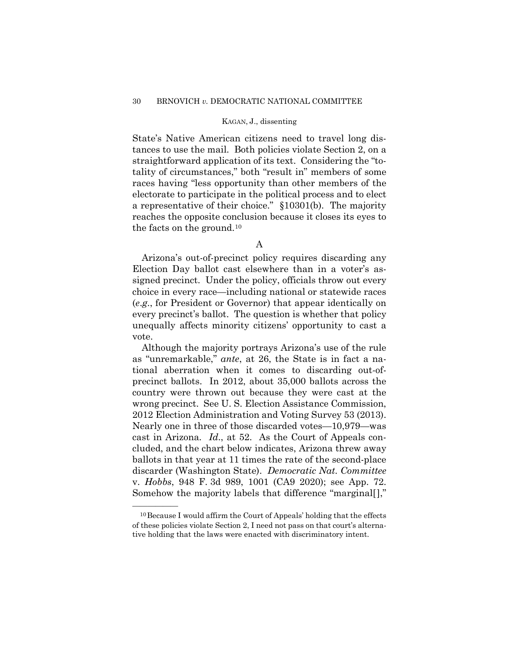State's Native American citizens need to travel long distances to use the mail. Both policies violate Section 2, on a straightforward application of its text. Considering the "totality of circumstances," both "result in" members of some races having "less opportunity than other members of the electorate to participate in the political process and to elect a representative of their choice." §10301(b). The majority reaches the opposite conclusion because it closes its eyes to the facts on the ground.[10](#page-73-0)

Arizona's out-of-precinct policy requires discarding any Election Day ballot cast elsewhere than in a voter's assigned precinct. Under the policy, officials throw out every choice in every race—including national or statewide races (*e*.*g*., for President or Governor) that appear identically on every precinct's ballot. The question is whether that policy unequally affects minority citizens' opportunity to cast a vote.

Although the majority portrays Arizona's use of the rule as "unremarkable," *ante*, at 26, the State is in fact a national aberration when it comes to discarding out-ofprecinct ballots. In 2012, about 35,000 ballots across the country were thrown out because they were cast at the wrong precinct. See U. S. Election Assistance Commission, 2012 Election Administration and Voting Survey 53 (2013). Nearly one in three of those discarded votes—10,979—was cast in Arizona. *Id*., at 52. As the Court of Appeals concluded, and the chart below indicates, Arizona threw away ballots in that year at 11 times the rate of the second-place discarder (Washington State). *Democratic Nat*. *Committee*  v. *Hobbs*, 948 F. 3d 989, 1001 (CA9 2020); see App. 72. Somehow the majority labels that difference "marginal[],"

——————

A

<span id="page-73-0"></span><sup>&</sup>lt;sup>10</sup> Because I would affirm the Court of Appeals' holding that the effects of these policies violate Section 2, I need not pass on that court's alternative holding that the laws were enacted with discriminatory intent.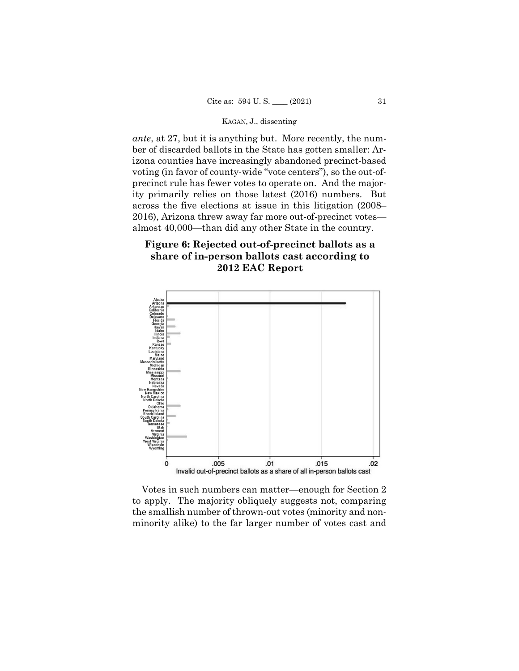*ante*, at 27, but it is anything but. More recently, the number of discarded ballots in the State has gotten smaller: Arizona counties have increasingly abandoned precinct-based voting (in favor of county-wide "vote centers"), so the out-ofprecinct rule has fewer votes to operate on. And the majority primarily relies on those latest (2016) numbers. But across the five elections at issue in this litigation (2008– 2016), Arizona threw away far more out-of-precinct votes almost 40,000—than did any other State in the country.

# Figure 6: Rejected out-of-precinct ballots as a share of in-person ballots cast according to 2012 EAC Report



Votes in such numbers can matter—enough for Section 2 to apply. The majority obliquely suggests not, comparing the smallish number of thrown-out votes (minority and nonminority alike) to the far larger number of votes cast and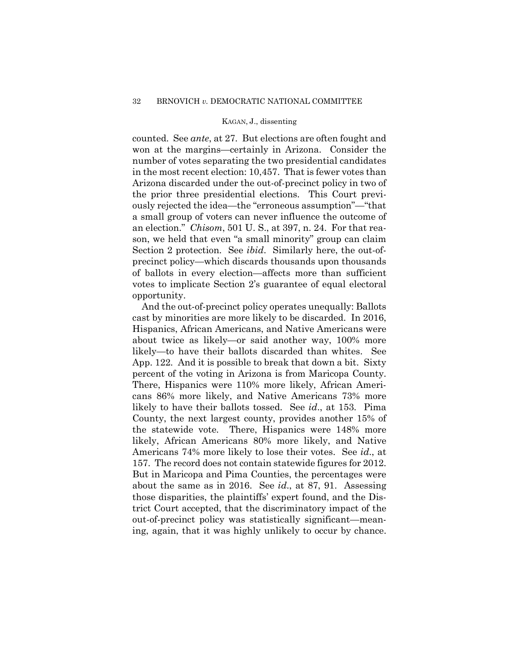counted. See *ante*, at 27. But elections are often fought and won at the margins—certainly in Arizona. Consider the number of votes separating the two presidential candidates in the most recent election: 10,457. That is fewer votes than Arizona discarded under the out-of-precinct policy in two of the prior three presidential elections. This Court previously rejected the idea—the "erroneous assumption"—"that a small group of voters can never influence the outcome of an election." *Chisom*, 501 U. S., at 397, n. 24. For that reason, we held that even "a small minority" group can claim Section 2 protection. See *ibid*.Similarly here, the out-ofprecinct policy—which discards thousands upon thousands of ballots in every election—affects more than sufficient votes to implicate Section 2's guarantee of equal electoral opportunity.

And the out-of-precinct policy operates unequally: Ballots cast by minorities are more likely to be discarded. In 2016, Hispanics, African Americans, and Native Americans were about twice as likely—or said another way, 100% more likely—to have their ballots discarded than whites. See App. 122. And it is possible to break that down a bit. Sixty percent of the voting in Arizona is from Maricopa County. There, Hispanics were 110% more likely, African Americans 86% more likely, and Native Americans 73% more likely to have their ballots tossed. See *id*., at 153. Pima County, the next largest county, provides another 15% of the statewide vote. There, Hispanics were 148% more likely, African Americans 80% more likely, and Native Americans 74% more likely to lose their votes. See *id*., at 157. The record does not contain statewide figures for 2012. But in Maricopa and Pima Counties, the percentages were about the same as in 2016. See *id*., at 87, 91. Assessing those disparities, the plaintiffs' expert found, and the District Court accepted, that the discriminatory impact of the out-of-precinct policy was statistically significant—meaning, again, that it was highly unlikely to occur by chance.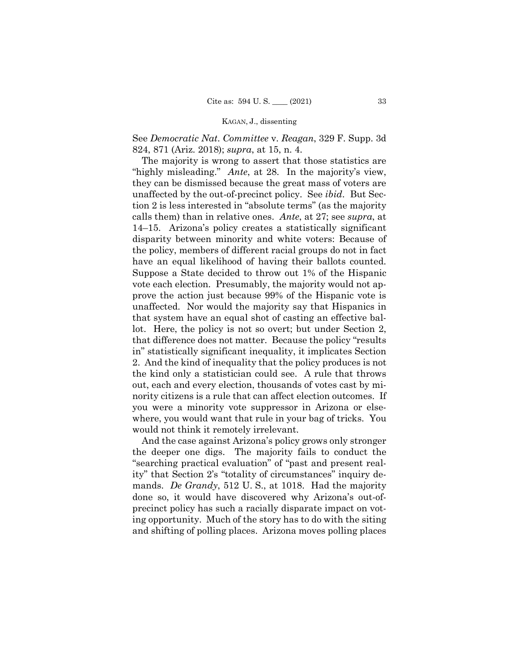See *Democratic Nat*. *Committee* v. *Reagan*, 329 F. Supp. 3d 824, 871 (Ariz. 2018); *supra*, at 15, n. 4.

The majority is wrong to assert that those statistics are "highly misleading." *Ante*, at 28. In the majority's view, they can be dismissed because the great mass of voters are unaffected by the out-of-precinct policy. See *ibid*.But Section 2 is less interested in "absolute terms" (as the majority calls them) than in relative ones. *Ante*, at 27; see *supra*, at 14–15.Arizona's policy creates a statistically significant disparity between minority and white voters: Because of the policy, members of different racial groups do not in fact have an equal likelihood of having their ballots counted. Suppose a State decided to throw out 1% of the Hispanic vote each election. Presumably, the majority would not approve the action just because 99% of the Hispanic vote is unaffected. Nor would the majority say that Hispanics in that system have an equal shot of casting an effective ballot. Here, the policy is not so overt; but under Section 2, that difference does not matter. Because the policy "results in" statistically significant inequality, it implicates Section 2. And the kind of inequality that the policy produces is not the kind only a statistician could see. A rule that throws out, each and every election, thousands of votes cast by minority citizens is a rule that can affect election outcomes. If you were a minority vote suppressor in Arizona or elsewhere, you would want that rule in your bag of tricks. You would not think it remotely irrelevant.

And the case against Arizona's policy grows only stronger the deeper one digs. The majority fails to conduct the "searching practical evaluation" of "past and present reality" that Section 2's "totality of circumstances" inquiry demands. *De Grandy*, 512 U. S., at 1018. Had the majority done so, it would have discovered why Arizona's out-ofprecinct policy has such a racially disparate impact on voting opportunity. Much of the story has to do with the siting and shifting of polling places. Arizona moves polling places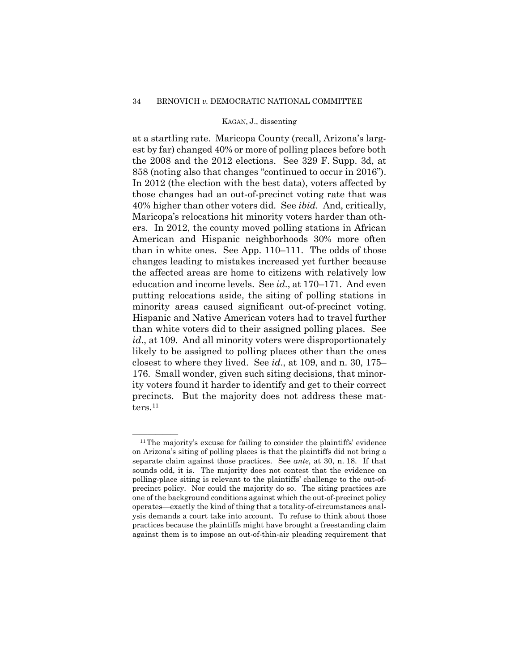at a startling rate. Maricopa County (recall, Arizona's largest by far) changed 40% or more of polling places before both the 2008 and the 2012 elections. See 329 F. Supp. 3d, at 858 (noting also that changes "continued to occur in 2016"). In 2012 (the election with the best data), voters affected by those changes had an out-of-precinct voting rate that was 40% higher than other voters did. See *ibid*.And, critically, Maricopa's relocations hit minority voters harder than others. In 2012, the county moved polling stations in African American and Hispanic neighborhoods 30% more often than in white ones. See App. 110–111. The odds of those changes leading to mistakes increased yet further because the affected areas are home to citizens with relatively low education and income levels. See *id*., at 170–171. And even putting relocations aside, the siting of polling stations in minority areas caused significant out-of-precinct voting. Hispanic and Native American voters had to travel further than white voters did to their assigned polling places. See *id.*, at 109. And all minority voters were disproportionately likely to be assigned to polling places other than the ones closest to where they lived. See *id*., at 109, and n. 30, 175– 176. Small wonder, given such siting decisions, that minority voters found it harder to identify and get to their correct precincts. But the majority does not address these mat-ters.<sup>[11](#page-77-0)</sup>

<span id="page-77-0"></span> $11$ The majority's excuse for failing to consider the plaintiffs' evidence on Arizona's siting of polling places is that the plaintiffs did not bring a separate claim against those practices. See *ante*, at 30, n. 18. If that sounds odd, it is. The majority does not contest that the evidence on polling-place siting is relevant to the plaintiffs' challenge to the out-ofprecinct policy. Nor could the majority do so. The siting practices are one of the background conditions against which the out-of-precinct policy operates—exactly the kind of thing that a totality-of-circumstances analysis demands a court take into account. To refuse to think about those practices because the plaintiffs might have brought a freestanding claim against them is to impose an out-of-thin-air pleading requirement that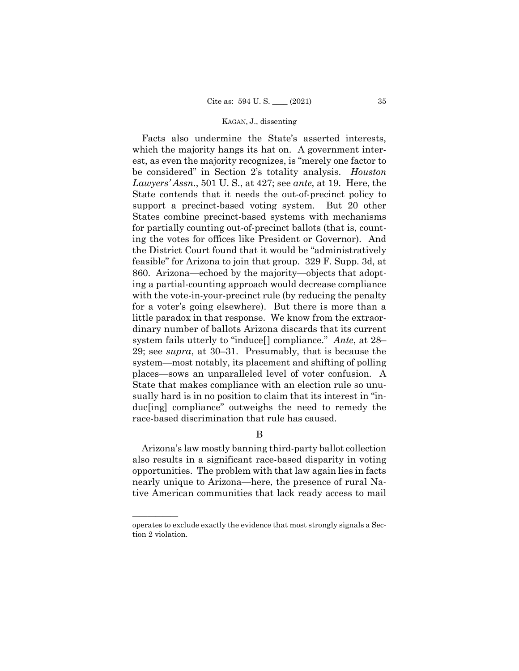Facts also undermine the State's asserted interests, which the majority hangs its hat on. A government interest, as even the majority recognizes, is "merely one factor to be considered" in Section 2's totality analysis. *Houston Lawyers' Assn*., 501 U. S., at 427; see *ante*, at 19. Here, the State contends that it needs the out-of-precinct policy to support a precinct-based voting system. But 20 other States combine precinct-based systems with mechanisms for partially counting out-of-precinct ballots (that is, counting the votes for offices like President or Governor). And the District Court found that it would be "administratively feasible" for Arizona to join that group. 329 F. Supp. 3d, at 860. Arizona—echoed by the majority—objects that adopting a partial-counting approach would decrease compliance with the vote-in-your-precinct rule (by reducing the penalty for a voter's going elsewhere). But there is more than a little paradox in that response. We know from the extraordinary number of ballots Arizona discards that its current system fails utterly to "induce[] compliance." *Ante*, at 28– 29; see *supra*, at 30–31. Presumably, that is because the system—most notably, its placement and shifting of polling places—sows an unparalleled level of voter confusion. A State that makes compliance with an election rule so unusually hard is in no position to claim that its interest in "induc[ing] compliance" outweighs the need to remedy the race-based discrimination that rule has caused.

B

Arizona's law mostly banning third-party ballot collection also results in a significant race-based disparity in voting opportunities. The problem with that law again lies in facts nearly unique to Arizona—here, the presence of rural Native American communities that lack ready access to mail

——————

operates to exclude exactly the evidence that most strongly signals a Section 2 violation.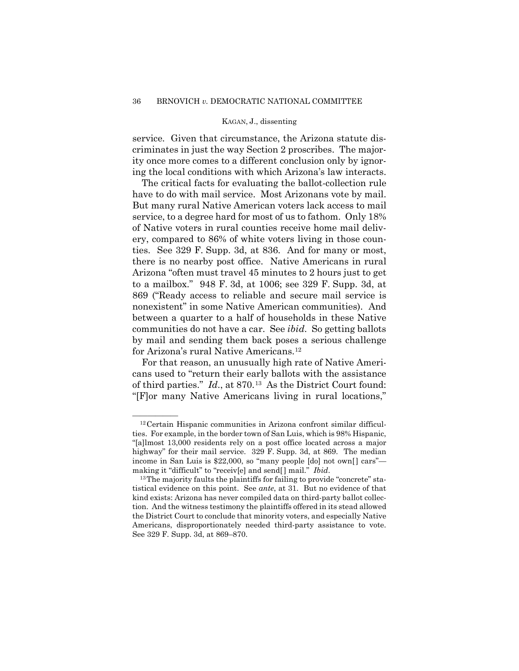service. Given that circumstance, the Arizona statute discriminates in just the way Section 2 proscribes. The majority once more comes to a different conclusion only by ignoring the local conditions with which Arizona's law interacts.

The critical facts for evaluating the ballot-collection rule have to do with mail service. Most Arizonans vote by mail. But many rural Native American voters lack access to mail service, to a degree hard for most of us to fathom. Only 18% of Native voters in rural counties receive home mail delivery, compared to 86% of white voters living in those counties. See 329 F. Supp. 3d, at 836. And for many or most, there is no nearby post office. Native Americans in rural Arizona "often must travel 45 minutes to 2 hours just to get to a mailbox." 948 F. 3d, at 1006; see 329 F. Supp. 3d, at 869 ("Ready access to reliable and secure mail service is nonexistent" in some Native American communities). And between a quarter to a half of households in these Native communities do not have a car. See *ibid*.So getting ballots by mail and sending them back poses a serious challenge for Arizona's rural Native Americans.[12](#page-79-0)

For that reason, an unusually high rate of Native Americans used to "return their early ballots with the assistance of third parties." *Id*., at 870.[13](#page-79-1) As the District Court found: "[F]or many Native Americans living in rural locations,"

<span id="page-79-0"></span> $^{12}$  Certain Hispanic communities in Arizona confront similar difficulties. For example, in the border town of San Luis, which is 98% Hispanic, "[a]lmost 13,000 residents rely on a post office located across a major highway" for their mail service. 329 F. Supp. 3d, at 869. The median income in San Luis is \$22,000, so "many people [do] not own[] cars" making it "difficult" to "receiv[e] and send[] mail." *Ibid.*<br><sup>13</sup>The majority faults the plaintiffs for failing to provide "concrete" sta-

<span id="page-79-1"></span>tistical evidence on this point. See *ante*, at 31. But no evidence of that kind exists: Arizona has never compiled data on third-party ballot collection. And the witness testimony the plaintiffs offered in its stead allowed the District Court to conclude that minority voters, and especially Native Americans, disproportionately needed third-party assistance to vote. See 329 F. Supp. 3d, at 869–870.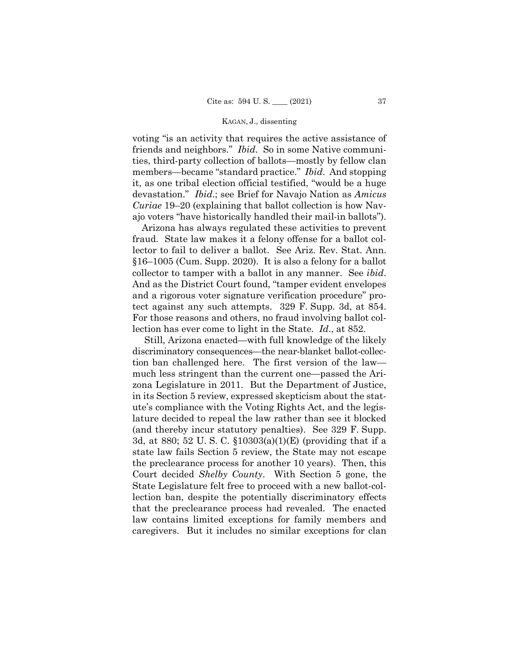voting "is an activity that requires the active assistance of friends and neighbors." *Ibid*.So in some Native communities, third-party collection of ballots—mostly by fellow clan members—became "standard practice." *Ibid*.And stopping it, as one tribal election official testified, "would be a huge devastation." *Ibid*.; see Brief for Navajo Nation as *Amicus Curiae* 19–20 (explaining that ballot collection is how Navajo voters "have historically handled their mail-in ballots").

Arizona has always regulated these activities to prevent fraud. State law makes it a felony offense for a ballot collector to fail to deliver a ballot. See Ariz. Rev. Stat. Ann. §16–1005 (Cum. Supp. 2020). It is also a felony for a ballot collector to tamper with a ballot in any manner. See *ibid*. And as the District Court found, "tamper evident envelopes and a rigorous voter signature verification procedure" protect against any such attempts. 329 F. Supp. 3d, at 854. For those reasons and others, no fraud involving ballot collection has ever come to light in the State. *Id*., at 852.

 Still, Arizona enacted—with full knowledge of the likely discriminatory consequences—the near-blanket ballot-collection ban challenged here. The first version of the law much less stringent than the current one—passed the Arizona Legislature in 2011. But the Department of Justice, in its Section 5 review, expressed skepticism about the statute's compliance with the Voting Rights Act, and the legislature decided to repeal the law rather than see it blocked (and thereby incur statutory penalties). See 329 F. Supp. 3d, at 880; 52 U. S. C. §10303(a)(1)(E) (providing that if a state law fails Section 5 review, the State may not escape the preclearance process for another 10 years). Then, this Court decided *Shelby County*. With Section 5 gone, the State Legislature felt free to proceed with a new ballot-collection ban, despite the potentially discriminatory effects that the preclearance process had revealed. The enacted law contains limited exceptions for family members and caregivers. But it includes no similar exceptions for clan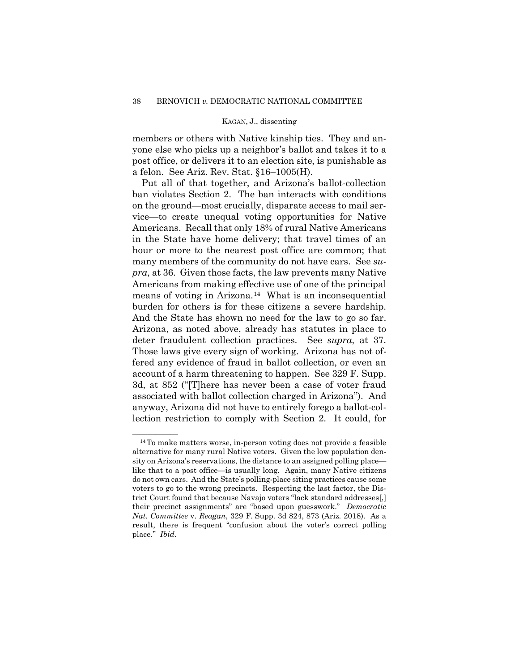members or others with Native kinship ties. They and anyone else who picks up a neighbor's ballot and takes it to a post office, or delivers it to an election site, is punishable as a felon. See Ariz. Rev. Stat. §16–1005(H).

Put all of that together, and Arizona's ballot-collection ban violates Section 2. The ban interacts with conditions on the ground—most crucially, disparate access to mail service—to create unequal voting opportunities for Native Americans. Recall that only 18% of rural Native Americans in the State have home delivery; that travel times of an hour or more to the nearest post office are common; that many members of the community do not have cars. See *supra*, at 36. Given those facts, the law prevents many Native Americans from making effective use of one of the principal means of voting in Arizona.[14](#page-81-0) What is an inconsequential burden for others is for these citizens a severe hardship. And the State has shown no need for the law to go so far. Arizona, as noted above, already has statutes in place to deter fraudulent collection practices. See *supra*, at 37. Those laws give every sign of working. Arizona has not offered any evidence of fraud in ballot collection, or even an account of a harm threatening to happen. See 329 F. Supp. 3d, at 852 ("[T]here has never been a case of voter fraud associated with ballot collection charged in Arizona"). And anyway, Arizona did not have to entirely forego a ballot-collection restriction to comply with Section 2. It could, for

<span id="page-81-0"></span> $14$ To make matters worse, in-person voting does not provide a feasible alternative for many rural Native voters. Given the low population density on Arizona's reservations, the distance to an assigned polling place like that to a post office—is usually long. Again, many Native citizens do not own cars. And the State's polling-place siting practices cause some voters to go to the wrong precincts. Respecting the last factor, the District Court found that because Navajo voters "lack standard addresses[,] their precinct assignments" are "based upon guesswork." *Democratic Nat*. *Committee* v. *Reagan*, 329 F. Supp. 3d 824, 873 (Ariz. 2018). As a result, there is frequent "confusion about the voter's correct polling place." *Ibid*.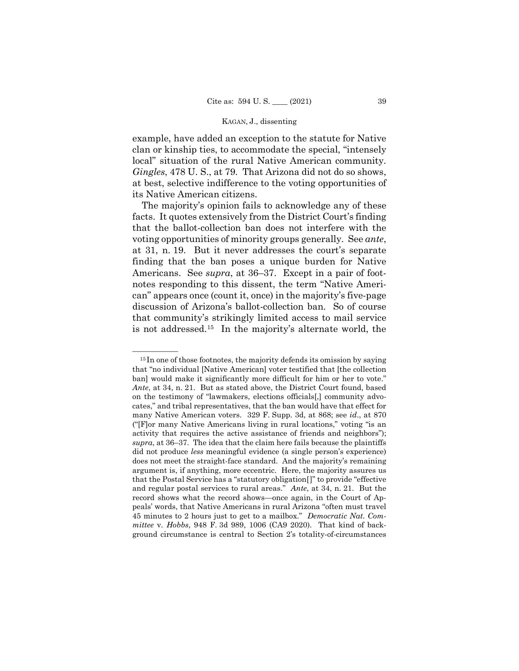example, have added an exception to the statute for Native clan or kinship ties, to accommodate the special, "intensely local" situation of the rural Native American community. *Gingles*, 478 U. S., at 79. That Arizona did not do so shows, at best, selective indifference to the voting opportunities of its Native American citizens.

The majority's opinion fails to acknowledge any of these facts. It quotes extensively from the District Court's finding that the ballot-collection ban does not interfere with the voting opportunities of minority groups generally. See *ante*, at 31, n. 19. But it never addresses the court's separate finding that the ban poses a unique burden for Native Americans. See *supra*, at 36–37. Except in a pair of footnotes responding to this dissent, the term "Native American" appears once (count it, once) in the majority's five-page discussion of Arizona's ballot-collection ban. So of course that community's strikingly limited access to mail service is not addressed.[15](#page-82-0) In the majority's alternate world, the

<span id="page-82-0"></span> $15$  In one of those footnotes, the majority defends its omission by saying that "no individual [Native American] voter testified that [the collection ban] would make it significantly more difficult for him or her to vote." *Ante*, at 34, n. 21. But as stated above, the District Court found, based on the testimony of "lawmakers, elections officials[,] community advocates," and tribal representatives, that the ban would have that effect for many Native American voters. 329 F. Supp. 3d, at 868; see *id*., at 870 ("[F]or many Native Americans living in rural locations," voting "is an activity that requires the active assistance of friends and neighbors"); *supra*, at 36–37. The idea that the claim here fails because the plaintiffs did not produce *less* meaningful evidence (a single person's experience) does not meet the straight-face standard. And the majority's remaining argument is, if anything, more eccentric. Here, the majority assures us that the Postal Service has a "statutory obligation[]" to provide "effective and regular postal services to rural areas." *Ante*, at 34, n. 21. But the record shows what the record shows—once again, in the Court of Appeals' words, that Native Americans in rural Arizona "often must travel 45 minutes to 2 hours just to get to a mailbox." *Democratic Nat*. *Committee* v. *Hobbs*, 948 F. 3d 989, 1006 (CA9 2020). That kind of background circumstance is central to Section 2's totality-of-circumstances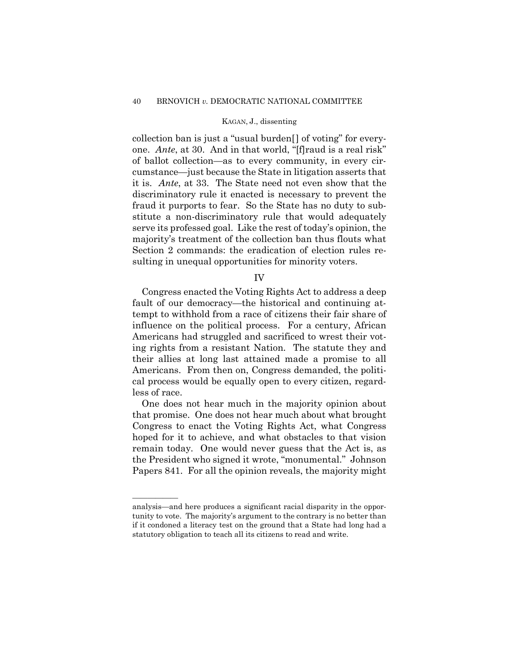collection ban is just a "usual burden[] of voting" for everyone. *Ante*, at 30. And in that world, "[f]raud is a real risk" of ballot collection—as to every community, in every circumstance—just because the State in litigation asserts that it is. *Ante*, at 33. The State need not even show that the discriminatory rule it enacted is necessary to prevent the fraud it purports to fear. So the State has no duty to substitute a non-discriminatory rule that would adequately serve its professed goal. Like the rest of today's opinion, the majority's treatment of the collection ban thus flouts what Section 2 commands: the eradication of election rules resulting in unequal opportunities for minority voters.

IV

Congress enacted the Voting Rights Act to address a deep fault of our democracy—the historical and continuing attempt to withhold from a race of citizens their fair share of influence on the political process. For a century, African Americans had struggled and sacrificed to wrest their voting rights from a resistant Nation. The statute they and their allies at long last attained made a promise to all Americans. From then on, Congress demanded, the political process would be equally open to every citizen, regardless of race.

One does not hear much in the majority opinion about that promise. One does not hear much about what brought Congress to enact the Voting Rights Act, what Congress hoped for it to achieve, and what obstacles to that vision remain today. One would never guess that the Act is, as the President who signed it wrote, "monumental." Johnson Papers 841. For all the opinion reveals, the majority might

——————

analysis—and here produces a significant racial disparity in the opportunity to vote. The majority's argument to the contrary is no better than if it condoned a literacy test on the ground that a State had long had a statutory obligation to teach all its citizens to read and write.